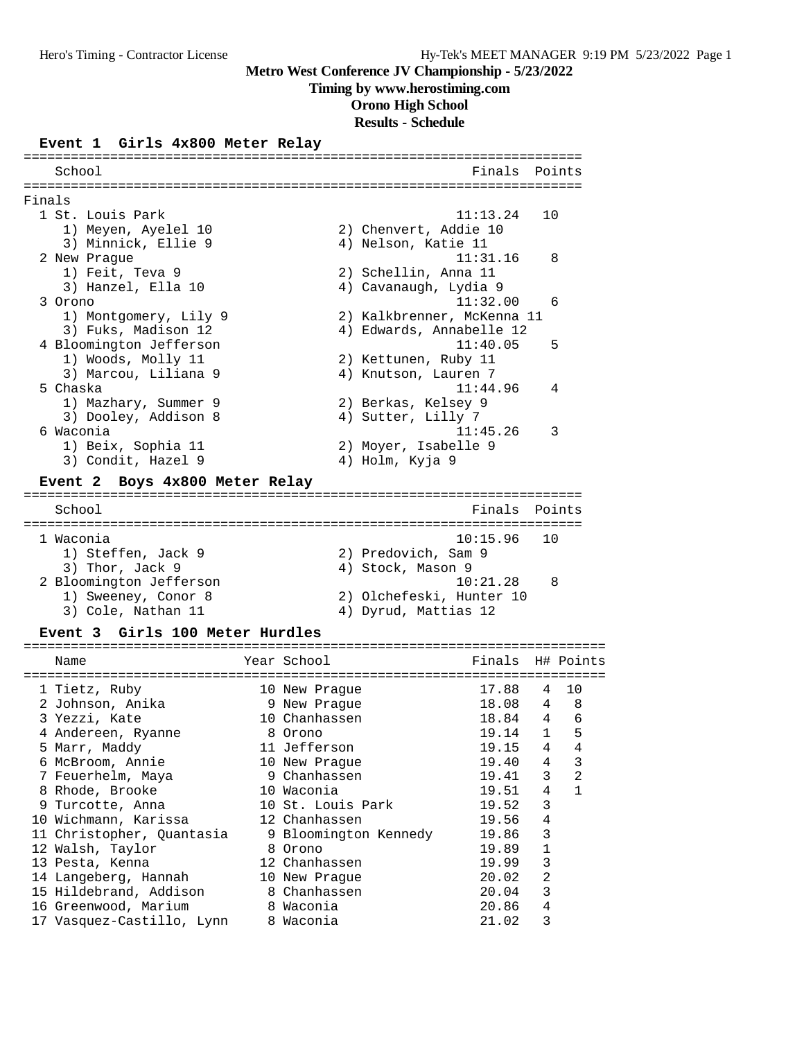#### **Timing by www.herostiming.com**

**Orono High School**

# **Results - Schedule**

#### **Event 1 Girls 4x800 Meter Relay**

|        | School                                   |             |         |               |                                    | Finals                |              | Points         |
|--------|------------------------------------------|-------------|---------|---------------|------------------------------------|-----------------------|--------------|----------------|
|        |                                          |             |         |               |                                    |                       |              |                |
| Finals | 1 St. Louis Park                         |             |         |               |                                    | 11:13.24              | 10           |                |
|        | 1) Meyen, Ayelel 10                      |             |         |               | 2) Chenvert, Addie 10              |                       |              |                |
|        | 3) Minnick, Ellie 9                      |             |         |               | 4) Nelson, Katie 11                |                       |              |                |
|        | 2 New Praque                             |             |         |               |                                    | 11:31.16              |              | 8              |
|        | 1) Feit, Teva 9                          |             |         |               | 2) Schellin, Anna 11               |                       |              |                |
|        | 3) Hanzel, Ella 10                       |             |         |               | 4) Cavanaugh, Lydia 9              |                       |              |                |
|        | 3 Orono                                  |             |         |               |                                    | 11:32.00              |              | 6              |
|        | 1) Montgomery, Lily 9                    |             |         |               | 2) Kalkbrenner, McKenna 11         |                       |              |                |
|        | 3) Fuks, Madison 12                      |             |         |               | 4) Edwards, Annabelle 12           |                       |              |                |
|        | 4 Bloomington Jefferson                  |             |         |               |                                    | 11:40.05              |              | 5              |
|        | 1) Woods, Molly 11                       |             |         |               | 2) Kettunen, Ruby 11               |                       |              |                |
|        | 3) Marcou, Liliana 9                     |             |         |               | 4) Knutson, Lauren 7               |                       |              |                |
|        | 5 Chaska                                 |             |         |               |                                    | 11:44.96              |              | 4              |
|        | 1) Mazhary, Summer 9                     |             |         |               | 2) Berkas, Kelsey 9                |                       |              |                |
|        | 3) Dooley, Addison 8                     |             |         |               | 4) Sutter, Lilly 7                 |                       |              |                |
|        | 6 Waconia                                |             |         |               |                                    | 11:45.26              |              | 3              |
|        | 1) Beix, Sophia 11                       |             |         |               | 2) Moyer, Isabelle 9               |                       |              |                |
|        | 3) Condit, Hazel 9                       |             |         |               | 4) Holm, Kyja 9                    |                       |              |                |
|        | Boys 4x800 Meter Relay<br><b>Event 2</b> |             |         |               |                                    |                       |              |                |
|        | School                                   |             |         |               |                                    | Finals                |              | Points         |
|        |                                          |             |         |               |                                    | ===================== |              |                |
|        | 1 Waconia                                |             |         |               |                                    | 10:15.96              | 10           |                |
|        | 1) Steffen, Jack 9                       |             |         |               | 2) Predovich, Sam 9                |                       |              |                |
|        | 3) Thor, Jack 9                          |             |         |               | 4) Stock, Mason 9                  |                       |              |                |
|        | 2 Bloomington Jefferson                  |             |         |               |                                    | 10:21.28              |              | 8              |
|        | 1) Sweeney, Conor 8                      |             |         |               | 2) Olchefeski, Hunter 10           |                       |              |                |
|        | 3) Cole, Nathan 11                       |             |         |               | 4) Dyrud, Mattias 12               |                       |              |                |
|        | Girls 100 Meter Hurdles<br>Event 3       |             |         |               |                                    |                       |              |                |
|        | Name                                     | Year School |         |               |                                    | Finals                |              | H# Points      |
|        | -------------------------------------    |             |         |               | ================================== |                       |              |                |
|        | 1 Tietz, Ruby                            |             |         | 10 New Prague |                                    | 17.88                 | 4            | 10             |
|        | 2 Johnson, Anika                         |             |         | 9 New Praque  |                                    | 18.08                 | 4            | 8              |
|        | 3 Yezzi, Kate                            |             |         | 10 Chanhassen |                                    | 18.84                 | 4            | 6              |
|        | 4 Andereen, Ryanne                       |             | 8 Orono |               |                                    | 19.14                 | $\mathbf{1}$ | 5              |
|        | 5 Marr, Maddy                            |             |         | 11 Jefferson  |                                    | 19.15<br>19.40        | 4<br>4       | 4<br>3         |
|        | 6 McBroom, Annie                         |             |         | 10 New Praque |                                    |                       |              |                |
|        | 7 Feuerhelm, Maya                        |             |         | 9 Chanhassen  |                                    | 19.41                 | 3            | $\overline{2}$ |

 8 Rhode, Brooke 10 Waconia 19.51 4 1 9 Turcotte, Anna 10 St. Louis Park 19.52 3 10 Wichmann, Karissa 12 Chanhassen 19.56 4 11 Christopher, Quantasia 9 Bloomington Kennedy 19.86 3 12 Walsh, Taylor 8 Orono 19.89 1 13 Pesta, Kenna 12 Chanhassen 19.99 3 14 Langeberg, Hannah 10 New Prague 20.02 2 15 Hildebrand, Addison 8 Chanhassen 20.04 3 16 Greenwood, Marium 8 Waconia 20.86 4 17 Vasquez-Castillo, Lynn 8 Waconia 21.02 3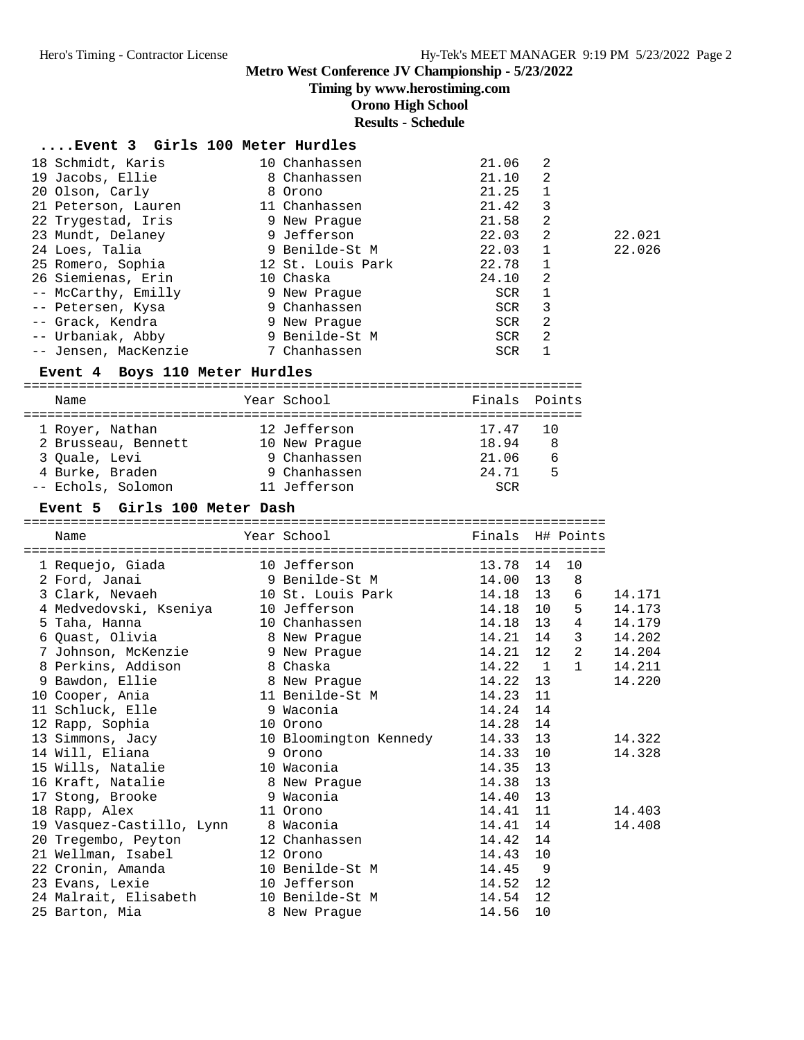**Timing by www.herostiming.com**

**Orono High School**

## **Results - Schedule**

| Event 3 Girls 100 Meter Hurdles |
|---------------------------------|
|---------------------------------|

| 18 Schmidt, Karis    | 10 Chanhassen     | 21.06      | 2 |        |
|----------------------|-------------------|------------|---|--------|
| 19 Jacobs, Ellie     | 8 Chanhassen      | 21.10      | 2 |        |
| 20 Olson, Carly      | 8 Orono           | 21.25      |   |        |
| 21 Peterson, Lauren  | 11 Chanhassen     | 21.42      | 3 |        |
| 22 Trygestad, Iris   | 9 New Praque      | 21.58      | 2 |        |
| 23 Mundt, Delaney    | 9 Jefferson       | 22.03      | 2 | 22.021 |
| 24 Loes, Talia       | 9 Benilde-St M    | 22.03      | 1 | 22.026 |
| 25 Romero, Sophia    | 12 St. Louis Park | 22.78      | 1 |        |
| 26 Siemienas, Erin   | 10 Chaska         | 24.10      | 2 |        |
| -- McCarthy, Emilly  | 9 New Praque      | <b>SCR</b> |   |        |
| -- Petersen, Kysa    | 9 Chanhassen      | SCR        | 3 |        |
| -- Grack, Kendra     | 9 New Praque      | SCR        | 2 |        |
| -- Urbaniak, Abby    | 9 Benilde-St M    | SCR        | 2 |        |
| -- Jensen, MacKenzie | 7 Chanhassen      | <b>SCR</b> |   |        |

#### **Event 4 Boys 110 Meter Hurdles**

| Name                | Year School   | Finals Points |    |
|---------------------|---------------|---------------|----|
| 1 Royer, Nathan     | 12 Jefferson  | 17.47         | 10 |
| 2 Brusseau, Bennett | 10 New Praque | 18.94         | 8  |
| 3 Ouale, Levi       | 9 Chanhassen  | 21.06         | 6  |
| 4 Burke, Braden     | 9 Chanhassen  | 24.71         | 5  |
| -- Echols, Solomon  | 11 Jefferson  | SCR           |    |

#### **Event 5 Girls 100 Meter Dash**

========================================================================== Name Year School Finals H# Points ========================================================================== 1 Requejo, Giada 10 Jefferson 13.78 14 10 2 Ford, Janai 9 Benilde-St M 14.00 13 8 3 Clark, Nevaeh 10 St. Louis Park 14.18 13 6 14.171 4 Medvedovski, Kseniya 10 Jefferson 14.18 10 5 14.173 5 Taha, Hanna 10 Chanhassen 14.18 13 4 14.179 6 Quast, Olivia 8 New Prague 14.21 14 3 14.202 7 Johnson, McKenzie 9 New Prague 14.21 12 2 14.204 8 Perkins, Addison 8 Chaska 14.22 1 1 14.211 9 Bawdon, Ellie 8 New Prague 14.22 13 14.220 10 Cooper, Ania 11 Benilde-St M 14.23 11 11 Schluck, Elle 9 Waconia 14.24 14 12 Rapp, Sophia 10 Orono 14.28 14 13 Simmons, Jacy 10 Bloomington Kennedy 14.33 13 14.322 14 Will, Eliana 9 Orono 14.33 10 14.328 15 Wills, Natalie 10 Waconia 14.35 13 16 Kraft, Natalie 8 New Prague 14.38 13 17 Stong, Brooke 9 Waconia 14.40 13 18 Rapp, Alex 11 Orono 14.41 11 14.403 19 Vasquez-Castillo, Lynn 8 Waconia 14.41 14 14.408 20 Tregembo, Peyton 12 Chanhassen 14.42 14 21 Wellman, Isabel 12 Orono 14.43 10 22 Cronin, Amanda 10 Benilde-St M 14.45 9 23 Evans, Lexie 10 Jefferson 14.52 12 24 Malrait, Elisabeth 10 Benilde-St M 14.54 12 25 Barton, Mia 8 New Prague 14.56 10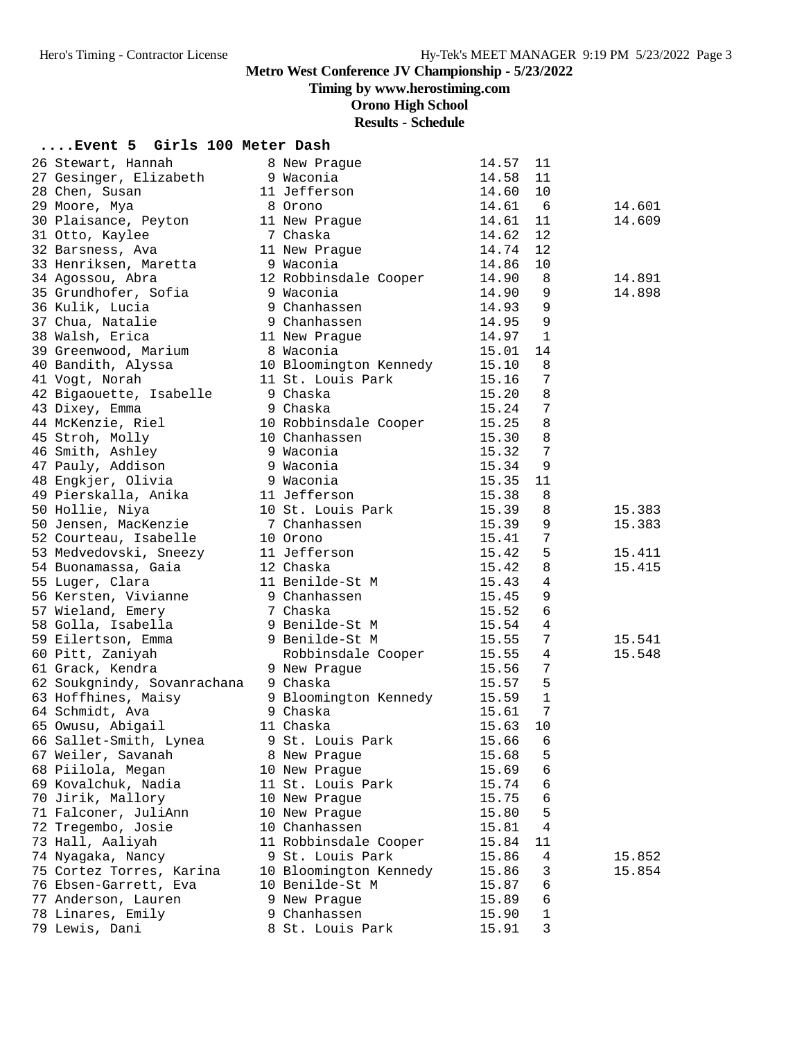**Timing by www.herostiming.com**

**Orono High School**

# **Results - Schedule**

# **....Event 5 Girls 100 Meter Dash**

| 26 Stewart, Hannah                     | 8 New Prague                           | 14.57          | 11              |        |
|----------------------------------------|----------------------------------------|----------------|-----------------|--------|
| 27 Gesinger, Elizabeth                 | 9 Waconia                              | 14.58          | 11              |        |
| 28 Chen, Susan                         | 11 Jefferson                           | 14.60          | 10              |        |
| 29 Moore, Mya                          | 8 Orono                                | 14.61          | -6              | 14.601 |
| 30 Plaisance, Peyton                   | 11 New Prague                          | 14.61          | 11              | 14.609 |
| 31 Otto, Kaylee                        | 7 Chaska                               | 14.62          | 12              |        |
| 32 Barsness, Ava                       | 11 New Prague                          | 14.74          | 12              |        |
| 33 Henriksen, Maretta                  | 9 Waconia                              | 14.86          | 10              |        |
| 34 Agossou, Abra                       | 12 Robbinsdale Cooper                  | 14.90          | 8               | 14.891 |
| 35 Grundhofer, Sofia                   | 9 Waconia                              | 14.90          | 9               | 14.898 |
| 36 Kulik, Lucia                        | 9 Chanhassen                           | 14.93          | 9               |        |
| 37 Chua, Natalie                       | 9 Chanhassen                           | 14.95          | 9               |        |
| 38 Walsh, Erica                        | 11 New Prague                          | 14.97          | 1               |        |
| 39 Greenwood, Marium                   | 8 Waconia                              | 15.01          | 14              |        |
| 40 Bandith, Alyssa                     | 10 Bloomington Kennedy                 | 15.10          | 8               |        |
| 41 Vogt, Norah                         | 11 St. Louis Park                      | 15.16          | 7               |        |
| 42 Bigaouette, Isabelle                | 9 Chaska                               | 15.20          | 8               |        |
| 43 Dixey, Emma                         | 9 Chaska                               | 15.24          | $7\phantom{.0}$ |        |
|                                        |                                        | 15.25          | 8               |        |
| 44 McKenzie, Riel                      | 10 Robbinsdale Cooper                  |                |                 |        |
| 45 Stroh, Molly                        | 10 Chanhassen                          | 15.30          | 8               |        |
| 46 Smith, Ashley                       | 9 Waconia                              | 15.32          | 7               |        |
| 47 Pauly, Addison                      | 9 Waconia                              | 15.34          | 9               |        |
| 48 Engkjer, Olivia                     | 9 Waconia                              | 15.35          | 11              |        |
| 49 Pierskalla, Anika                   | 11 Jefferson                           | 15.38          | 8               |        |
| 50 Hollie, Niya                        | 10 St. Louis Park                      | 15.39          | 8               | 15.383 |
| 50 Jensen, MacKenzie                   | 7 Chanhassen                           | 15.39          | 9               | 15.383 |
| 52 Courteau, Isabelle                  | 10 Orono                               | 15.41          | 7               |        |
| 53 Medvedovski, Sneezy                 | 11 Jefferson                           | 15.42          | 5               | 15.411 |
| 54 Buonamassa, Gaia                    | 12 Chaska                              | 15.42          | 8               | 15.415 |
| 55 Luger, Clara                        | 11 Benilde-St M                        | 15.43          | 4               |        |
| 56 Kersten, Vivianne                   | 9 Chanhassen                           | 15.45          | $\mathsf 9$     |        |
| 57 Wieland, Emery                      | 7 Chaska                               | 15.52          | 6               |        |
| 58 Golla, Isabella                     | 9 Benilde-St M                         | 15.54          | 4               |        |
| 59 Eilertson, Emma                     | 9 Benilde-St M                         | 15.55          | 7               | 15.541 |
| 60 Pitt, Zaniyah                       | Robbinsdale Cooper                     | 15.55          | 4               | 15.548 |
| 61 Grack, Kendra                       | 9 New Prague                           | 15.56          | 7               |        |
| 62 Soukgnindy, Sovanrachana            | 9 Chaska                               | 15.57          | 5               |        |
| 63 Hoffhines, Maisy                    | 9 Bloomington Kennedy                  | 15.59          | $\mathbf{1}$    |        |
| 64 Schmidt, Ava                        | 9 Chaska                               | 15.61          | 7               |        |
| 65 Owusu, Abigail                      | 11 Chaska                              | 15.63          | 10              |        |
| 66 Sallet-Smith, Lynea                 | 9 St. Louis Park                       | 15.66          | 6               |        |
| 67 Weiler, Savanah                     | 8 New Prague                           | 15.68          | 5               |        |
| 68 Piilola, Megan                      | 10 New Prague                          | 15.69          | 6               |        |
| 69 Kovalchuk, Nadia                    | 11 St. Louis Park                      | 15.74          | 6               |        |
| 70 Jirik, Mallory                      | 10 New Prague                          | 15.75          | 6               |        |
| 71 Falconer, JuliAnn                   | 10 New Praque                          | 15.80          | 5               |        |
|                                        |                                        |                | 4               |        |
| 72 Tregembo, Josie<br>73 Hall, Aaliyah | 10 Chanhassen<br>11 Robbinsdale Cooper | 15.81<br>15.84 | 11              |        |
|                                        |                                        |                |                 |        |
| 74 Nyagaka, Nancy                      | 9 St. Louis Park                       | 15.86          | 4               | 15.852 |
| 75 Cortez Torres, Karina               | 10 Bloomington Kennedy                 | 15.86          | 3               | 15.854 |
| 76 Ebsen-Garrett, Eva                  | 10 Benilde-St M                        | 15.87          | 6               |        |
| 77 Anderson, Lauren                    | 9 New Praque                           | 15.89          | 6               |        |
| 78 Linares, Emily                      | 9 Chanhassen                           | 15.90          | 1               |        |
| 79 Lewis, Dani                         | 8 St. Louis Park                       | 15.91          | 3               |        |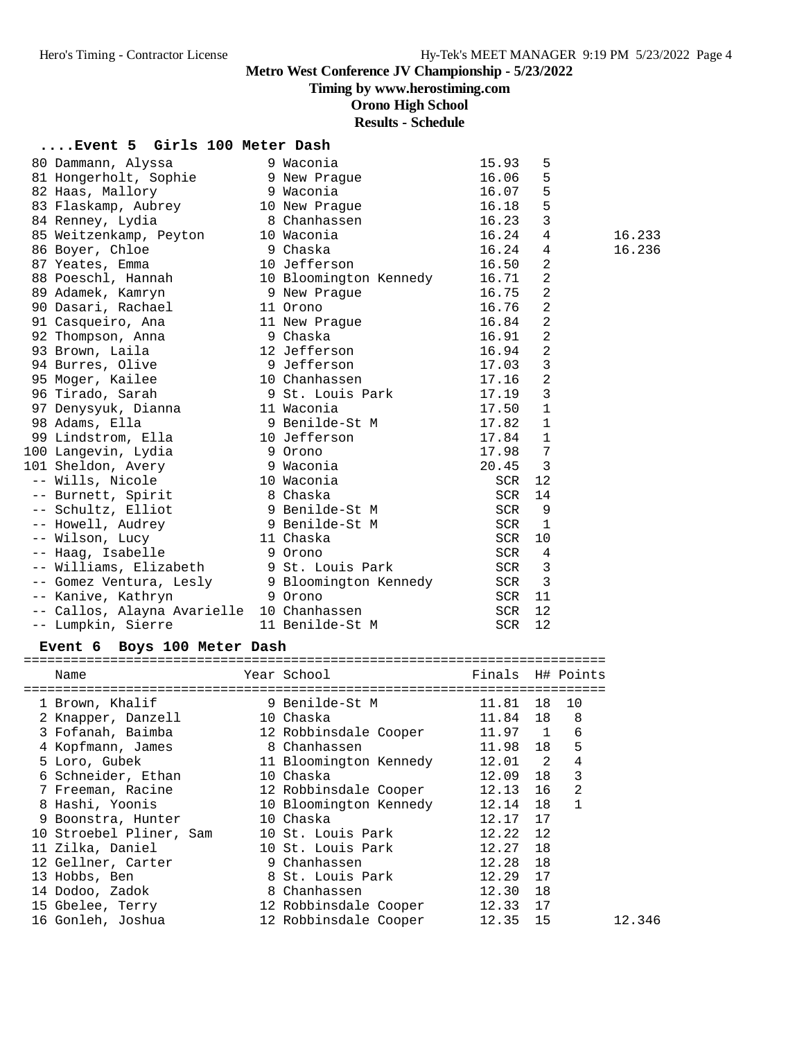**Timing by www.herostiming.com**

**Orono High School**

**Results - Schedule**

### **....Event 5 Girls 100 Meter Dash**

| 80 Dammann, Alyssa                                 | 9 Waconia              | 15.93      | 5              |        |
|----------------------------------------------------|------------------------|------------|----------------|--------|
| 81 Hongerholt, Sophie                              | 9 New Praque           | 16.06      | 5              |        |
| 82 Haas, Mallory                                   | 9 Waconia              | 16.07      | 5              |        |
| 83 Flaskamp, Aubrey                                | 10 New Prague          | 16.18      | 5              |        |
| 84 Renney, Lydia                                   | 8 Chanhassen           | 16.23      | 3              |        |
| 85 Weitzenkamp, Peyton                             | 10 Waconia             | 16.24      | 4              | 16.233 |
| 86 Boyer, Chloe                                    | 9 Chaska               | 16.24      | 4              | 16.236 |
| 87 Yeates, Emma                                    | 10 Jefferson           | 16.50      | 2              |        |
| 88 Poeschl, Hannah                                 | 10 Bloomington Kennedy | 16.71      | $\overline{a}$ |        |
| 89 Adamek, Kamryn                                  | 9 New Praque           | 16.75      | $\overline{2}$ |        |
| 90 Dasari, Rachael                                 | 11 Orono               | 16.76      | $\overline{2}$ |        |
| 91 Casqueiro, Ana                                  | 11 New Prague          | 16.84      | $\overline{2}$ |        |
| 92 Thompson, Anna                                  | 9 Chaska               | 16.91      | $\overline{2}$ |        |
| 93 Brown, Laila                                    | 12 Jefferson           | 16.94      | 2              |        |
| 94 Burres, Olive                                   | 9 Jefferson            | 17.03      | 3              |        |
| 95 Moger, Kailee                                   | 10 Chanhassen          | 17.16      | $\overline{2}$ |        |
| 96 Tirado, Sarah                                   | 9 St. Louis Park       | 17.19      | $\overline{3}$ |        |
| 97 Denysyuk, Dianna                                | 11 Waconia             | 17.50      | $\mathbf{1}$   |        |
| 98 Adams, Ella                                     | 9 Benilde-St M         | 17.82      | $\mathbf{1}$   |        |
| 99 Lindstrom, Ella                                 | 10 Jefferson           | 17.84      | $\mathbf{1}$   |        |
| 100 Lanqevin, Lydia                                | 9 Orono                | 17.98      | 7              |        |
| 101 Sheldon, Avery                                 | 9 Waconia              | 20.45      | 3              |        |
| -- Wills, Nicole                                   | 10 Waconia             | SCR        | 12             |        |
| -- Burnett, Spirit                                 | 8 Chaska               | SCR        | 14             |        |
| -- Schultz, Elliot                                 | 9 Benilde-St M         | SCR        | 9              |        |
| -- Howell, Audrey                                  | 9 Benilde-St M         | SCR        | $\mathbf{1}$   |        |
| -- Wilson, Lucy                                    | 11 Chaska              | SCR        | 10             |        |
| -- Haag, Isabelle                                  | 9 Orono                | SCR        | $\overline{4}$ |        |
| -- Williams, Elizabeth 9 St. Louis Park            |                        | SCR        | 3              |        |
| -- Gomez Ventura, Lesly (2000) Bloomington Kennedy |                        | SCR        | 3              |        |
| -- Kanive, Kathryn                                 | 9 Orono                | SCR        | 11             |        |
| -- Callos, Alayna Avarielle 10 Chanhassen          |                        | <b>SCR</b> | 12             |        |
| -- Lumpkin, Sierre                                 | 11 Benilde-St M        | <b>SCR</b> | 12             |        |
|                                                    |                        |            |                |        |

#### **Event 6 Boys 100 Meter Dash**

==========================================================================

| Name                                           | Year School<br>================================ | Finals H# Points |    |                |
|------------------------------------------------|-------------------------------------------------|------------------|----|----------------|
| 1 Brown, Khalif                                | 9 Benilde-St M                                  | 11.81            |    | 18 10          |
| 2 Knapper, Danzell                             | 10 Chaska                                       | 11.84            | 18 | 8 <sup>8</sup> |
| 3 Fofanah, Baimba                              | 12 Robbinsdale Cooper                           | $11.97$ 1        |    | 6              |
| 4 Kopfmann, James                              | 8 Chanhassen                                    | 11.98            | 18 | 5              |
| 5 Loro, Gubek                                  | 11 Bloomington Kennedy                          | 12.01 2          |    | 4              |
| 6 Schneider, Ethan                             | 10 Chaska                                       | 12.09            | 18 | 3              |
| 7 Freeman, Racine                              | 12 Robbinsdale Cooper                           | 12.13            | 16 | 2              |
| 8 Hashi, Yoonis                                | 10 Bloomington Kennedy                          | 12.14            | 18 | $\sqrt{1}$     |
| 9 Boonstra, Hunter                             | 10 Chaska                                       | 12.17 17         |    |                |
| 10 Stroebel Pliner, Sam      10 St. Louis Park |                                                 | 12.22 12         |    |                |
| 11 Zilka, Daniel                               | 10 St. Louis Park                               | 12.27            | 18 |                |
| 12 Gellner, Carter                             | 9 Chanhassen                                    | 12.28            | 18 |                |
| 13 Hobbs, Ben                                  | 8 St. Louis Park                                | 12.29 17         |    |                |
| 14 Dodoo, Zadok                                | 8 Chanhassen                                    | 12.30            | 18 |                |
| 15 Gbelee, Terry                               | 12 Robbinsdale Cooper                           | 12.33 17         |    |                |
| 16 Gonleh, Joshua                              | 12 Robbinsdale Cooper                           | 12.35            | 15 | 12.346         |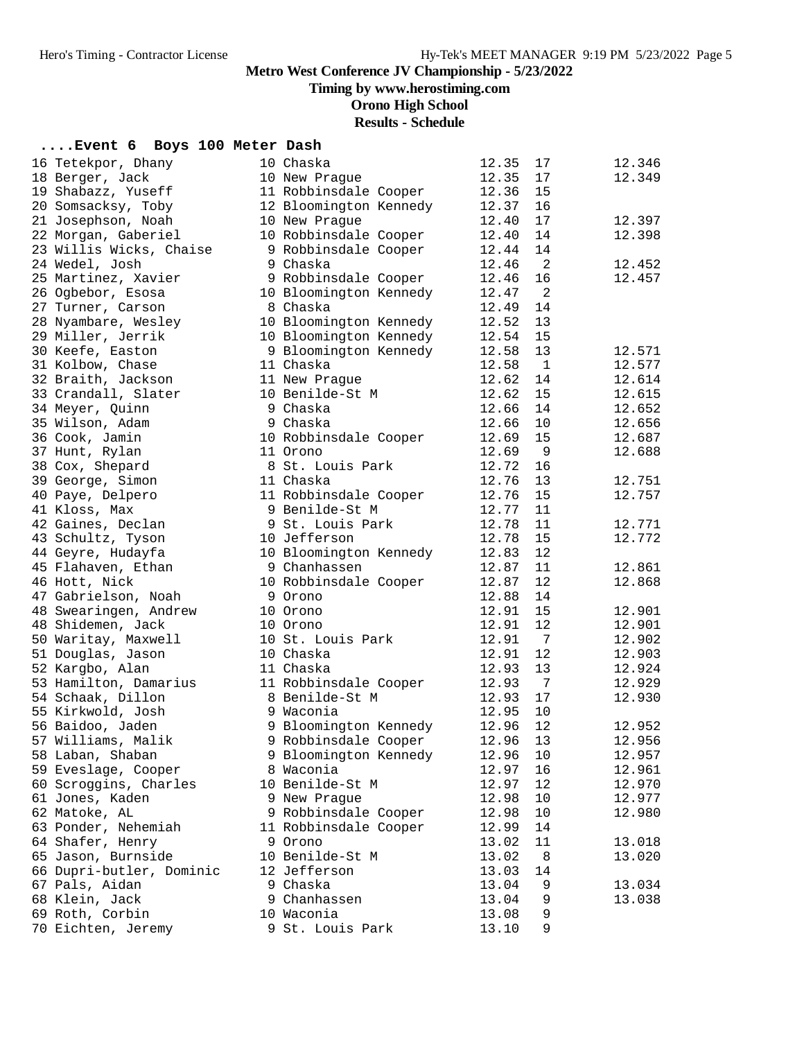**Timing by www.herostiming.com**

**Orono High School**

# **Results - Schedule**

## **....Event 6 Boys 100 Meter Dash**

| 16 Tetekpor, Dhany       | 10 Chaska              | 12.35 | 17           | 12.346 |
|--------------------------|------------------------|-------|--------------|--------|
| 18 Berger, Jack          | 10 New Prague          | 12.35 | 17           | 12.349 |
| 19 Shabazz, Yuseff       | 11 Robbinsdale Cooper  | 12.36 | 15           |        |
| 20 Somsacksy, Toby       | 12 Bloomington Kennedy | 12.37 | 16           |        |
| 21 Josephson, Noah       | 10 New Prague          | 12.40 | 17           | 12.397 |
| 22 Morgan, Gaberiel      | 10 Robbinsdale Cooper  | 12.40 | 14           | 12.398 |
| 23 Willis Wicks, Chaise  | 9 Robbinsdale Cooper   | 12.44 | 14           |        |
| 24 Wedel, Josh           | 9 Chaska               | 12.46 | 2            | 12.452 |
| 25 Martinez, Xavier      | 9 Robbinsdale Cooper   | 12.46 | 16           | 12.457 |
| 26 Ogbebor, Esosa        | 10 Bloomington Kennedy | 12.47 | 2            |        |
| 27 Turner, Carson        | 8 Chaska               | 12.49 | 14           |        |
| 28 Nyambare, Wesley      | 10 Bloomington Kennedy | 12.52 | 13           |        |
| 29 Miller, Jerrik        | 10 Bloomington Kennedy | 12.54 | 15           |        |
| 30 Keefe, Easton         | 9 Bloomington Kennedy  | 12.58 | 13           | 12.571 |
| 31 Kolbow, Chase         | 11 Chaska              | 12.58 | $\mathbf{1}$ | 12.577 |
| 32 Braith, Jackson       | 11 New Prague          | 12.62 | 14           | 12.614 |
| 33 Crandall, Slater      | 10 Benilde-St M        | 12.62 | 15           | 12.615 |
| 34 Meyer, Quinn          | 9 Chaska               | 12.66 | 14           | 12.652 |
| 35 Wilson, Adam          | 9 Chaska               | 12.66 | 10           | 12.656 |
| 36 Cook, Jamin           | 10 Robbinsdale Cooper  | 12.69 | 15           | 12.687 |
| 37 Hunt, Rylan           | 11 Orono               | 12.69 | 9            | 12.688 |
| 38 Cox, Shepard          | 8 St. Louis Park       | 12.72 | 16           |        |
| 39 George, Simon         | 11 Chaska              | 12.76 | 13           | 12.751 |
| 40 Paye, Delpero         | 11 Robbinsdale Cooper  | 12.76 | 15           | 12.757 |
| 41 Kloss, Max            | 9 Benilde-St M         | 12.77 | 11           |        |
| 42 Gaines, Declan        | 9 St. Louis Park       | 12.78 | 11           | 12.771 |
| 43 Schultz, Tyson        | 10 Jefferson           | 12.78 | 15           | 12.772 |
| 44 Geyre, Hudayfa        | 10 Bloomington Kennedy | 12.83 | 12           |        |
| 45 Flahaven, Ethan       | 9 Chanhassen           | 12.87 | 11           | 12.861 |
| 46 Hott, Nick            | 10 Robbinsdale Cooper  | 12.87 | 12           | 12.868 |
| 47 Gabrielson, Noah      | 9 Orono                | 12.88 | 14           |        |
| 48 Swearingen, Andrew    | 10 Orono               | 12.91 | 15           | 12.901 |
| 48 Shidemen, Jack        | 10 Orono               | 12.91 | 12           | 12.901 |
| 50 Waritay, Maxwell      | 10 St. Louis Park      | 12.91 | 7            | 12.902 |
| 51 Douglas, Jason        | 10 Chaska              | 12.91 | 12           | 12.903 |
| 52 Kargbo, Alan          | 11 Chaska              | 12.93 | 13           | 12.924 |
| 53 Hamilton, Damarius    | 11 Robbinsdale Cooper  | 12.93 | 7            | 12.929 |
| 54 Schaak, Dillon        | 8 Benilde-St M         | 12.93 | 17           | 12.930 |
| 55 Kirkwold, Josh        | 9 Waconia              | 12.95 | 10           |        |
| 56 Baidoo, Jaden         | 9 Bloomington Kennedy  | 12.96 | 12           | 12.952 |
| 57 Williams, Malik       | 9 Robbinsdale Cooper   | 12.96 | 13           | 12.956 |
| 58 Laban, Shaban         | 9 Bloomington Kennedy  | 12.96 | 10           | 12.957 |
| 59 Eveslage, Cooper      | 8 Waconia              | 12.97 | 16           | 12.961 |
| 60 Scroggins, Charles    | 10 Benilde-St M        | 12.97 | 12           | 12.970 |
| 61 Jones, Kaden          | 9 New Prague           | 12.98 | 10           | 12.977 |
| 62 Matoke, AL            | 9 Robbinsdale Cooper   | 12.98 | 10           | 12.980 |
| 63 Ponder, Nehemiah      | 11 Robbinsdale Cooper  | 12.99 | 14           |        |
| 64 Shafer, Henry         | 9 Orono                | 13.02 | 11           | 13.018 |
| 65 Jason, Burnside       | 10 Benilde-St M        | 13.02 | 8            | 13.020 |
| 66 Dupri-butler, Dominic | 12 Jefferson           | 13.03 | 14           |        |
| 67 Pals, Aidan           | 9 Chaska               | 13.04 | 9            | 13.034 |
| 68 Klein, Jack           | 9 Chanhassen           | 13.04 | 9            | 13.038 |
| 69 Roth, Corbin          | 10 Waconia             | 13.08 | 9            |        |
| 70 Eichten, Jeremy       | 9 St. Louis Park       | 13.10 | 9            |        |
|                          |                        |       |              |        |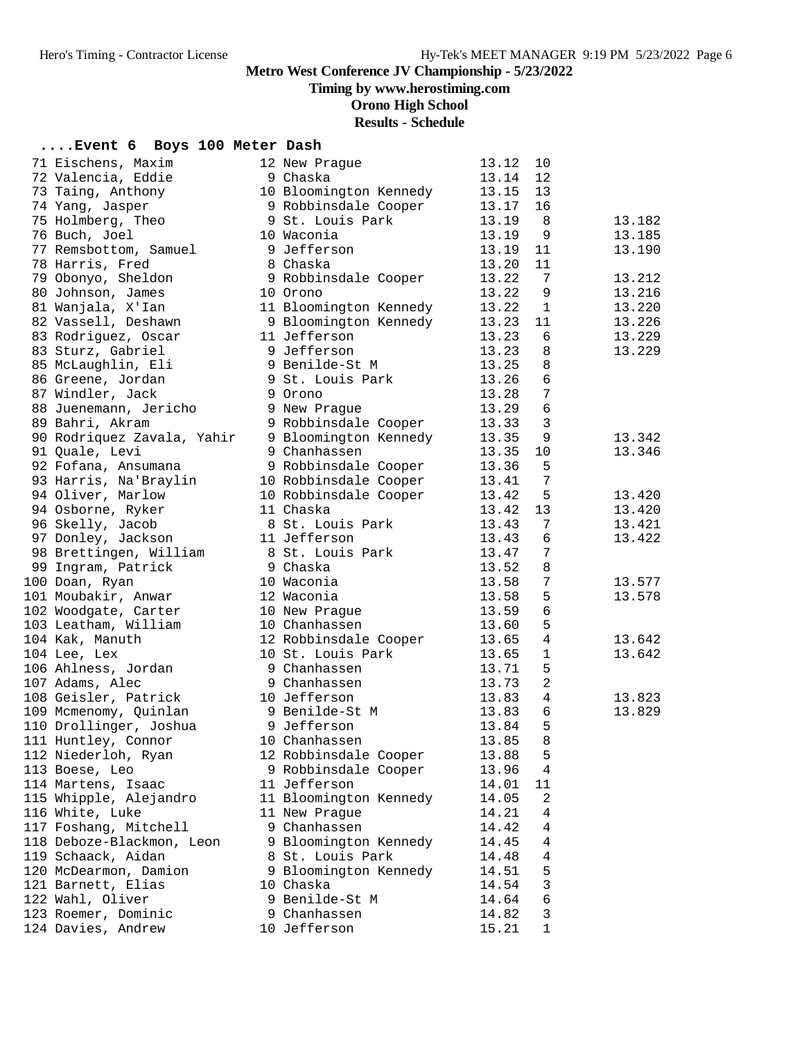# **Timing by www.herostiming.com**

**Orono High School**

# **Results - Schedule**

| Event 6 Boys 100 Meter Dash |  |  |  |  |  |
|-----------------------------|--|--|--|--|--|
|-----------------------------|--|--|--|--|--|

| 71 Eischens, Maxim         | 12 New Prague          | 13.12 | 10             |        |
|----------------------------|------------------------|-------|----------------|--------|
| 72 Valencia, Eddie         | 9 Chaska               | 13.14 | 12             |        |
| 73 Taing, Anthony          | 10 Bloomington Kennedy | 13.15 | 13             |        |
| 74 Yang, Jasper            | 9 Robbinsdale Cooper   | 13.17 | 16             |        |
| 75 Holmberg, Theo          | 9 St. Louis Park       | 13.19 | - 8            | 13.182 |
| 76 Buch, Joel              | 10 Waconia             | 13.19 | 9              | 13.185 |
| 77 Remsbottom, Samuel      | 9 Jefferson            | 13.19 | 11             | 13.190 |
| 78 Harris, Fred            | 8 Chaska               | 13.20 | 11             |        |
| 79 Obonyo, Sheldon         | 9 Robbinsdale Cooper   | 13.22 | 7              | 13.212 |
| 80 Johnson, James          | 10 Orono               | 13.22 | 9              | 13.216 |
| 81 Wanjala, X'Ian          | 11 Bloomington Kennedy | 13.22 | 1              | 13.220 |
| 82 Vassell, Deshawn        | 9 Bloomington Kennedy  | 13.23 | 11             | 13.226 |
| 83 Rodriguez, Oscar        | 11 Jefferson           | 13.23 | 6              | 13.229 |
| 83 Sturz, Gabriel          | 9 Jefferson            | 13.23 | 8              | 13.229 |
| 85 McLaughlin, Eli         | 9 Benilde-St M         | 13.25 | $\,8\,$        |        |
| 86 Greene, Jordan          | 9 St. Louis Park       | 13.26 | $\epsilon$     |        |
| 87 Windler, Jack           | 9 Orono                | 13.28 | $\overline{7}$ |        |
| 88 Juenemann, Jericho      | 9 New Prague           | 13.29 | $\epsilon$     |        |
| 89 Bahri, Akram            | 9 Robbinsdale Cooper   | 13.33 | $\mathbf{3}$   |        |
| 90 Rodriquez Zavala, Yahir | 9 Bloomington Kennedy  | 13.35 | 9              | 13.342 |
| 91 Quale, Levi             | 9 Chanhassen           | 13.35 | 10             | 13.346 |
| 92 Fofana, Ansumana        | 9 Robbinsdale Cooper   | 13.36 | 5              |        |
| 93 Harris, Na'Braylin      | 10 Robbinsdale Cooper  | 13.41 | 7              |        |
| 94 Oliver, Marlow          | 10 Robbinsdale Cooper  | 13.42 | 5              | 13.420 |
| 94 Osborne, Ryker          | 11 Chaska              |       | 13             | 13.420 |
|                            |                        | 13.42 | 7              |        |
| 96 Skelly, Jacob           | 8 St. Louis Park       | 13.43 |                | 13.421 |
| 97 Donley, Jackson         | 11 Jefferson           | 13.43 | 6              | 13.422 |
| 98 Brettingen, William     | 8 St. Louis Park       | 13.47 | $\overline{7}$ |        |
| 99 Ingram, Patrick         | 9 Chaska               | 13.52 | 8              |        |
| 100 Doan, Ryan             | 10 Waconia             | 13.58 | 7              | 13.577 |
| 101 Moubakir, Anwar        | 12 Waconia             | 13.58 | 5              | 13.578 |
| 102 Woodgate, Carter       | 10 New Prague          | 13.59 | $\epsilon$     |        |
| 103 Leatham, William       | 10 Chanhassen          | 13.60 | 5              |        |
| 104 Kak, Manuth            | 12 Robbinsdale Cooper  | 13.65 | $\overline{4}$ | 13.642 |
| 104 Lee, Lex               | 10 St. Louis Park      | 13.65 | 1              | 13.642 |
| 106 Ahlness, Jordan        | 9 Chanhassen           | 13.71 | 5              |        |
| 107 Adams, Alec            | 9 Chanhassen           | 13.73 | $\overline{2}$ |        |
| 108 Geisler, Patrick       | 10 Jefferson           | 13.83 | $\overline{4}$ | 13.823 |
| 109 Mcmenomy, Quinlan      | 9 Benilde-St M         | 13.83 | $\sqrt{6}$     | 13.829 |
| 110 Drollinger, Joshua     | 9 Jefferson            | 13.84 | 5              |        |
| 111 Huntley, Connor        | 10 Chanhassen          | 13.85 | 8              |        |
| 112 Niederloh, Ryan        | 12 Robbinsdale Cooper  | 13.88 | 5              |        |
| 113 Boese, Leo             | 9 Robbinsdale Cooper   | 13.96 | 4              |        |
| 114 Martens, Isaac         | 11 Jefferson           | 14.01 | 11             |        |
| 115 Whipple, Alejandro     | 11 Bloomington Kennedy | 14.05 | 2              |        |
| 116 White, Luke            | 11 New Praque          | 14.21 | 4              |        |
| 117 Foshang, Mitchell      | 9 Chanhassen           | 14.42 | 4              |        |
| 118 Deboze-Blackmon, Leon  | 9 Bloomington Kennedy  | 14.45 | 4              |        |
| 119 Schaack, Aidan         | 8 St. Louis Park       | 14.48 | 4              |        |
| 120 McDearmon, Damion      | 9 Bloomington Kennedy  | 14.51 | 5              |        |
| 121 Barnett, Elias         | 10 Chaska              | 14.54 | 3              |        |
| 122 Wahl, Oliver           | 9 Benilde-St M         | 14.64 | 6              |        |
| 123 Roemer, Dominic        | 9 Chanhassen           | 14.82 | 3              |        |
| 124 Davies, Andrew         | 10 Jefferson           | 15.21 | 1              |        |
|                            |                        |       |                |        |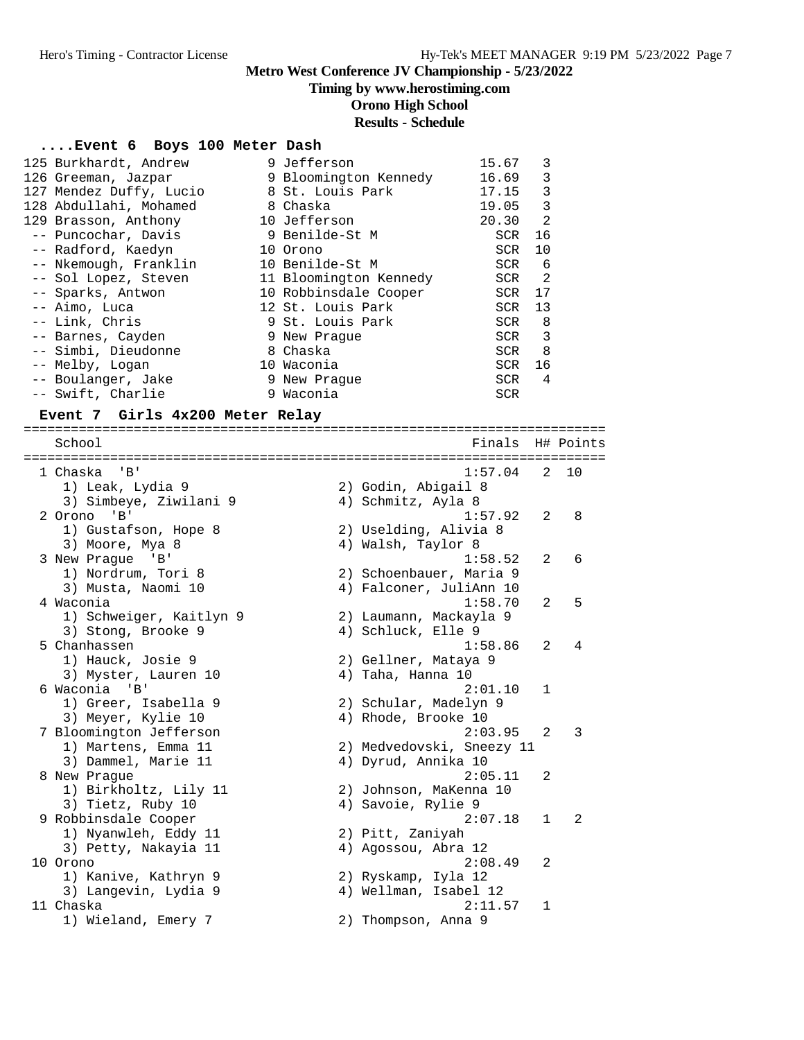# **Timing by www.herostiming.com**

**Orono High School**

# **Results - Schedule**

# **....Event 6 Boys 100 Meter Dash**

| 125 Burkhardt, Andrew   | 9 Jefferson            | 15.67 | 3              |
|-------------------------|------------------------|-------|----------------|
| 126 Greeman, Jazpar     | 9 Bloomington Kennedy  | 16.69 | 3              |
| 127 Mendez Duffy, Lucio | 8 St. Louis Park       | 17.15 | 3              |
| 128 Abdullahi, Mohamed  | 8 Chaska               | 19.05 | 3              |
| 129 Brasson, Anthony    | 10 Jefferson           | 20.30 | 2              |
| -- Puncochar, Davis     | 9 Benilde-St M         | SCR   | 16             |
| -- Radford, Kaedyn      | 10 Orono               | SCR   | 10             |
| -- Nkemough, Franklin   | 10 Benilde-St M        | SCR   | - 6            |
| -- Sol Lopez, Steven    | 11 Bloomington Kennedy | SCR   | $\overline{2}$ |
| -- Sparks, Antwon       | 10 Robbinsdale Cooper  | SCR   | 17             |
| -- Aimo, Luca           | 12 St. Louis Park      | SCR   | 13             |
| -- Link, Chris          | 9 St. Louis Park       | SCR   | 8              |
| -- Barnes, Cayden       | 9 New Praque           | SCR   | 3              |
| -- Simbi, Dieudonne     | 8 Chaska               | SCR   | 8              |
| -- Melby, Logan         | 10 Waconia             | SCR   | 16             |
| -- Boulanger, Jake      | 9 New Praque           | SCR   | 4              |
| -- Swift, Charlie       | 9 Waconia              | SCR   |                |

### **Event 7 Girls 4x200 Meter Relay**

| ===================     |                                                                                                                                                                                                                                                               |         |                                                                                                                                                                                                                                                                                                                                                                                                                                                                                                                   |                  |
|-------------------------|---------------------------------------------------------------------------------------------------------------------------------------------------------------------------------------------------------------------------------------------------------------|---------|-------------------------------------------------------------------------------------------------------------------------------------------------------------------------------------------------------------------------------------------------------------------------------------------------------------------------------------------------------------------------------------------------------------------------------------------------------------------------------------------------------------------|------------------|
|                         |                                                                                                                                                                                                                                                               |         |                                                                                                                                                                                                                                                                                                                                                                                                                                                                                                                   |                  |
| $'$ B $'$               |                                                                                                                                                                                                                                                               | 1:57.04 | 2                                                                                                                                                                                                                                                                                                                                                                                                                                                                                                                 | 1 O              |
|                         |                                                                                                                                                                                                                                                               |         |                                                                                                                                                                                                                                                                                                                                                                                                                                                                                                                   |                  |
|                         |                                                                                                                                                                                                                                                               |         |                                                                                                                                                                                                                                                                                                                                                                                                                                                                                                                   |                  |
| $'$ B $'$               |                                                                                                                                                                                                                                                               | 1:57.92 | 2                                                                                                                                                                                                                                                                                                                                                                                                                                                                                                                 | 8                |
|                         |                                                                                                                                                                                                                                                               |         |                                                                                                                                                                                                                                                                                                                                                                                                                                                                                                                   |                  |
| 3) Moore, Mya 8         |                                                                                                                                                                                                                                                               |         |                                                                                                                                                                                                                                                                                                                                                                                                                                                                                                                   |                  |
| $\mathsf{B}$            |                                                                                                                                                                                                                                                               | 1:58.52 | 2                                                                                                                                                                                                                                                                                                                                                                                                                                                                                                                 | 6                |
| 1) Nordrum, Tori 8      |                                                                                                                                                                                                                                                               |         |                                                                                                                                                                                                                                                                                                                                                                                                                                                                                                                   |                  |
| 3) Musta, Naomi 10      |                                                                                                                                                                                                                                                               |         |                                                                                                                                                                                                                                                                                                                                                                                                                                                                                                                   |                  |
|                         |                                                                                                                                                                                                                                                               | 1:58.70 | 2                                                                                                                                                                                                                                                                                                                                                                                                                                                                                                                 | 5                |
| 1) Schweiger, Kaitlyn 9 |                                                                                                                                                                                                                                                               |         |                                                                                                                                                                                                                                                                                                                                                                                                                                                                                                                   |                  |
| 3) Stong, Brooke 9      |                                                                                                                                                                                                                                                               |         |                                                                                                                                                                                                                                                                                                                                                                                                                                                                                                                   |                  |
|                         |                                                                                                                                                                                                                                                               | 1:58.86 | 2                                                                                                                                                                                                                                                                                                                                                                                                                                                                                                                 | 4                |
| 1) Hauck, Josie 9       |                                                                                                                                                                                                                                                               |         |                                                                                                                                                                                                                                                                                                                                                                                                                                                                                                                   |                  |
| 3) Myster, Lauren 10    |                                                                                                                                                                                                                                                               |         |                                                                                                                                                                                                                                                                                                                                                                                                                                                                                                                   |                  |
|                         |                                                                                                                                                                                                                                                               | 2:01.10 | 1                                                                                                                                                                                                                                                                                                                                                                                                                                                                                                                 |                  |
| 1) Greer, Isabella 9    |                                                                                                                                                                                                                                                               |         |                                                                                                                                                                                                                                                                                                                                                                                                                                                                                                                   |                  |
| 3) Meyer, Kylie 10      |                                                                                                                                                                                                                                                               |         |                                                                                                                                                                                                                                                                                                                                                                                                                                                                                                                   |                  |
|                         |                                                                                                                                                                                                                                                               | 2:03.95 | 2                                                                                                                                                                                                                                                                                                                                                                                                                                                                                                                 | 3                |
| 1) Martens, Emma 11     |                                                                                                                                                                                                                                                               |         |                                                                                                                                                                                                                                                                                                                                                                                                                                                                                                                   |                  |
| 3) Dammel, Marie 11     |                                                                                                                                                                                                                                                               |         |                                                                                                                                                                                                                                                                                                                                                                                                                                                                                                                   |                  |
|                         |                                                                                                                                                                                                                                                               | 2:05.11 | 2                                                                                                                                                                                                                                                                                                                                                                                                                                                                                                                 |                  |
| 1) Birkholtz, Lily 11   |                                                                                                                                                                                                                                                               |         |                                                                                                                                                                                                                                                                                                                                                                                                                                                                                                                   |                  |
| 3) Tietz, Ruby 10       |                                                                                                                                                                                                                                                               |         |                                                                                                                                                                                                                                                                                                                                                                                                                                                                                                                   |                  |
|                         |                                                                                                                                                                                                                                                               | 2:07.18 | $\mathbf{1}$                                                                                                                                                                                                                                                                                                                                                                                                                                                                                                      | 2                |
| 1) Nyanwleh, Eddy 11    |                                                                                                                                                                                                                                                               |         |                                                                                                                                                                                                                                                                                                                                                                                                                                                                                                                   |                  |
| 3) Petty, Nakayia 11    |                                                                                                                                                                                                                                                               |         |                                                                                                                                                                                                                                                                                                                                                                                                                                                                                                                   |                  |
|                         |                                                                                                                                                                                                                                                               | 2:08.49 | 2                                                                                                                                                                                                                                                                                                                                                                                                                                                                                                                 |                  |
| 1) Kanive, Kathryn 9    |                                                                                                                                                                                                                                                               |         |                                                                                                                                                                                                                                                                                                                                                                                                                                                                                                                   |                  |
| 3) Langevin, Lydia 9    |                                                                                                                                                                                                                                                               |         |                                                                                                                                                                                                                                                                                                                                                                                                                                                                                                                   |                  |
|                         |                                                                                                                                                                                                                                                               | 2:11.57 | 1                                                                                                                                                                                                                                                                                                                                                                                                                                                                                                                 |                  |
| 1) Wieland, Emery 7     |                                                                                                                                                                                                                                                               |         |                                                                                                                                                                                                                                                                                                                                                                                                                                                                                                                   |                  |
|                         | School<br>1 Chaska<br>1) Leak, Lydia 9<br>3) Simbeye, Ziwilani 9<br>2 Orono<br>1) Gustafson, Hope 8<br>3 New Praque<br>4 Waconia<br>5 Chanhassen<br>6 Waconia 'B'<br>7 Bloomington Jefferson<br>8 New Prague<br>9 Robbinsdale Cooper<br>10 Orono<br>11 Chaska |         | 2) Godin, Abigail 8<br>4) Schmitz, Ayla 8<br>2) Uselding, Alivia 8<br>4) Walsh, Taylor 8<br>2) Schoenbauer, Maria 9<br>4) Falconer, JuliAnn 10<br>2) Laumann, Mackayla 9<br>4) Schluck, Elle 9<br>2) Gellner, Mataya 9<br>4) Taha, Hanna 10<br>2) Schular, Madelyn 9<br>4) Rhode, Brooke 10<br>2) Medvedovski, Sneezy 11<br>4) Dyrud, Annika 10<br>2) Johnson, MaKenna 10<br>4) Savoie, Rylie 9<br>2) Pitt, Zaniyah<br>4) Agossou, Abra 12<br>2) Ryskamp, Iyla 12<br>4) Wellman, Isabel 12<br>2) Thompson, Anna 9 | Finals H# Points |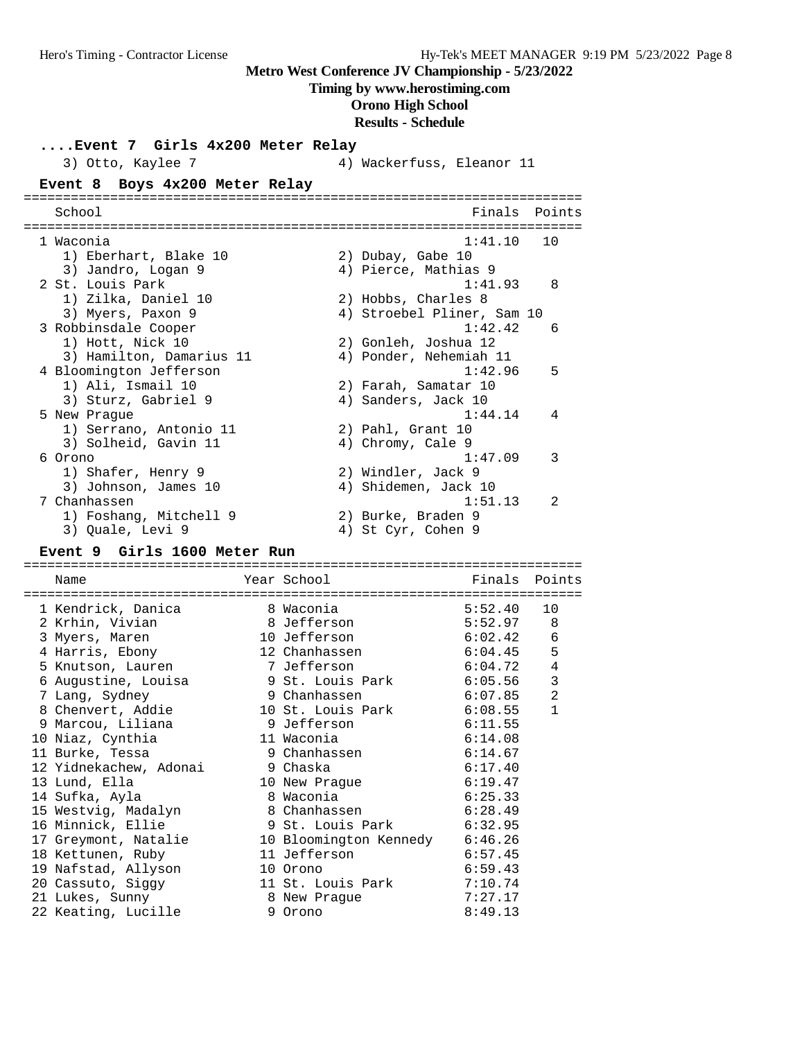#### **Timing by www.herostiming.com**

# **Orono High School**

#### **Results - Schedule**

**....Event 7 Girls 4x200 Meter Relay**

|         | Finals Points                                                                                                                                                                                                                                                                                                                                                    |
|---------|------------------------------------------------------------------------------------------------------------------------------------------------------------------------------------------------------------------------------------------------------------------------------------------------------------------------------------------------------------------|
| 1:41.10 | 1 O                                                                                                                                                                                                                                                                                                                                                              |
|         |                                                                                                                                                                                                                                                                                                                                                                  |
|         |                                                                                                                                                                                                                                                                                                                                                                  |
| 1:41.93 | 8                                                                                                                                                                                                                                                                                                                                                                |
|         |                                                                                                                                                                                                                                                                                                                                                                  |
|         |                                                                                                                                                                                                                                                                                                                                                                  |
| 1:42.42 | 6                                                                                                                                                                                                                                                                                                                                                                |
|         |                                                                                                                                                                                                                                                                                                                                                                  |
|         |                                                                                                                                                                                                                                                                                                                                                                  |
| 1:42.96 | 5                                                                                                                                                                                                                                                                                                                                                                |
|         |                                                                                                                                                                                                                                                                                                                                                                  |
|         |                                                                                                                                                                                                                                                                                                                                                                  |
| 1:44.14 | 4                                                                                                                                                                                                                                                                                                                                                                |
|         |                                                                                                                                                                                                                                                                                                                                                                  |
|         |                                                                                                                                                                                                                                                                                                                                                                  |
| 1:47.09 | 3                                                                                                                                                                                                                                                                                                                                                                |
|         |                                                                                                                                                                                                                                                                                                                                                                  |
|         |                                                                                                                                                                                                                                                                                                                                                                  |
| 1:51.13 | $\mathfrak{D}$                                                                                                                                                                                                                                                                                                                                                   |
|         |                                                                                                                                                                                                                                                                                                                                                                  |
|         |                                                                                                                                                                                                                                                                                                                                                                  |
|         | 4) Wackerfuss, Eleanor 11<br>2) Dubay, Gabe 10<br>4) Pierce, Mathias 9<br>2) Hobbs, Charles 8<br>4) Stroebel Pliner, Sam 10<br>2) Gonleh, Joshua 12<br>4) Ponder, Nehemiah 11<br>2) Farah, Samatar 10<br>4) Sanders, Jack 10<br>2) Pahl, Grant 10<br>4) Chromy, Cale 9<br>2) Windler, Jack 9<br>4) Shidemen, Jack 10<br>2) Burke, Braden 9<br>4) St Cyr, Cohen 9 |

#### **Event 9 Girls 1600 Meter Run**

======================================================================= Name **Name** Year School **Finals Points** ======================================================================= 1 Kendrick, Danica 8 Waconia 5:52.40 10 2 Krhin, Vivian 8 Jefferson 5:52.97 8 3 Myers, Maren 10 Jefferson 6:02.42 6 4 Harris, Ebony 12 Chanhassen 6:04.45 5 5 Knutson, Lauren 7 Jefferson 6:04.72 4 6 Augustine, Louisa 9 St. Louis Park 6:05.56 3 7 Lang, Sydney 9 Chanhassen 6:07.85 2 8 Chenvert, Addie 10 St. Louis Park 6:08.55 1 9 Marcou, Liliana 9 Jefferson 6:11.55 10 Niaz, Cynthia 11 Waconia 6:14.08 11 Burke, Tessa 9 Chanhassen 6:14.67 12 Yidnekachew, Adonai 9 Chaska 6:17.40 13 Lund, Ella 10 New Prague 6:19.47 14 Sufka, Ayla 8 Waconia 6:25.33 15 Westvig, Madalyn 8 Chanhassen 6:28.49 16 Minnick, Ellie 9 St. Louis Park 6:32.95 17 Greymont, Natalie 10 Bloomington Kennedy 6:46.26 18 Kettunen, Ruby 11 Jefferson 6:57.45 19 Nafstad, Allyson 10 Orono 6:59.43 20 Cassuto, Siggy 11 St. Louis Park 7:10.74 21 Lukes, Sunny 8 New Prague 7:27.17 22 Keating, Lucille 9 Orono 8:49.13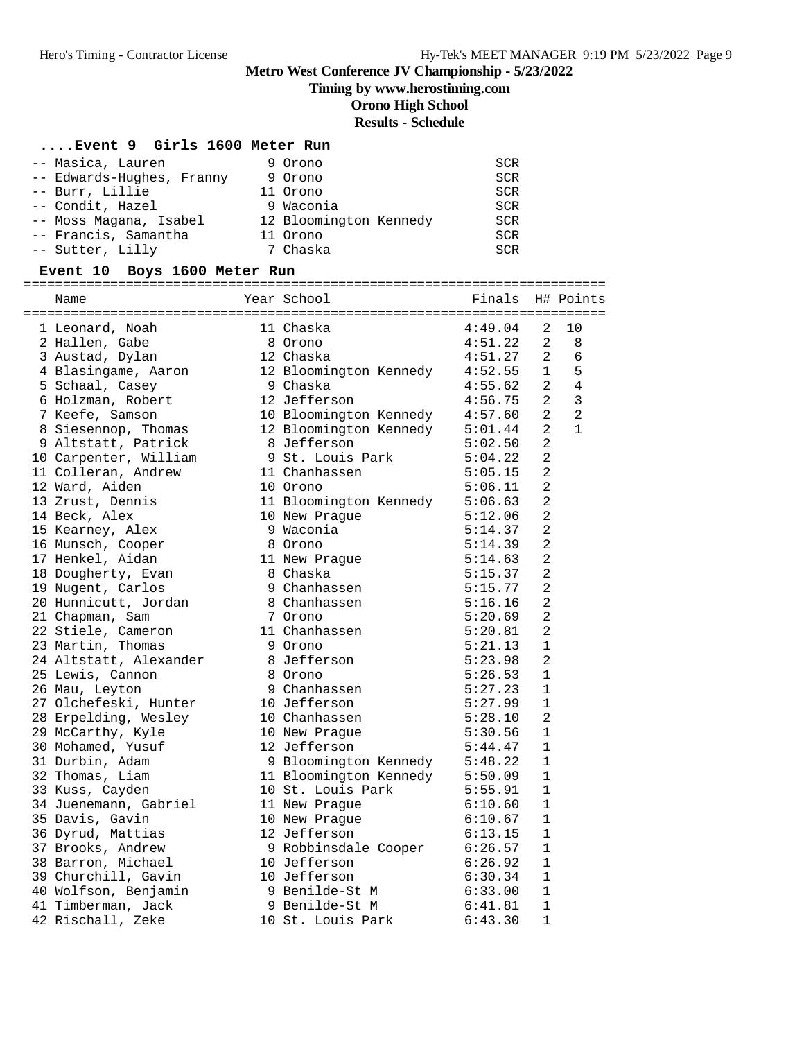# **Timing by www.herostiming.com**

**Orono High School**

# **Results - Schedule**

# **....Event 9 Girls 1600 Meter Run**

| -- Masica, Lauren         | 9 Orono   |                        | <b>SCR</b> |
|---------------------------|-----------|------------------------|------------|
| -- Edwards-Hughes, Franny | 9 Orono   |                        | SCR        |
| -- Burr, Lillie           | 11 Orono  |                        | <b>SCR</b> |
| -- Condit, Hazel          | 9 Waconia |                        | <b>SCR</b> |
| -- Moss Magana, Isabel    |           | 12 Bloomington Kennedy | <b>SCR</b> |
| -- Francis, Samantha      | 11 Orono  |                        | <b>SCR</b> |
| -- Sutter, Lilly          | 7 Chaska  |                        | SCR        |

| Event 10 Boys 1600 Meter Run |                                |                  |                |                |
|------------------------------|--------------------------------|------------------|----------------|----------------|
| Name                         | Year School                    | Finals H# Points |                |                |
| 1 Leonard, Noah              | 11 Chaska                      | 4:49.04          | 2              | 10             |
| 2 Hallen, Gabe               | 8 Orono                        | 4:51.22          | 2              | 8              |
| 3 Austad, Dylan              | 12 Chaska                      | 4:51.27          | 2              | 6              |
| 4 Blasingame, Aaron          | 12 Bloomington Kennedy 4:52.55 |                  | $\mathbf{1}$   | 5              |
| 5 Schaal, Casey              | 9 Chaska                       | 4:55.62          | 2              | 4              |
| 6 Holzman, Robert            | 12 Jefferson                   | 4:56.75          | 2              | 3              |
| 7 Keefe, Samson              | 10 Bloomington Kennedy         | 4:57.60          | $\overline{2}$ | $\overline{2}$ |
| 8 Siesennop, Thomas          | 12 Bloomington Kennedy         | 5:01.44          | $\overline{2}$ | $\mathbf{1}$   |
| 9 Altstatt, Patrick          | 8 Jefferson                    | 5:02.50          | 2              |                |
| 10 Carpenter, William        | 9 St. Louis Park               | 5:04.22          | 2              |                |
| 11 Colleran, Andrew          | 11 Chanhassen                  | 5:05.15          | 2              |                |
| 12 Ward, Aiden               | 10 Orono                       | 5:06.11          | 2              |                |
| 13 Zrust, Dennis             | 11 Bloomington Kennedy 5:06.63 |                  | 2              |                |
| 14 Beck, Alex                | 10 New Prague                  | 5:12.06          | $\overline{a}$ |                |
| 15 Kearney, Alex             | 9 Waconia                      | 5:14.37          | $\overline{2}$ |                |
| 16 Munsch, Cooper            | 8 Orono                        | 5:14.39          | $\overline{a}$ |                |
| 17 Henkel, Aidan             | 11 New Prague                  | 5:14.63          | 2              |                |
| 18 Dougherty, Evan           | 8 Chaska                       | 5:15.37          | $\overline{2}$ |                |
| 19 Nugent, Carlos            | 9 Chanhassen                   | 5:15.77          | 2              |                |
| 20 Hunnicutt, Jordan         | 8 Chanhassen                   | 5:16.16          | $\overline{a}$ |                |
| 21 Chapman, Sam              | 7 Orono                        | 5:20.69          | $\overline{2}$ |                |
| 22 Stiele, Cameron           | 11 Chanhassen                  | 5:20.81          | 2              |                |
| 23 Martin, Thomas            | 9 Orono                        | 5:21.13          | 1              |                |
| 24 Altstatt, Alexander       | 8 Jefferson                    | 5:23.98          | 2              |                |
| 25 Lewis, Cannon             | 8 Orono                        | 5:26.53          | $\mathbf{1}$   |                |
| 26 Mau, Leyton               | 9 Chanhassen                   | 5:27.23          | $\mathbf{1}$   |                |
| 27 Olchefeski, Hunter        | 10 Jefferson                   | 5:27.99          | 1              |                |
| 28 Erpelding, Wesley         | 10 Chanhassen                  | 5:28.10          | 2              |                |
| 29 McCarthy, Kyle            | 10 New Praque                  | 5:30.56          | 1              |                |
| 30 Mohamed, Yusuf            | 12 Jefferson                   | 5:44.47          | $\mathbf{1}$   |                |
| 31 Durbin, Adam              | 9 Bloomington Kennedy 5:48.22  |                  | $\mathbf{1}$   |                |
| 32 Thomas, Liam              | 11 Bloomington Kennedy 5:50.09 |                  | $\mathbf{1}$   |                |
| 33 Kuss, Cayden              | 10 St. Louis Park              | 5:55.91          | 1              |                |
| 34 Juenemann, Gabriel        | 11 New Prague                  | 6:10.60          | 1              |                |
| 35 Davis, Gavin              | 10 New Prague                  | 6:10.67          | 1              |                |
| 36 Dyrud, Mattias            | 12 Jefferson                   | 6:13.15          | $\mathbf{1}$   |                |
| 37 Brooks, Andrew            | 9 Robbinsdale Cooper           | 6:26.57          | $\overline{1}$ |                |
| 38 Barron, Michael           | 10 Jefferson                   | 6:26.92          | 1              |                |
| 39 Churchill, Gavin          | 10 Jefferson                   | 6:30.34          | $\mathbf{1}$   |                |
| 40 Wolfson, Benjamin         | 9 Benilde-St M                 | 6:33.00          | $\mathbf{1}$   |                |
| 41 Timberman, Jack           | 9 Benilde-St M                 | 6:41.81          | $\mathbf 1$    |                |
| 42 Rischall, Zeke            | 10 St. Louis Park              | 6:43.30          | 1              |                |
|                              |                                |                  |                |                |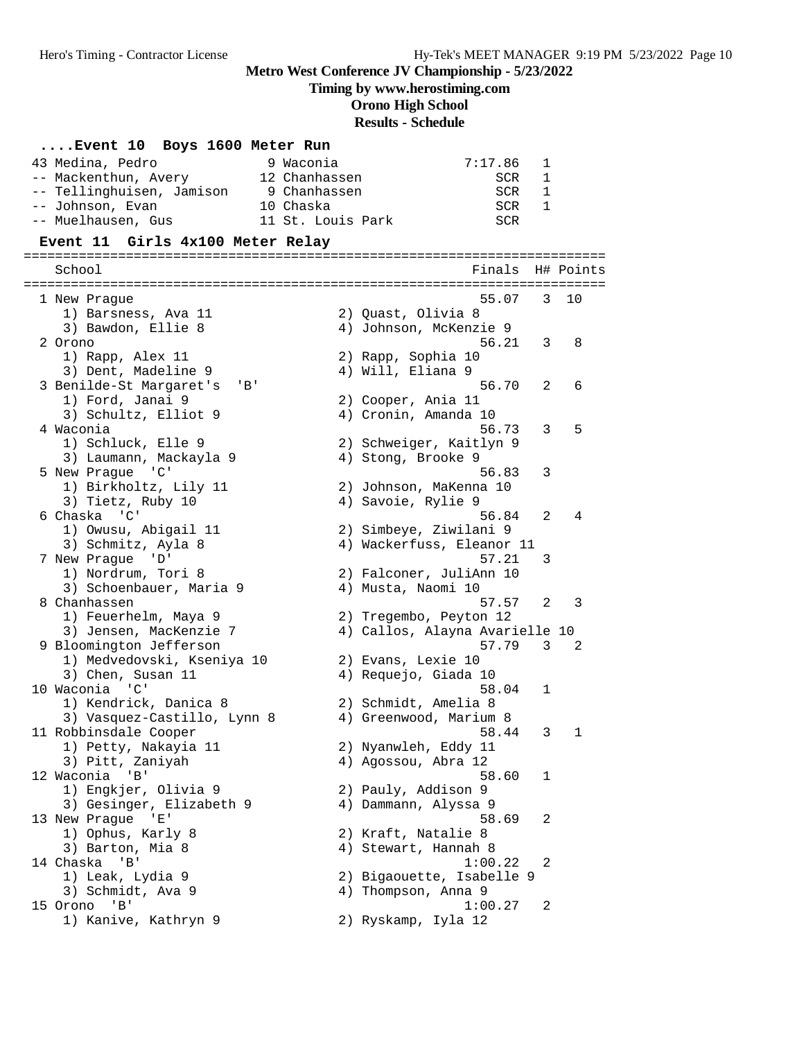### **Timing by www.herostiming.com**

**Orono High School**

# **Results - Schedule**

#### **....Event 10 Boys 1600 Meter Run**

| 43 Medina, Pedro          | 9 Waconia |                   | 7:17.86 | $\mathbf{1}$ |
|---------------------------|-----------|-------------------|---------|--------------|
| -- Mackenthun, Avery      |           | 12 Chanhassen     | SCR     | 1            |
| -- Tellinghuisen, Jamison |           | 9 Chanhassen      | SCR     | 1            |
| -- Johnson, Evan          | 10 Chaska |                   | SCR     | <sup>1</sup> |
| -- Muelhausen, Gus        |           | 11 St. Louis Park | SCR     |              |

#### **Event 11 Girls 4x100 Meter Relay**

========================================================================== School **Finals H# Points** ========================================================================== 1 New Prague 55.07 3 10 1) Barsness, Ava 11 120 2) Quast, Olivia 8 3) Bawdon, Ellie 8 4) Johnson, McKenzie 9 2 Orono 56.21 3 8 1) Rapp, Alex 11 2) Rapp, Sophia 10 3) Dent, Madeline 9 4) Will, Eliana 9 3 Benilde-St Margaret's 'B' 56.70 2 6 1) Ford, Janai 9 2) Cooper, Ania 11 3) Schultz, Elliot 9 (4) Cronin, Amanda 10 4 Waconia 56.73 3 5 1) Schluck, Elle 9 2) Schweiger, Kaitlyn 9 3) Laumann, Mackayla 9 4) Stong, Brooke 9 5 New Prague 'C' 56.83 3 1) Birkholtz, Lily 11 2) Johnson, MaKenna 10 3) Tietz, Ruby 10 (4) Savoie, Rylie 9 6 Chaska 'C' 56.84 2 4 1) Owusu, Abigail 11 2) Simbeye, Ziwilani 9 3) Schmitz, Ayla 8 4) Wackerfuss, Eleanor 11 7 New Prague 'D' 57.21 3 1) Nordrum, Tori 8 2) Falconer, JuliAnn 10 3) Schoenbauer, Maria 9 (4) Musta, Naomi 10 8 Chanhassen 57.57 2 3 1) Feuerhelm, Maya 9 2) Tregembo, Peyton 12 3) Jensen, MacKenzie 7 4) Callos, Alayna Avarielle 10 9 Bloomington Jefferson 57.79 3 2 1) Medvedovski, Kseniya 10 2) Evans, Lexie 10 3) Chen, Susan 11 (4) Requejo, Giada 10 10 Waconia 'C' 58.04 1 1) Kendrick, Danica 8 2) Schmidt, Amelia 8 3) Vasquez-Castillo, Lynn 8 4) Greenwood, Marium 8 11 Robbinsdale Cooper 58.44 3 1 1) Petty, Nakayia 11 2) Nyanwleh, Eddy 11 3) Pitt, Zaniyah  $4)$  Agossou, Abra 12 12 Waconia 'B' 58.60 1 1) Engkjer, Olivia 9 2) Pauly, Addison 9 3) Gesinger, Elizabeth 9 4) Dammann, Alyssa 9 13 New Prague 'E' 58.69 2 1) Ophus, Karly 8 2) Kraft, Natalie 8 3) Barton, Mia 8 4) Stewart, Hannah 8 14 Chaska 'B' 1:00.22 2 1) Leak, Lydia 9 2) Bigaouette, Isabelle 9 3) Schmidt, Ava 9 4) Thompson, Anna 9 15 Orono 'B' 1:00.27 2 1) Kanive, Kathryn 9 2) Ryskamp, Iyla 12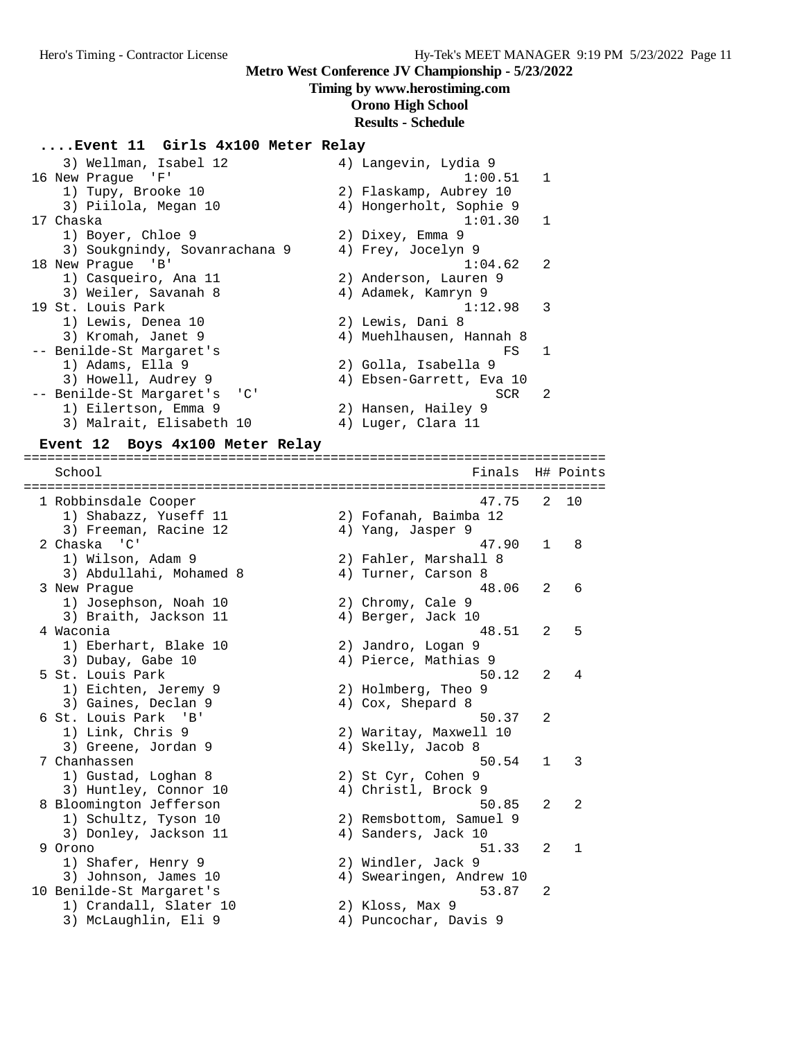#### **Timing by www.herostiming.com**

# **Orono High School**

### **Results - Schedule**

#### **....Event 11 Girls 4x100 Meter Relay**

| 3) Wellman, Isabel 12                                | 4) Langevin, Lydia 9      |
|------------------------------------------------------|---------------------------|
| 16 New Praque 'F'                                    | 1:00.51 1                 |
| 1) Tupy, Brooke 10                                   | 2) Flaskamp, Aubrey 10    |
| 3) Piilola, Megan 10                                 | 4) Hongerholt, Sophie 9   |
| 17 Chaska                                            | 1:01.30 1                 |
| 1) Boyer, Chloe 9                                    | 2) Dixey, Emma 9          |
| 3) Soukgnindy, Sovanrachana 9                        | 4) Frey, Jocelyn 9        |
| 18 New Praque 'B'                                    | 1:04.62<br>$\overline{2}$ |
| 1) Casqueiro, Ana 11                                 | 2) Anderson, Lauren 9     |
| 3) Weiler, Savanah 8                                 | 4) Adamek, Kamryn 9       |
| 19 St. Louis Park                                    | $1:12.98$ 3               |
| 1) Lewis, Denea 10                                   | 2) Lewis, Dani 8          |
| 3) Kromah, Janet 9                                   | 4) Muehlhausen, Hannah 8  |
| -- Benilde-St Margaret's                             | $\overline{1}$<br>FS      |
| 1) Adams, Ella 9                                     | 2) Golla, Isabella 9      |
| 3) Howell, Audrey 9                                  | 4) Ebsen-Garrett, Eva 10  |
| -- Benilde-St Margaret's<br>$\overline{\phantom{a}}$ | 2<br>SCR                  |
| 1) Eilertson, Emma 9                                 | 2) Hansen, Hailey 9       |
| 3) Malrait, Elisabeth 10                             | 4) Luger, Clara 11        |

#### **Event 12 Boys 4x100 Meter Relay**

========================================================================== School **Finals** H# Points ========================================================================== 1 Robbinsdale Cooper 47.75 2 10 1) Shabazz, Yuseff 11 2) Fofanah, Baimba 12 3) Freeman, Racine 12 (4) Yang, Jasper 9 2 Chaska 'C' 47.90 1 8 1) Wilson, Adam 9 2) Fahler, Marshall 8 3) Abdullahi, Mohamed 8 4) Turner, Carson 8 3 New Prague 48.06 2 6 1) Josephson, Noah 10 2) Chromy, Cale 9 3) Braith, Jackson 11 (4) Berger, Jack 10 4 Waconia 48.51 2 5 1) Eberhart, Blake 10 2) Jandro, Logan 9 3) Dubay, Gabe 10 4) Pierce, Mathias 9 5 St. Louis Park 50.12 2 4 1) Eichten, Jeremy 9 2) Holmberg, Theo 9 3) Gaines, Declan 9 4) Cox, Shepard 8 6 St. Louis Park 'B' 50.37 2 1) Link, Chris 9 2) Waritay, Maxwell 10 3) Greene, Jordan 9 (4) Skelly, Jacob 8 7 Chanhassen 50.54 1 3 1) Gustad, Loghan 8 2) St Cyr, Cohen 9 3) Huntley, Connor 10 (4) Christl, Brock 9 8 Bloomington Jefferson 50.85 2 2 1) 8 Bloomington Jefferson<br>
1) Schultz, Tyson 10 2) Remsbottom, Samuel 9<br>
3) Donley, Jackson 11 4) Sanders, Jack 10 3) Donley, Jackson 11 4) Sanders, Jack 10 9 Orono 51.33 2 1 1) Shafer, Henry 9 2) Windler, Jack 9 3) Johnson, James 10 4) Swearingen, Andrew 10 10 Benilde-St Margaret's 53.87 2 1) Crandall, Slater 10 2) Kloss, Max 9 3) McLaughlin, Eli 9 4) Puncochar, Davis 9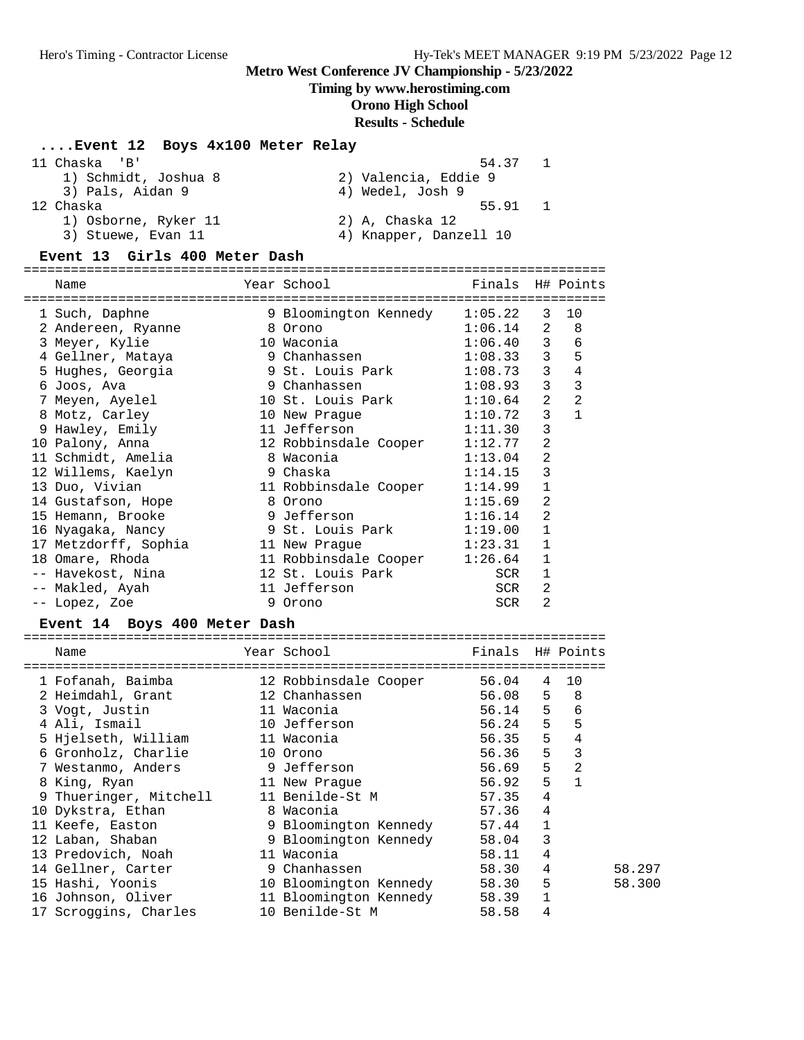### **Timing by www.herostiming.com**

# **Orono High School**

### **Results - Schedule**

# **....Event 12 Boys 4x100 Meter Relay**

| 11 Chaska 'B'        | 54.37                  |  |
|----------------------|------------------------|--|
| 1) Schmidt, Joshua 8 | 2) Valencia, Eddie 9   |  |
| 3) Pals, Aidan 9     | 4) Wedel, Josh 9       |  |
| 12 Chaska            | 55.91                  |  |
| 1) Osborne, Ryker 11 | 2) A, Chaska 12        |  |
| 3) Stuewe, Evan 11   | 4) Knapper, Danzell 10 |  |
|                      |                        |  |

#### **Event 13 Girls 400 Meter Dash**

#### ========================================================================== Name Year School Finals H# Points

| Name                    |   | Year School           | Finals  |                | H# Points      |
|-------------------------|---|-----------------------|---------|----------------|----------------|
| ======================= |   |                       |         |                |                |
| 1 Such, Daphne          |   | 9 Bloomington Kennedy | 1:05.22 | 3              | 10             |
| 2 Andereen, Ryanne      |   | 8 Orono               | 1:06.14 | $\overline{2}$ | 8              |
| 3 Meyer, Kylie          |   | 10 Waconia            | 1:06.40 | $\mathbf{3}$   | $\epsilon$     |
| 4 Gellner, Mataya       |   | 9 Chanhassen          | 1:08.33 | $\mathsf{3}$   | 5              |
| 5 Hughes, Georgia       |   | 9 St. Louis Park      | 1:08.73 | $\mathsf{3}$   | 4              |
| 6 Joos, Ava             |   | 9 Chanhassen          | 1:08.93 | 3              | $\overline{3}$ |
| 7 Meyen, Ayelel         |   | 10 St. Louis Park     | 1:10.64 | $\overline{2}$ | $\overline{2}$ |
| 8 Motz, Carley          |   | 10 New Praque         | 1:10.72 | 3              | $\mathbf{1}$   |
| 9 Hawley, Emily         |   | 11 Jefferson          | 1:11.30 | 3              |                |
| 10 Palony, Anna         |   | 12 Robbinsdale Cooper | 1:12.77 | 2              |                |
| 11 Schmidt, Amelia      |   | 8 Waconia             | 1:13.04 | 2              |                |
| 12 Willems, Kaelyn      |   | 9 Chaska              | 1:14.15 | 3              |                |
| 13 Duo, Vivian          |   | 11 Robbinsdale Cooper | 1:14.99 | 1              |                |
| 14 Gustafson, Hope      |   | 8 Orono               | 1:15.69 | $\overline{2}$ |                |
| 15 Hemann, Brooke       |   | 9 Jefferson           | 1:16.14 | 2              |                |
| 16 Nyaqaka, Nancy       |   | 9 St. Louis Park      | 1:19.00 | 1              |                |
| 17 Metzdorff, Sophia    |   | 11 New Praque         | 1:23.31 | 1              |                |
| 18 Omare, Rhoda         |   | 11 Robbinsdale Cooper | 1:26.64 | 1              |                |
| -- Havekost, Nina       |   | 12 St. Louis Park     | SCR     | 1              |                |
| -- Makled, Ayah         |   | 11 Jefferson          | SCR     | 2              |                |
| -- Lopez, Zoe           | 9 | Orono                 | SCR     | 2              |                |
|                         |   |                       |         |                |                |

### **Event 14 Boys 400 Meter Dash**

| Name                                                  | Year School <b>Sand</b> | Finals H# Points |                |        |
|-------------------------------------------------------|-------------------------|------------------|----------------|--------|
| 1 Fofanah, Baimba               12 Robbinsdale Cooper |                         | 56.04            |                | 4 10   |
| 2 Heimdahl, Grant                                     | 12 Chanhassen           | 56.08 5          |                | - 8    |
| 3 Vogt, Justin                                        | 11 Waconia              | 56.14 5          |                | 6      |
| 4 Ali, Ismail                                         | 10 Jefferson            | 56.24            | 5              | 5      |
| 5 Hjelseth, William                                   | 11 Waconia              | 56.35            | 5              | 4      |
| 6 Gronholz, Charlie                                   | 10 Orono                | 56.36            | 5              | 3      |
| 7 Westanmo, Anders                                    | 9 Jefferson             | 56.69            | 5              | 2      |
| 8 King, Ryan                                          | 11 New Prague           | 56.92            | 5              |        |
| 9 Thueringer, Mitchell 11 Benilde-St M                |                         | 57.35            | $\overline{4}$ |        |
| 10 Dykstra, Ethan                                     | 8 Waconia               | 57.36            | $\overline{4}$ |        |
| 11 Keefe, Easton                                      | 9 Bloomington Kennedy   | 57.44            | $\mathbf{1}$   |        |
| 12 Laban, Shaban                                      | 9 Bloomington Kennedy   | 58.04            | 3              |        |
| 13 Predovich, Noah                                    | 11 Waconia              | 58.11            | 4              |        |
| 14 Gellner, Carter                                    | 9 Chanhassen            | 58.30            | 4              | 58.297 |
| 15 Hashi, Yoonis                                      | 10 Bloomington Kennedy  | 58.30            | 5              | 58.300 |
| 16 Johnson, Oliver                                    | 11 Bloomington Kennedy  | 58.39            | $\mathbf{1}$   |        |
| 17 Scroggins, Charles                                 | 10 Benilde-St M         | 58.58            | 4              |        |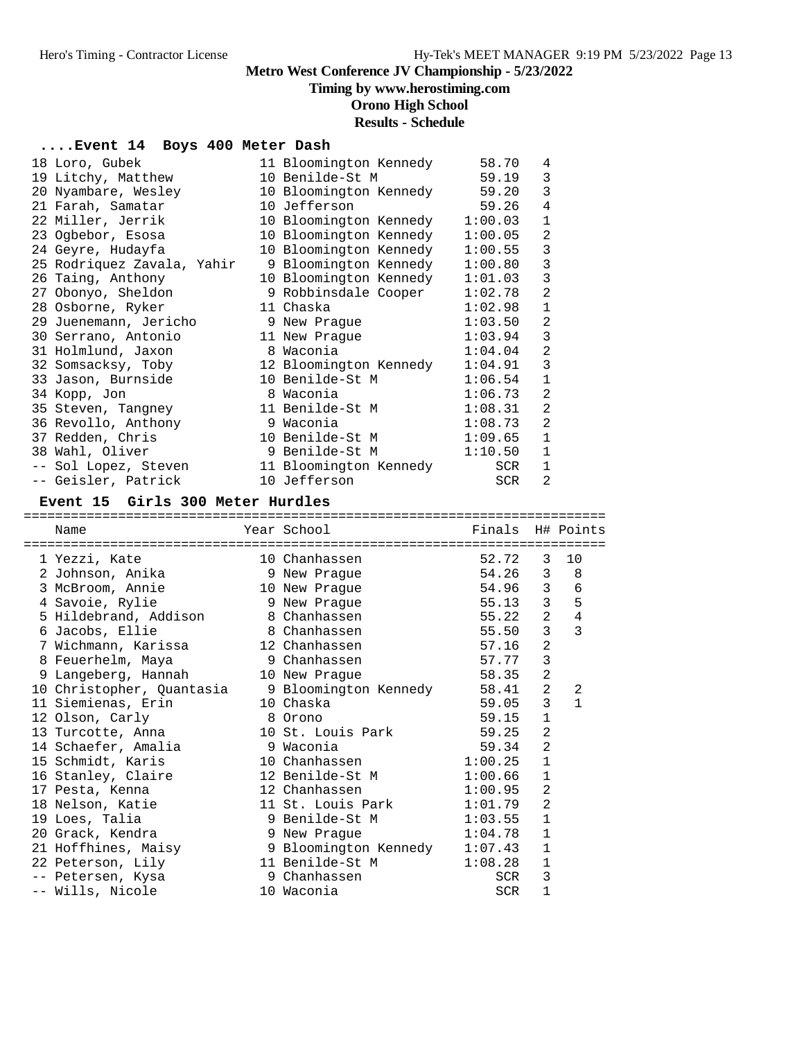#### **Timing by www.herostiming.com**

**Orono High School**

# **Results - Schedule**

#### **....Event 14 Boys 400 Meter Dash**

| 18 Loro, Gubek             | 11 Bloomington Kennedy | 58.70   | 4              |
|----------------------------|------------------------|---------|----------------|
| 19 Litchy, Matthew         | 10 Benilde-St M        | 59.19   | 3              |
| 20 Nyambare, Wesley        | 10 Bloomington Kennedy | 59.20   | 3              |
| 21 Farah, Samatar          | 10 Jefferson           | 59.26   | $\overline{4}$ |
| 22 Miller, Jerrik          | 10 Bloomington Kennedy | 1:00.03 | $\mathbf{1}$   |
| 23 Ogbebor, Esosa          | 10 Bloomington Kennedy | 1:00.05 | 2              |
| 24 Geyre, Hudayfa          | 10 Bloomington Kennedy | 1:00.55 | $\mathbf{3}$   |
| 25 Rodriquez Zavala, Yahir | 9 Bloomington Kennedy  | 1:00.80 | $\mathsf 3$    |
| 26 Taing, Anthony          | 10 Bloomington Kennedy | 1:01.03 | $\mathbf{3}$   |
| 27 Obonyo, Sheldon         | 9 Robbinsdale Cooper   | 1:02.78 | $\overline{2}$ |
| 28 Osborne, Ryker          | 11 Chaska              | 1:02.98 | $\mathbf{1}$   |
| 29 Juenemann, Jericho      | 9 New Prague           | 1:03.50 | 2              |
| 30 Serrano, Antonio        | 11 New Praque          | 1:03.94 | 3              |
| 31 Holmlund, Jaxon         | 8 Waconia              | 1:04.04 | $\sqrt{2}$     |
| 32 Somsacksy, Toby         | 12 Bloomington Kennedy | 1:04.91 | 3              |
| 33 Jason, Burnside         | 10 Benilde-St M        | 1:06.54 | $\mathbf{1}$   |
| 34 Kopp, Jon               | 8 Waconia              | 1:06.73 | 2              |
| 35 Steven, Tangney         | 11 Benilde-St M        | 1:08.31 | $\overline{a}$ |
| 36 Revollo, Anthony        | 9 Waconia              | 1:08.73 | 2              |
| 37 Redden, Chris           | 10 Benilde-St M        | 1:09.65 | $\mathbf{1}$   |
| 38 Wahl, Oliver            | 9 Benilde-St M         | 1:10.50 | $\mathbf{1}$   |
| -- Sol Lopez, Steven       | 11 Bloomington Kennedy | SCR     | $\mathbf 1$    |
| -- Geisler, Patrick        | 10 Jefferson           | SCR     | $\overline{2}$ |

#### **Event 15 Girls 300 Meter Hurdles**

========================================================================== Name Year School Finals H# Points ========================================================================== 1 Yezzi, Kate 10 Chanhassen 52.72 3 10 2 Johnson, Anika 9 New Prague 54.26 3 8 3 McBroom, Annie 10 New Prague 54.96 3 6 4 Savoie, Rylie 9 New Prague 55.13 3 5 5 Hildebrand, Addison 8 Chanhassen 55.22 2 4 6 Jacobs, Ellie 8 Chanhassen 55.50 3 3 7 Wichmann, Karissa 12 Chanhassen 57.16 2 8 Feuerhelm, Maya 9 Chanhassen 57.77 3 9 Langeberg, Hannah 10 New Prague 58.35 2 10 Christopher, Quantasia 9 Bloomington Kennedy 58.41 2 2 11 Siemienas, Erin 10 Chaska 59.05 3 1 12 Olson, Carly 8 Orono 59.15 1 13 Turcotte, Anna 10 St. Louis Park 59.25 2 14 Schaefer, Amalia 9 Waconia 59.34 2 15 Schmidt, Karis 10 Chanhassen 1:00.25 1 16 Stanley, Claire 12 Benilde-St M 1:00.66 1 17 Pesta, Kenna 12 Chanhassen 1:00.95 2 18 Nelson, Katie 11 St. Louis Park 1:01.79 2 19 Loes, Talia 9 Benilde-St M 1:03.55 1 20 Grack, Kendra 9 New Prague 1:04.78 1 21 Hoffhines, Maisy 9 Bloomington Kennedy 1:07.43 1 22 Peterson, Lily 11 Benilde-St M 1:08.28 1 -- Petersen, Kysa 9 Chanhassen SCR 3 -- Wills, Nicole 10 Waconia SCR 1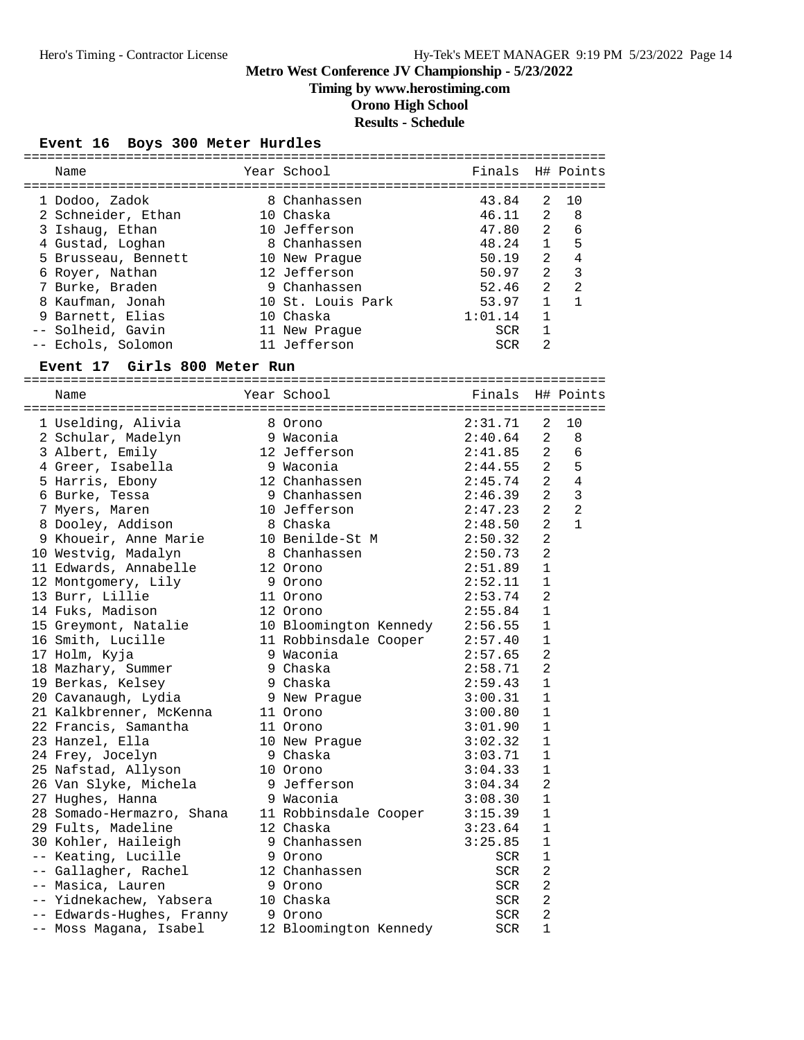**Timing by www.herostiming.com**

# **Orono High School**

# **Results - Schedule**

### **Event 16 Boys 300 Meter Hurdles**

| Name                         | Year School            | Finals           |                | H# Points      |
|------------------------------|------------------------|------------------|----------------|----------------|
|                              |                        |                  |                |                |
| 1 Dodoo, Zadok               | 8 Chanhassen           | 43.84            | 2              | 10             |
| 2 Schneider, Ethan           | 10 Chaska              | 46.11            | 2              | 8              |
| 3 Ishaug, Ethan              | 10 Jefferson           | 47.80            | $\overline{a}$ | 6              |
| 4 Gustad, Loghan             | 8 Chanhassen           | 48.24            | $\mathbf{1}$   | 5              |
| 5 Brusseau, Bennett          | 10 New Prague          | 50.19            | 2              | 4              |
| 6 Royer, Nathan              | 12 Jefferson           | 50.97            | $\overline{a}$ | 3              |
| 7 Burke, Braden              | 9 Chanhassen           | 52.46            | $\overline{2}$ | 2              |
| 8 Kaufman, Jonah             | 10 St. Louis Park      | 53.97            | $\mathbf{1}$   | $\mathbf{1}$   |
| 9 Barnett, Elias             | 10 Chaska              | 1:01.14          | $\mathbf{1}$   |                |
| -- Solheid, Gavin            | 11 New Praque          | SCR              | $\mathbf{1}$   |                |
| -- Echols, Solomon           | 11 Jefferson           | SCR              | 2              |                |
|                              |                        |                  |                |                |
| Event 17 Girls 800 Meter Run |                        |                  |                |                |
| Name                         | Year School            | Finals H# Points |                |                |
|                              |                        |                  |                |                |
| 1 Uselding, Alivia           | 8 Orono                | 2:31.71          | 2              | 10             |
| 2 Schular, Madelyn           | 9 Waconia              | 2:40.64          | 2              | 8              |
| 3 Albert, Emily              | 12 Jefferson           | 2:41.85          | 2              | 6              |
| 4 Greer, Isabella            | 9 Waconia              | 2:44.55          | 2              | 5              |
| 5 Harris, Ebony              | 12 Chanhassen          | 2:45.74          | $\overline{a}$ | $\overline{4}$ |
| 6 Burke, Tessa               | 9 Chanhassen           | 2:46.39          | $\overline{a}$ | 3              |
| 7 Myers, Maren               | 10 Jefferson           | 2:47.23          | $\overline{a}$ | $\overline{a}$ |
| 8 Dooley, Addison            | 8 Chaska               | 2:48.50          | $\overline{2}$ | $\mathbf{1}$   |
| 9 Khoueir, Anne Marie        | 10 Benilde-St M        | 2:50.32          | $\overline{a}$ |                |
| 10 Westvig, Madalyn          | 8 Chanhassen           | 2:50.73          | $\overline{a}$ |                |
| 11 Edwards, Annabelle        | 12 Orono               | 2:51.89          | $\mathbf 1$    |                |
| 12 Montgomery, Lily          | 9 Orono                | 2:52.11          | 1              |                |
| 13 Burr, Lillie              | 11 Orono               | 2:53.74          | 2              |                |
| 14 Fuks, Madison             | 12 Orono               | 2:55.84          | 1              |                |
| 15 Greymont, Natalie         | 10 Bloomington Kennedy | 2:56.55          | 1              |                |
| 16 Smith, Lucille            | 11 Robbinsdale Cooper  | 2:57.40          | $\mathbf{1}$   |                |
| 17 Holm, Kyja                | 9 Waconia              | 2:57.65          | $\overline{2}$ |                |
| 18 Mazhary, Summer           | 9 Chaska               | 2:58.71          | 2              |                |
| 19 Berkas, Kelsey            | 9 Chaska               | 2:59.43          | $\mathbf{1}$   |                |
| 20 Cavanaugh, Lydia          | 9 New Prague           | 3:00.31          | 1              |                |
| 21 Kalkbrenner, McKenna      | 11 Orono               | 3:00.80          | 1              |                |
| 22 Francis, Samantha         | 11 Orono               | 3:01.90          | $\mathbf{1}$   |                |
| 23 Hanzel, Ella              | 10 New Prague          | 3:02.32          | $\mathbf 1$    |                |
| 24 Frey, Jocelyn             | 9 Chaska               | 3:03.71          | 1              |                |
| 25 Nafstad, Allyson          | 10 Orono               | 3:04.33          | 1              |                |
| 26 Van Slyke, Michela        | 9 Jefferson            | 3:04.34          | 2              |                |
| 27 Hughes, Hanna             | 9 Waconia              | 3:08.30          | 1              |                |
| 28 Somado-Hermazro, Shana    | 11 Robbinsdale Cooper  | 3:15.39          | $\mathbf{1}$   |                |
| 29 Fults, Madeline           | 12 Chaska              | 3:23.64          | $\mathbf 1$    |                |
| 30 Kohler, Haileigh          | 9 Chanhassen           | 3:25.85          | 1              |                |
| -- Keating, Lucille          | 9 Orono                | SCR              | 1              |                |
| -- Gallagher, Rachel         | 12 Chanhassen          | SCR              | 2              |                |
| -- Masica, Lauren            | 9 Orono                | SCR              | 2              |                |
| -- Yidnekachew, Yabsera      | 10 Chaska              | SCR              | 2              |                |
| -- Edwards-Hughes, Franny    | 9 Orono                | SCR              | 2              |                |
| -- Moss Magana, Isabel       | 12 Bloomington Kennedy | SCR              | 1              |                |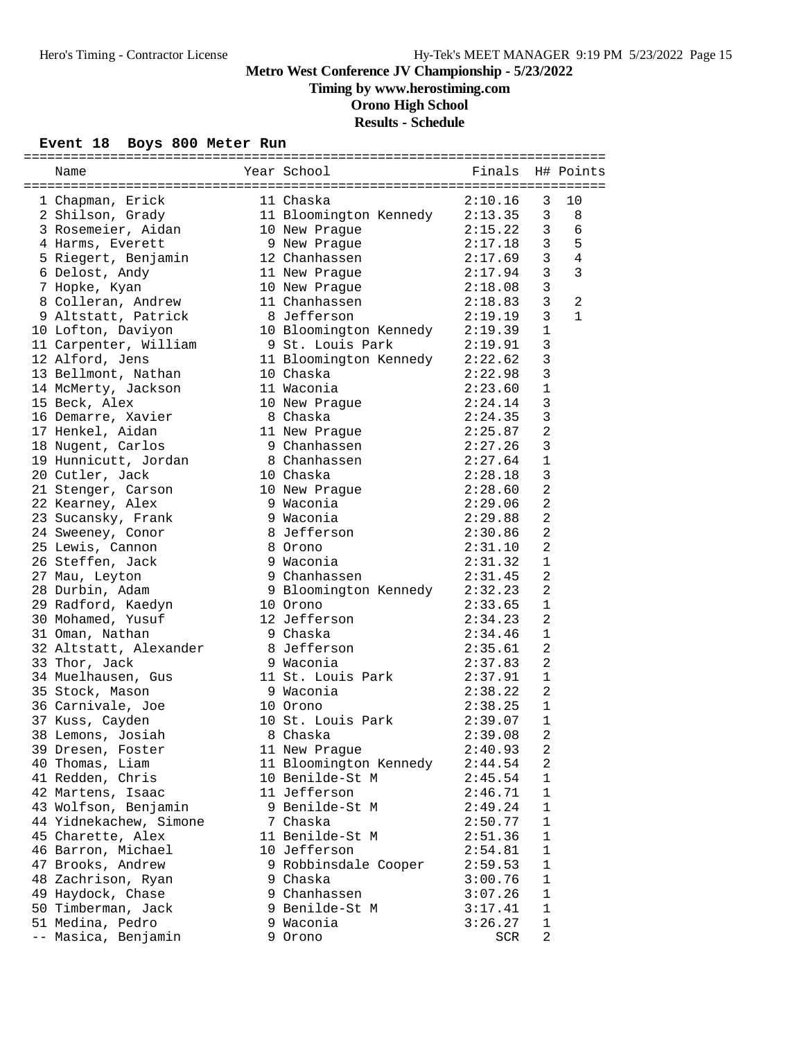**Timing by www.herostiming.com**

**Orono High School**

# **Results - Schedule**

### **Event 18 Boys 800 Meter Run**

| Name                                    | Year School<br><b>Example 1</b> Finals |         |                | H# Points    |
|-----------------------------------------|----------------------------------------|---------|----------------|--------------|
|                                         |                                        |         |                |              |
| 1 Chapman, Erick                        | 11 Chaska                              | 2:10.16 | 3              | 10           |
| 2 Shilson, Grady                        | 11 Bloomington Kennedy 2:13.35         |         | 3              | 8            |
| 3 Rosemeier, Aidan                      | 10 New Praque                          | 2:15.22 | 3              | 6            |
| 4 Harms, Everett                        | 9 New Prague                           | 2:17.18 | 3              | 5            |
| 5 Riegert, Benjamin                     | 12 Chanhassen                          | 2:17.69 | 3              | 4            |
| 6 Delost, Andy                          | 11 New Praque                          | 2:17.94 | $\mathsf{3}$   | 3            |
| 7 Hopke, Kyan                           | 10 New Praque                          | 2:18.08 | 3              |              |
| 8 Colleran, Andrew                      | 11 Chanhassen                          | 2:18.83 | $\mathbf{3}$   | 2            |
| 9 Altstatt, Patrick                     | 8 Jefferson                            | 2:19.19 | $\mathbf{3}$   | $\mathbf{1}$ |
| 10 Lofton, Daviyon                      | 10 Bloomington Kennedy 2:19.39         |         | $\mathbf{1}$   |              |
| 11 Carpenter, William                   | 9 St. Louis Park                       | 2:19.91 | 3              |              |
| 12 Alford, Jens                         | 11 Bloomington Kennedy                 | 2:22.62 | $\mathbf{3}$   |              |
| 13 Bellmont, Nathan                     | 10 Chaska                              | 2:22.98 | $\mathbf{3}$   |              |
| 14 McMerty, Jackson                     | 11 Waconia                             | 2:23.60 | $\mathbf 1$    |              |
| 15 Beck, Alex                           | 10 New Prague                          | 2:24.14 | $\mathsf 3$    |              |
| 16 Demarre, Xavier                      | 8 Chaska                               | 2:24.35 | $\mathbf{3}$   |              |
| 17 Henkel, Aidan                        | 11 New Prague                          | 2:25.87 | $\overline{2}$ |              |
| 18 Nugent, Carlos                       | 9 Chanhassen                           | 2:27.26 | 3              |              |
|                                         | 8 Chanhassen                           | 2:27.64 | 1              |              |
| 19 Hunnicutt, Jordan<br>20 Cutler, Jack | 10 Chaska                              |         | 3              |              |
|                                         |                                        | 2:28.18 |                |              |
| 21 Stenger, Carson                      | 10 New Prague                          | 2:28.60 | $\overline{2}$ |              |
| 22 Kearney, Alex                        | 9 Waconia                              | 2:29.06 | $\overline{2}$ |              |
| 23 Sucansky, Frank                      | 9 Waconia                              | 2:29.88 | $\overline{a}$ |              |
| 24 Sweeney, Conor                       | 8 Jefferson                            | 2:30.86 | $\overline{2}$ |              |
| 25 Lewis, Cannon                        | 8 Orono                                | 2:31.10 | $\overline{2}$ |              |
| 26 Steffen, Jack                        | 9 Waconia                              | 2:31.32 | $\mathbf{1}$   |              |
| 27 Mau, Leyton                          | g<br>9 Chanhassen                      | 2:31.45 | $\overline{a}$ |              |
| 28 Durbin, Adam                         | 9 Bloomington Kennedy                  | 2:32.23 | $\overline{2}$ |              |
| 29 Radford, Kaedyn                      | 10 Orono                               | 2:33.65 | $\mathbf 1$    |              |
| 30 Mohamed, Yusuf                       | 12 Jefferson                           | 2:34.23 | $\overline{2}$ |              |
| 31 Oman, Nathan                         | 9 Chaska                               | 2:34.46 | 1              |              |
| 32 Altstatt, Alexander                  | 8 Jefferson                            | 2:35.61 | $\overline{2}$ |              |
| 33 Thor, Jack                           | 9 Waconia                              | 2:37.83 | $\overline{2}$ |              |
| 34 Muelhausen, Gus                      | 11 St. Louis Park                      | 2:37.91 | $\mathbf 1$    |              |
| 35 Stock, Mason                         | 9 Waconia                              | 2:38.22 | 2              |              |
| 36 Carnivale, Joe                       | 10 Orono                               | 2:38.25 | $\mathbf{1}$   |              |
| 37 Kuss, Cayden                         | 10 St. Louis Park                      | 2:39.07 | 1              |              |
| 38 Lemons, Josiah                       | 8 Chaska                               | 2:39.08 | $\overline{2}$ |              |
| 39 Dresen, Foster                       | 11 New Prague                          | 2:40.93 | 2              |              |
| 40 Thomas, Liam                         | 11 Bloomington Kennedy                 | 2:44.54 | 2              |              |
| 41 Redden, Chris                        | 10 Benilde-St M                        | 2:45.54 | $\mathbf{1}$   |              |
| 42 Martens, Isaac                       | 11 Jefferson                           | 2:46.71 | $\mathbf 1$    |              |
| 43 Wolfson, Benjamin                    | 9 Benilde-St M                         | 2:49.24 | 1              |              |
| 44 Yidnekachew, Simone                  | 7 Chaska                               | 2:50.77 | $\mathbf 1$    |              |
| 45 Charette, Alex                       | 11 Benilde-St M                        | 2:51.36 | $\mathbf{1}$   |              |
| 46 Barron, Michael                      | 10 Jefferson                           | 2:54.81 | $\mathbf{1}$   |              |
| 47 Brooks, Andrew                       | 9 Robbinsdale Cooper                   | 2:59.53 | $\mathbf 1$    |              |
| 48 Zachrison, Ryan                      | 9 Chaska                               | 3:00.76 | 1              |              |
| 49 Haydock, Chase                       | 9 Chanhassen                           | 3:07.26 | 1              |              |
| 50 Timberman, Jack                      | 9 Benilde-St M                         | 3:17.41 | $\mathbf 1$    |              |
| 51 Medina, Pedro                        | 9 Waconia                              | 3:26.27 | $1\,$          |              |
| -- Masica, Benjamin                     | 9 Orono                                | SCR     | $\overline{a}$ |              |
|                                         |                                        |         |                |              |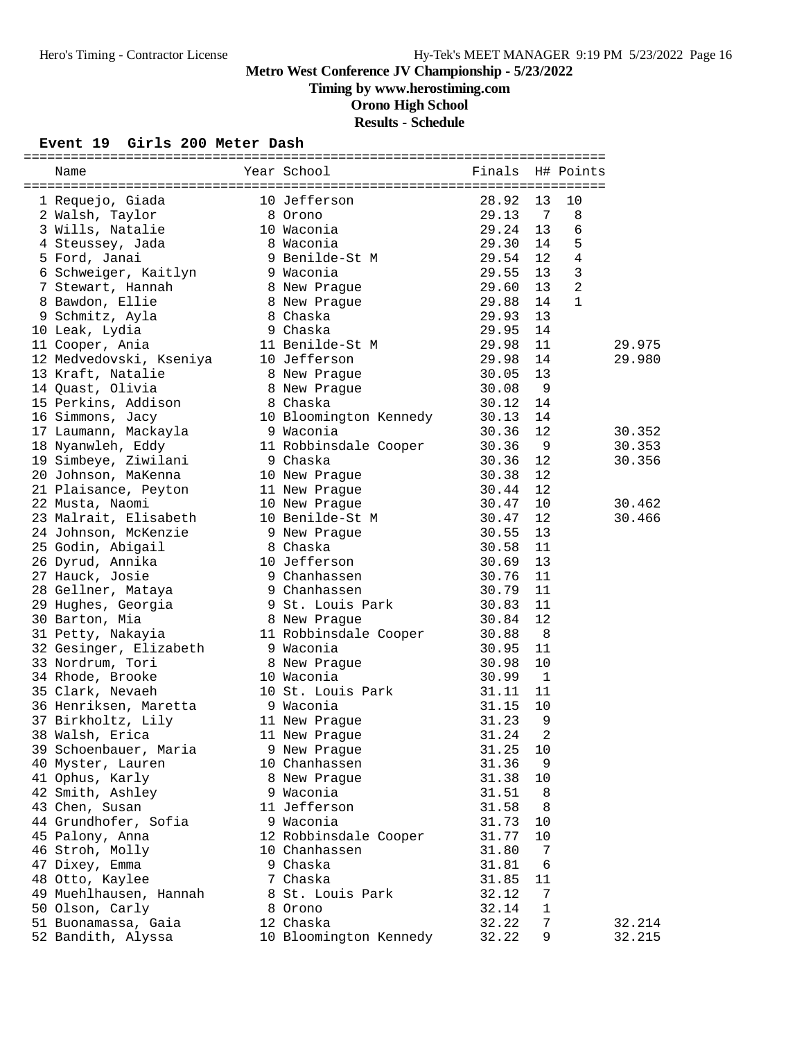# **Timing by www.herostiming.com**

**Orono High School**

# **Results - Schedule**

#### **Event 19 Girls 200 Meter Dash**

| Name                                                                                                                                                       | Year School<br><b>Example 1</b> Finals         |       |                          | H# Points      |        |
|------------------------------------------------------------------------------------------------------------------------------------------------------------|------------------------------------------------|-------|--------------------------|----------------|--------|
|                                                                                                                                                            |                                                | 28.92 | 13                       | 10             |        |
| 1 Requejo, Giada                                                                                                                                           | 10 Jefferson<br>-∪ Jeffe<br>8 Orono<br>10 War  | 29.13 | - 7                      | 8              |        |
| 2 Walsh, Taylor                                                                                                                                            |                                                |       |                          |                |        |
| 3 Wills, Natalie                                                                                                                                           | 10 Waconia                                     | 29.24 | 13                       | 6              |        |
| 4 Steussey, Jada                                                                                                                                           | 8 Waconia<br>9 Benilde-St M                    | 29.30 | 14                       | 5              |        |
| 5 Ford, Janai                                                                                                                                              |                                                | 29.54 | 12                       | $\overline{4}$ |        |
| 6 Schweiger, Kaitlyn 19 Waconia                                                                                                                            |                                                | 29.55 | 13                       | $\mathbf{3}$   |        |
| 7 Stewart, Hannah                                                                                                                                          | 8 New Prague                                   | 29.60 | 13                       | $\overline{2}$ |        |
| 8 Bawdon, Ellie                                                                                                                                            | 8 New Prague                                   | 29.88 | 14                       | $\mathbf{1}$   |        |
| 8 Chaska<br>9 Chaska<br>9 Schmitz, Ayla                                                                                                                    |                                                | 29.93 | 13                       |                |        |
| 10 Leak, Lydia                                                                                                                                             | 11 Benilde-St M 39.98                          | 29.95 | 14                       |                |        |
| 11 Cooper, Ania                                                                                                                                            |                                                |       | 11                       |                | 29.975 |
| 12 Medvedovski, Kseniya 10 Jefferson                                                                                                                       |                                                | 29.98 | 14                       |                | 29.980 |
| 13 Kraft, Natalie                                                                                                                                          | 8 New Prague                                   | 30.05 | 13                       |                |        |
| 14 Quast, Olivia                                                                                                                                           | 8 New Prague<br>Contractor                     | 30.08 | - 9                      |                |        |
| 15 Perkins, Addison                                                                                                                                        | 8 Chaska<br>8 Chaska<br>10 Bloomington Kennedy | 30.12 | 14                       |                |        |
| 16 Simmons, Jacy                                                                                                                                           |                                                | 30.13 | 14                       |                |        |
| 17 Laumann, Mackayla (1988) 9 Waconia                                                                                                                      |                                                | 30.36 | 12                       |                | 30.352 |
| 18 Nyanwleh, Eddy                                                                                                                                          | 11 Robbinsdale Cooper                          | 30.36 | - 9                      |                | 30.353 |
| 19 Simbeye, Ziwilani (30 9 Chaska<br>19 Simbeye, 21w11cm<br>20 Johnson, MaKenna<br>21 Plaisance, Peyton<br>10 New Prague<br>10 New Prague<br>10 New Prague |                                                | 30.36 | 12                       |                | 30.356 |
|                                                                                                                                                            |                                                | 30.38 | 12                       |                |        |
|                                                                                                                                                            |                                                | 30.44 | 12                       |                |        |
|                                                                                                                                                            |                                                | 30.47 | 10                       |                | 30.462 |
| 23 Malrait, Elisabeth 10 Benilde-St M                                                                                                                      |                                                | 30.47 | 12                       |                | 30.466 |
| 24 Johnson, McKenzie 9 New Praque                                                                                                                          |                                                | 30.55 | 13                       |                |        |
| 25 Godin, Abigail                                                                                                                                          | 8 Chaska                                       | 30.58 | 11                       |                |        |
| 26 Dyrud, Annika                                                                                                                                           | 10 Jefferson                                   | 30.69 | 13                       |                |        |
| 27 Hauck, Josie                                                                                                                                            | 9 Chanhassen<br>9 Chanhassen                   | 30.76 | 11                       |                |        |
| 27 Hauck, Josie<br>28 Gellner, Mataya                                                                                                                      |                                                | 30.79 | 11                       |                |        |
| 29 Hughes, Georgia (30.83) 9 St. Louis Park (30.83)                                                                                                        |                                                |       | 11                       |                |        |
| 30 Barton, Mia                                                                                                                                             | 8 New Prague                                   | 30.84 | 12                       |                |        |
| 31 Petty, Nakayia                                                                                                                                          | 11 Robbinsdale Cooper<br>h 9 Waconia           | 30.88 | - 8                      |                |        |
| 32 Gesinger, Elizabeth 9 Waconia                                                                                                                           |                                                | 30.95 | 11                       |                |        |
| 33 Nordrum, Tori                                                                                                                                           | 8 New Prague                                   | 30.98 | 10                       |                |        |
| 34 Rhode, Brooke                                                                                                                                           | 10 Waconia                                     | 30.99 | $\overline{\phantom{0}}$ |                |        |
| 35 Clark, Nevaeh                                                                                                                                           | 10 St. Louis Park                              | 31.11 | 11                       |                |        |
| 36 Henriksen, Maretta 19 Waconia                                                                                                                           |                                                | 31.15 | 10                       |                |        |
| 37 Birkholtz, Lily                                                                                                                                         | 11 New Prague                                  | 31.23 | 9                        |                |        |
| 38 Walsh, Erica                                                                                                                                            | 11 New Praque                                  | 31.24 | $\overline{2}$           |                |        |
| 39 Schoenbauer, Maria                                                                                                                                      | 9 New Prague                                   | 31.25 | 10                       |                |        |
| 40 Myster, Lauren                                                                                                                                          | 10 Chanhassen                                  | 31.36 | 9                        |                |        |
| 41 Ophus, Karly                                                                                                                                            | 8 New Prague                                   | 31.38 | 10                       |                |        |
| 42 Smith, Ashley                                                                                                                                           | 9 Waconia                                      | 31.51 | 8                        |                |        |
| 43 Chen, Susan                                                                                                                                             | 11 Jefferson                                   | 31.58 | 8                        |                |        |
| 44 Grundhofer, Sofia                                                                                                                                       | 9 Waconia                                      | 31.73 | 10                       |                |        |
| 45 Palony, Anna                                                                                                                                            | 12 Robbinsdale Cooper                          | 31.77 | 10                       |                |        |
| 46 Stroh, Molly                                                                                                                                            | 10 Chanhassen                                  | 31.80 | 7                        |                |        |
| 47 Dixey, Emma                                                                                                                                             | 9 Chaska                                       | 31.81 | 6                        |                |        |
| 48 Otto, Kaylee                                                                                                                                            | 7 Chaska                                       | 31.85 | 11                       |                |        |
| 49 Muehlhausen, Hannah                                                                                                                                     | 8 St. Louis Park                               | 32.12 | 7                        |                |        |
| 50 Olson, Carly                                                                                                                                            | 8 Orono                                        | 32.14 | 1                        |                |        |
| 51 Buonamassa, Gaia                                                                                                                                        | 12 Chaska                                      | 32.22 | 7                        |                | 32.214 |
| 52 Bandith, Alyssa                                                                                                                                         | 10 Bloomington Kennedy                         | 32.22 | 9                        |                | 32.215 |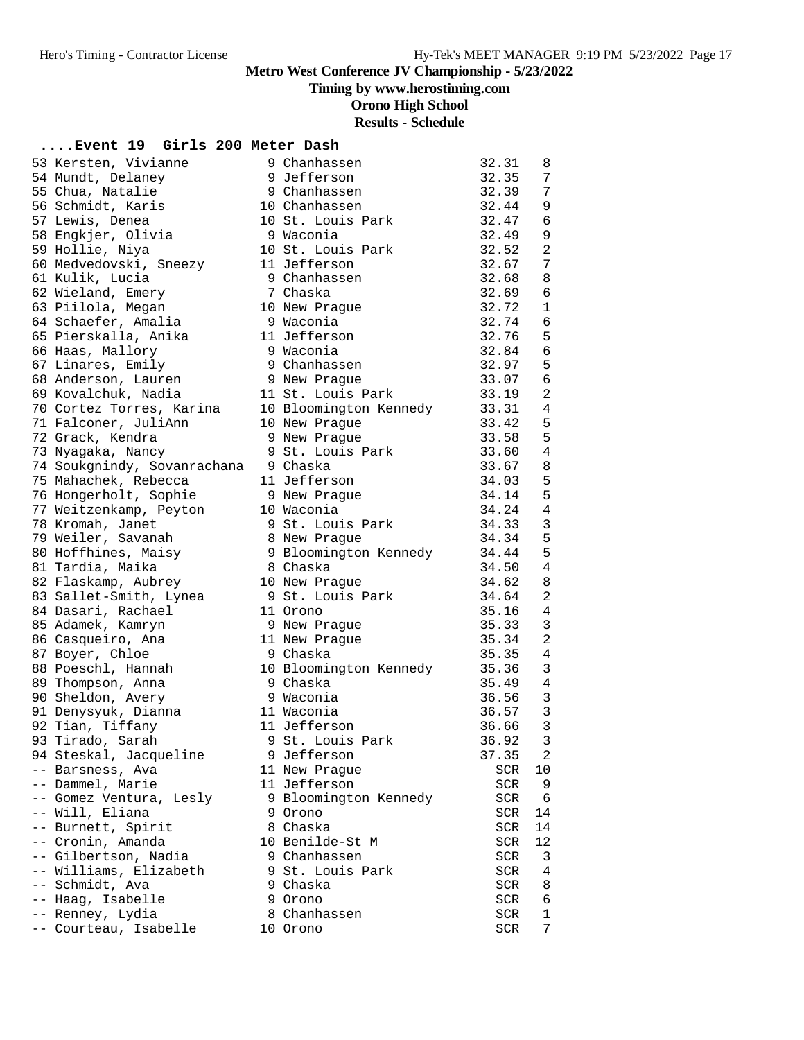**Timing by www.herostiming.com**

**Orono High School**

# **Results - Schedule**

### **....Event 19 Girls 200 Meter Dash**

|                             |                        | 32.31 |                |
|-----------------------------|------------------------|-------|----------------|
| 53 Kersten, Vivianne        | 9 Chanhassen           |       | 8              |
| 54 Mundt, Delaney           | 9 Jefferson            | 32.35 | 7              |
| 55 Chua, Natalie            | 9 Chanhassen           | 32.39 | 7              |
| 56 Schmidt, Karis           | 10 Chanhassen          | 32.44 | 9              |
| 57 Lewis, Denea             | 10 St. Louis Park      | 32.47 | 6              |
| 58 Engkjer, Olivia          | 9 Waconia              | 32.49 | 9              |
| 59 Hollie, Niya             | 10 St. Louis Park      | 32.52 | $\overline{2}$ |
| 60 Medvedovski, Sneezy      | 11 Jefferson           | 32.67 | 7              |
| 61 Kulik, Lucia             | 9 Chanhassen           | 32.68 | 8              |
| 62 Wieland, Emery           | 7 Chaska               | 32.69 | 6              |
| 63 Piilola, Megan           | 10 New Prague          | 32.72 | $\mathbf{1}$   |
| 64 Schaefer, Amalia         | 9 Waconia              | 32.74 | 6              |
| 65 Pierskalla, Anika        | 11 Jefferson           | 32.76 | 5              |
| 66 Haas, Mallory            | 9 Waconia              | 32.84 | 6              |
| 67 Linares, Emily           | 9 Chanhassen           | 32.97 | 5              |
| 68 Anderson, Lauren         | 9 New Praque           | 33.07 | $\epsilon$     |
| 69 Kovalchuk, Nadia         | 11 St. Louis Park      | 33.19 | $\overline{a}$ |
| 70 Cortez Torres, Karina    | 10 Bloomington Kennedy | 33.31 | $\overline{4}$ |
| 71 Falconer, JuliAnn        | 10 New Prague          | 33.42 | 5              |
| 72 Grack, Kendra            | 9 New Praque           | 33.58 | 5              |
| 73 Nyagaka, Nancy           | 9 St. Louis Park       | 33.60 | $\overline{4}$ |
| 74 Soukgnindy, Sovanrachana | 9 Chaska               | 33.67 | 8              |
| 75 Mahachek, Rebecca        | 11 Jefferson           | 34.03 | 5              |
| 76 Hongerholt, Sophie       | 9 New Prague           | 34.14 | 5              |
| 77 Weitzenkamp, Peyton      | 10 Waconia             | 34.24 | 4              |
| 78 Kromah, Janet            | 9 St. Louis Park       | 34.33 | 3              |
| 79 Weiler, Savanah          | 8 New Prague           | 34.34 | 5              |
| 80 Hoffhines, Maisy         | 9 Bloomington Kennedy  | 34.44 | 5              |
| 81 Tardia, Maika            | 8 Chaska               | 34.50 | 4              |
| 82 Flaskamp, Aubrey         | 10 New Prague          | 34.62 | 8              |
| 83 Sallet-Smith, Lynea      | 9 St. Louis Park       | 34.64 | $\overline{a}$ |
|                             |                        |       | 4              |
| 84 Dasari, Rachael          | 11 Orono               | 35.16 | 3              |
| 85 Adamek, Kamryn           | 9 New Prague           | 35.33 | $\overline{2}$ |
| 86 Casqueiro, Ana           | 11 New Prague          | 35.34 |                |
| 87 Boyer, Chloe             | 9 Chaska               | 35.35 | 4              |
| 88 Poeschl, Hannah          | 10 Bloomington Kennedy | 35.36 | 3              |
| 89 Thompson, Anna           | 9 Chaska               | 35.49 | 4              |
| 90 Sheldon, Avery           | 9 Waconia              | 36.56 | 3              |
| 91 Denysyuk, Dianna         | 11 Waconia             | 36.57 | $\mathbf{3}$   |
| 92 Tian, Tiffany            | 11 Jefferson           | 36.66 | $\mathbf{3}$   |
| 93 Tirado, Sarah            | 9 St. Louis Park       | 36.92 | $\mathbf{3}$   |
| 94 Steskal, Jacqueline      | 9 Jefferson            | 37.35 | 2              |
| -- Barsness, Ava            | 11 New Praque          | SCR   | 10             |
| -- Dammel, Marie            | 11 Jefferson           | SCR   | 9              |
| -- Gomez Ventura, Lesly     | 9 Bloomington Kennedy  | SCR   | 6              |
| -- Will, Eliana             | 9 Orono                | SCR   | 14             |
| -- Burnett, Spirit          | 8 Chaska               | SCR   | 14             |
| -- Cronin, Amanda           | 10 Benilde-St M        | SCR   | 12             |
| -- Gilbertson, Nadia        | 9 Chanhassen           | SCR   | 3              |
| -- Williams, Elizabeth      | 9 St. Louis Park       | SCR   | 4              |
| -- Schmidt, Ava             | 9 Chaska               | SCR   | 8              |
| -- Haag, Isabelle           | 9 Orono                | SCR   | 6              |
| -- Renney, Lydia            | 8 Chanhassen           | SCR   | 1              |
| -- Courteau, Isabelle       | 10 Orono               | SCR   | 7              |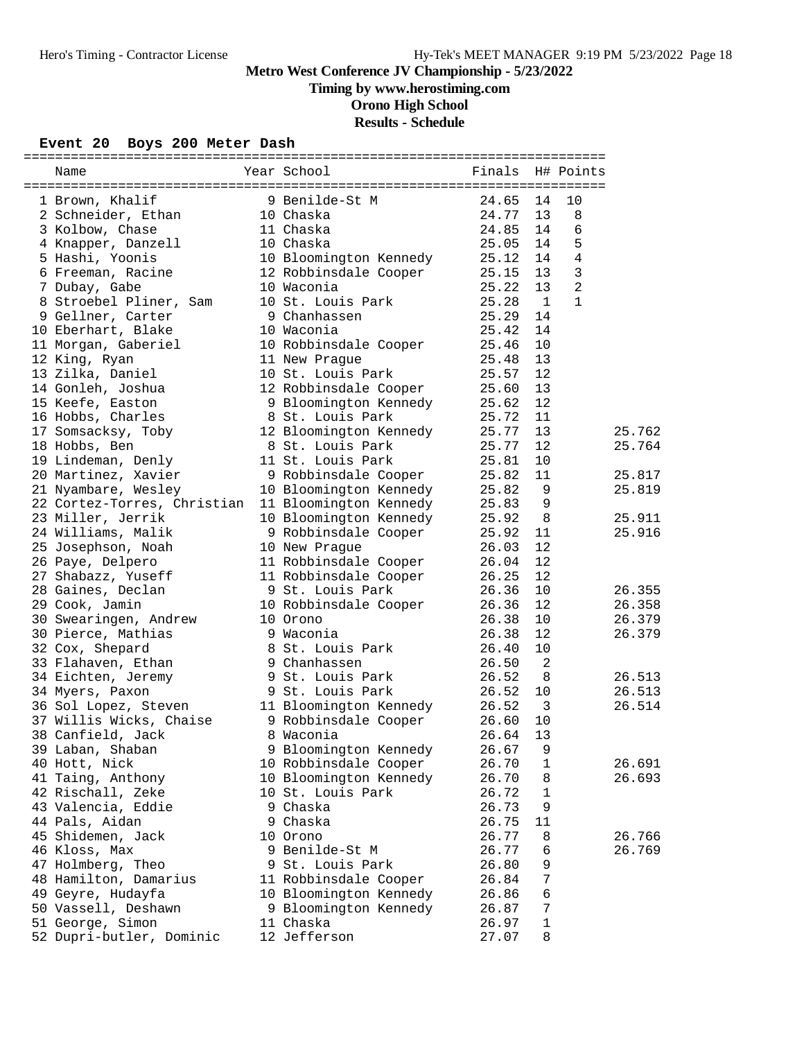# **Timing by www.herostiming.com**

**Orono High School**

# **Results - Schedule**

### **Event 20 Boys 200 Meter Dash**

| Name                        | Year School<br><b>Example 19</b> Finals |       |                | H# Points      |        |
|-----------------------------|-----------------------------------------|-------|----------------|----------------|--------|
|                             |                                         |       |                |                |        |
| 1 Brown, Khalif             | 9 Benilde-St M                          | 24.65 | 14             | 10             |        |
| 2 Schneider, Ethan          | 10 Chaska                               | 24.77 | 13             | 8              |        |
| 3 Kolbow, Chase             | 11 Chaska                               | 24.85 | 14             | $\sqrt{6}$     |        |
| 4 Knapper, Danzell          | 10 Chaska                               | 25.05 | 14             | 5              |        |
| 5 Hashi, Yoonis             | 10 Bloomington Kennedy                  | 25.12 | 14             | $\overline{4}$ |        |
| 6 Freeman, Racine           | 12 Robbinsdale Cooper                   | 25.15 | 13             | $\mathbf{3}$   |        |
| 7 Dubay, Gabe               | 10 Waconia                              | 25.22 | 13             | 2              |        |
| 8 Stroebel Pliner, Sam      | 10 St. Louis Park                       | 25.28 | $\overline{1}$ | $\mathbf{1}$   |        |
| 9 Gellner, Carter           | 9 Chanhassen                            | 25.29 | 14             |                |        |
| 10 Eberhart, Blake          | 10 Waconia                              | 25.42 | 14             |                |        |
| 11 Morgan, Gaberiel         | 10 Robbinsdale Cooper                   | 25.46 | 10             |                |        |
| 12 King, Ryan               | 11 New Prague                           | 25.48 | 13             |                |        |
| 13 Zilka, Daniel            | 10 St. Louis Park                       | 25.57 | 12             |                |        |
| 14 Gonleh, Joshua           | 12 Robbinsdale Cooper                   | 25.60 | 13             |                |        |
| 15 Keefe, Easton            | 9 Bloomington Kennedy                   | 25.62 | 12             |                |        |
| 16 Hobbs, Charles           | 8 St. Louis Park                        | 25.72 | 11             |                |        |
| 17 Somsacksy, Toby          | 12 Bloomington Kennedy                  | 25.77 | 13             |                | 25.762 |
| 18 Hobbs, Ben               | 8 St. Louis Park                        | 25.77 | 12             |                | 25.764 |
| 19 Lindeman, Denly          | 11 St. Louis Park                       | 25.81 | 10             |                |        |
| 20 Martinez, Xavier         | 9 Robbinsdale Cooper                    | 25.82 | 11             |                | 25.817 |
| 21 Nyambare, Wesley         | 10 Bloomington Kennedy                  | 25.82 | 9              |                | 25.819 |
| 22 Cortez-Torres, Christian | 11 Bloomington Kennedy                  | 25.83 | 9              |                |        |
|                             |                                         | 25.92 | 8              |                |        |
| 23 Miller, Jerrik           | 10 Bloomington Kennedy                  |       |                |                | 25.911 |
| 24 Williams, Malik          | 9 Robbinsdale Cooper                    | 25.92 | 11             |                | 25.916 |
| 25 Josephson, Noah          | 10 New Prague                           | 26.03 | 12             |                |        |
| 26 Paye, Delpero            | 11 Robbinsdale Cooper                   | 26.04 | 12             |                |        |
| 27 Shabazz, Yuseff          | 11 Robbinsdale Cooper                   | 26.25 | 12             |                |        |
| 28 Gaines, Declan           | 9 St. Louis Park                        | 26.36 | 10             |                | 26.355 |
| 29 Cook, Jamin              | 10 Robbinsdale Cooper                   | 26.36 | 12             |                | 26.358 |
| 30 Swearingen, Andrew       | 10 Orono                                | 26.38 | 10             |                | 26.379 |
| 30 Pierce, Mathias          | 9 Waconia                               | 26.38 | 12             |                | 26.379 |
| 32 Cox, Shepard             | 8 St. Louis Park                        | 26.40 | 10             |                |        |
| 33 Flahaven, Ethan          | 9 Chanhassen                            | 26.50 | $\overline{a}$ |                |        |
| 34 Eichten, Jeremy          | 9 St. Louis Park                        | 26.52 | 8              |                | 26.513 |
| 34 Myers, Paxon             | 9 St. Louis Park                        | 26.52 | 10             |                | 26.513 |
| 36 Sol Lopez, Steven        | 11 Bloomington Kennedy                  | 26.52 | 3              |                | 26.514 |
| 37 Willis Wicks, Chaise     | 9 Robbinsdale Cooper                    | 26.60 | 10             |                |        |
| 38 Canfield, Jack           | 8 Waconia                               | 26.64 | 13             |                |        |
| 39 Laban, Shaban            | 9 Bloomington Kennedy                   | 26.67 | 9              |                |        |
| 40 Hott, Nick               | 10 Robbinsdale Cooper                   | 26.70 | 1              |                | 26.691 |
| 41 Taing, Anthony           | 10 Bloomington Kennedy                  | 26.70 | 8              |                | 26.693 |
| 42 Rischall, Zeke           | 10 St. Louis Park                       | 26.72 | 1              |                |        |
| 43 Valencia, Eddie          | 9 Chaska                                | 26.73 | 9              |                |        |
| 44 Pals, Aidan              | 9 Chaska                                | 26.75 | 11             |                |        |
| 45 Shidemen, Jack           | 10 Orono                                | 26.77 | 8              |                | 26.766 |
| 46 Kloss, Max               | 9 Benilde-St M                          | 26.77 | 6              |                | 26.769 |
| 47 Holmberg, Theo           | 9 St. Louis Park                        | 26.80 | 9              |                |        |
| 48 Hamilton, Damarius       | 11 Robbinsdale Cooper                   | 26.84 | 7              |                |        |
| 49 Geyre, Hudayfa           | 10 Bloomington Kennedy                  | 26.86 | 6              |                |        |
| 50 Vassell, Deshawn         | 9 Bloomington Kennedy                   | 26.87 | 7              |                |        |
| 51 George, Simon            | 11 Chaska                               | 26.97 | $\mathbf 1$    |                |        |
| 52 Dupri-butler, Dominic    | 12 Jefferson                            | 27.07 | 8              |                |        |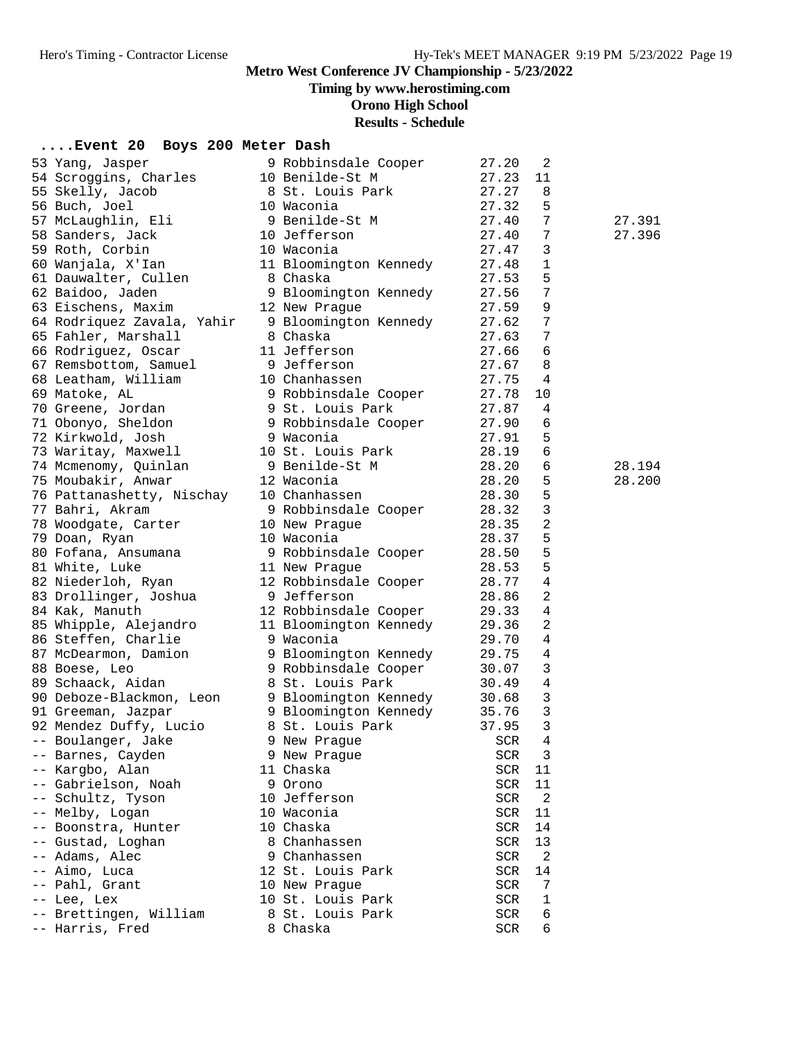# **Timing by www.herostiming.com**

**Orono High School**

# **Results - Schedule**

| Event 20 Boys 200 Meter Dash                     |                        |               |                |        |
|--------------------------------------------------|------------------------|---------------|----------------|--------|
| 53 Yang, Jasper                                  | 9 Robbinsdale Cooper   | 27.20         | 2              |        |
| 54 Scroggins, Charles                            | 10 Benilde-St M        | 27.23         | 11             |        |
| 55 Skelly, Jacob                                 | 8 St. Louis Park       | 27.27         | 8              |        |
| 56 Buch, Joel                                    | 10 Waconia             | 27.32         | 5              |        |
| 57 McLaughlin, Eli                               | 9 Benilde-St M         | 27.40         | 7              | 27.391 |
| 58 Sanders, Jack                                 | 10 Jefferson           | 27.40         | 7              | 27.396 |
| 59 Roth, Corbin                                  | 10 Waconia             | 27.47         | 3              |        |
| 60 Wanjala, X'Ian                                | 11 Bloomington Kennedy | 27.48         | 1              |        |
| 61 Dauwalter, Cullen                             | 8 Chaska               | 27.53         | 5              |        |
| 62 Baidoo, Jaden                                 | 9 Bloomington Kennedy  | 27.56         | 7              |        |
| 63 Eischens, Maxim                               | 12 New Praque          | 27.59         | 9              |        |
| 64 Rodriquez Zavala, Yahir 9 Bloomington Kennedy |                        | 27.62         | 7              |        |
| 65 Fahler, Marshall                              | 8 Chaska               | 27.63         | 7              |        |
| 66 Rodriguez, Oscar                              | 11 Jefferson           | 27.66         | 6              |        |
| 67 Remsbottom, Samuel                            | 9 Jefferson            | 27.67         | 8              |        |
| 68 Leatham, William                              | 10 Chanhassen          | 27.75         | $\overline{4}$ |        |
| 69 Matoke, AL                                    | 9 Robbinsdale Cooper   | 27.78         | 10             |        |
| 70 Greene, Jordan                                | 9 St. Louis Park       | 27.87         | 4              |        |
| 71 Obonyo, Sheldon                               | 9 Robbinsdale Cooper   | 27.90         | 6              |        |
| 72 Kirkwold, Josh                                | 9 Waconia              | 27.91         | 5              |        |
| 73 Waritay, Maxwell                              | 10 St. Louis Park      | 28.19         | 6              |        |
| 74 Mcmenomy, Quinlan                             | 9 Benilde-St M         | 28.20         | 6              | 28.194 |
| 75 Moubakir, Anwar                               | 12 Waconia             | 28.20         | 5              | 28.200 |
| 76 Pattanashetty, Nischay                        | 10 Chanhassen          | 28.30         | 5              |        |
| 77 Bahri, Akram                                  | 9 Robbinsdale Cooper   | 28.32         | 3              |        |
| 78 Woodgate, Carter                              | 10 New Prague          | 28.35         | $\overline{2}$ |        |
| 79 Doan, Ryan                                    | 10 Waconia             | 28.37         | 5              |        |
| 80 Fofana, Ansumana                              | 9 Robbinsdale Cooper   | 28.50         | 5              |        |
| 81 White, Luke                                   | 11 New Prague          | 28.53         | 5              |        |
| 82 Niederloh, Ryan                               | 12 Robbinsdale Cooper  | 28.77         | 4              |        |
| 83 Drollinger, Joshua                            | 9 Jefferson            | 28.86         | 2              |        |
| 84 Kak, Manuth                                   | 12 Robbinsdale Cooper  | 29.33         | 4              |        |
| 85 Whipple, Alejandro                            | 11 Bloomington Kennedy | 29.36         | $\overline{2}$ |        |
| 86 Steffen, Charlie                              | 9 Waconia              | 29.70         | $\overline{4}$ |        |
| 87 McDearmon, Damion                             | 9 Bloomington Kennedy  | 29.75         | $\overline{4}$ |        |
| 88 Boese, Leo                                    | 9 Robbinsdale Cooper   | 30.07         | 3              |        |
| 89 Schaack, Aidan                                | 8 St. Louis Park       | 30.49         | $\overline{4}$ |        |
| 90 Deboze-Blackmon, Leon                         | 9 Bloomington Kennedy  | 30.68         | 3              |        |
| 91 Greeman, Jazpar                               | 9 Bloomington Kennedy  | 35.76         | $\mathbf{3}$   |        |
| 92 Mendez Duffy, Lucio                           | 8 St. Louis Park       | 37.95         | $\mathbf{3}$   |        |
| -- Boulanger, Jake                               | 9 New Prague           | SCR           | 4              |        |
| -- Barnes, Cayden                                | 9 New Prague           | SCR           | 3              |        |
| -- Kargbo, Alan                                  | 11 Chaska              | SCR           | 11             |        |
| -- Gabrielson, Noah                              | 9 Orono                | SCR           | 11             |        |
| -- Schultz, Tyson                                | 10 Jefferson           | SCR           | 2              |        |
| -- Melby, Logan                                  | 10 Waconia             | SCR           | 11             |        |
| -- Boonstra, Hunter                              | 10 Chaska              | SCR           | 14             |        |
| -- Gustad, Loghan                                | 8 Chanhassen           | SCR           | 13             |        |
| -- Adams, Alec                                   | 9 Chanhassen           | SCR           | 2              |        |
| -- Aimo, Luca                                    | 12 St. Louis Park      | SCR           | 14             |        |
| Pahl, Grant                                      | 10 New Prague          | SCR           | 7              |        |
| -- Lee, Lex                                      | 10 St. Louis Park      | SCR           | 1              |        |
| -- Brettingen, William                           | 8 St. Louis Park       | SCR           | 6              |        |
| -- Harris, Fred                                  | 8 Chaska               | $_{\rm{SCR}}$ | 6              |        |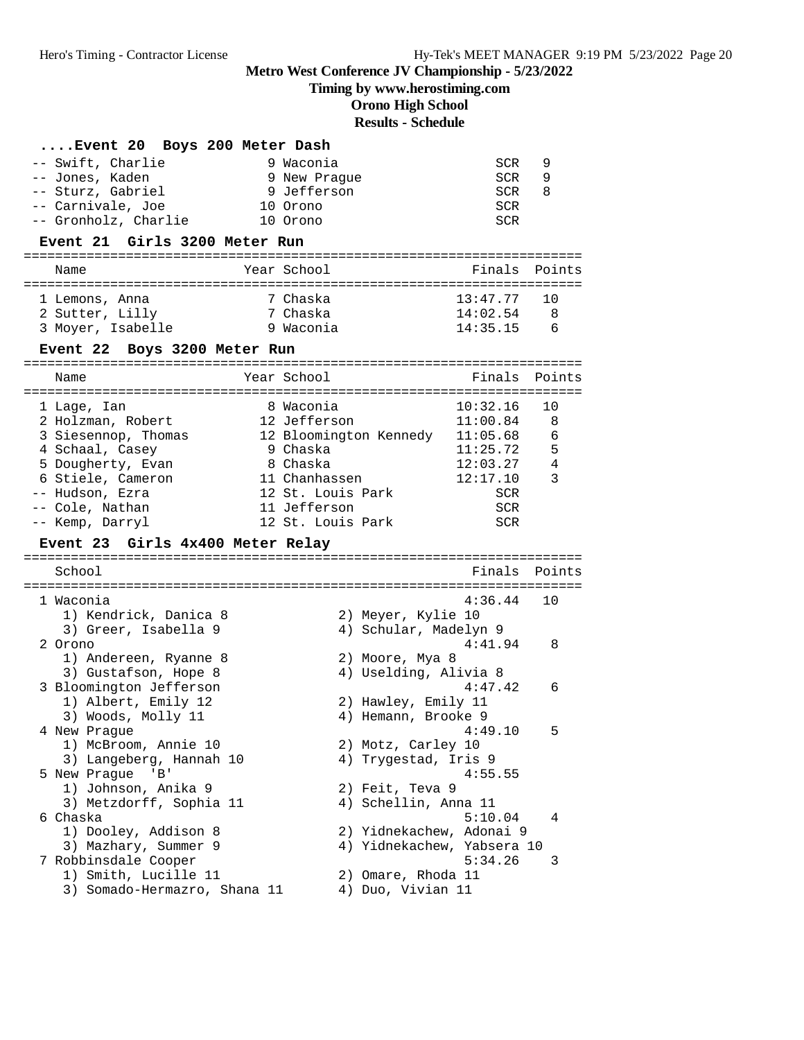# **Timing by www.herostiming.com**

**Orono High School**

# **Results - Schedule**

| Event 20 Boys 200 Meter Dash               |                                 |            |                 |
|--------------------------------------------|---------------------------------|------------|-----------------|
| -- Swift, Charlie                          | 9 Waconia                       | SCR        | 9               |
| -- Jones, Kaden                            | 9 New Praque                    | SCR        | 9               |
| -- Sturz, Gabriel                          | 9 Jefferson                     | SCR        | 8               |
| -- Carnivale, Joe                          | 10 Orono                        | <b>SCR</b> |                 |
| -- Gronholz, Charlie                       | 10 Orono                        |            |                 |
|                                            |                                 | SCR        |                 |
| Event 21 Girls 3200 Meter Run              |                                 |            |                 |
| Name                                       | Year School                     | Finals     | Points          |
| 1 Lemons, Anna                             | 7 Chaska                        | 13:47.77   | 10              |
| 2 Sutter, Lilly                            | 7 Chaska                        | 14:02.54   | -8              |
| 3 Moyer, Isabelle                          | 9 Waconia                       | 14:35.15   | $6\overline{6}$ |
| Event 22 Boys 3200 Meter Run               |                                 |            |                 |
| Name                                       | Year School                     | Finals     | Points          |
|                                            |                                 |            |                 |
| 1 Lage, Ian                                | 8 Waconia                       | 10:32.16   | 10              |
| 2 Holzman, Robert                          | 12 Jefferson                    | 11:00.84   | 8               |
| 3 Siesennop, Thomas                        | 12 Bloomington Kennedy 11:05.68 |            | 6               |
| 4 Schaal, Casey                            | 9 Chaska                        | 11:25.72   | 5               |
| 5 Dougherty, Evan                          | 8 Chaska                        | 12:03.27   | 4               |
| 6 Stiele, Cameron                          | 11 Chanhassen                   | 12:17.10   | 3               |
| -- Hudson, Ezra                            | 12 St. Louis Park               | SCR        |                 |
| -- Cole, Nathan                            | 11 Jefferson                    | SCR        |                 |
| -- Kemp, Darryl                            | 12 St. Louis Park               | SCR        |                 |
| Girls 4x400 Meter Relay<br><b>Event 23</b> |                                 |            |                 |
| School                                     |                                 | Finals     | Points          |
|                                            |                                 |            |                 |
| 1 Waconia                                  |                                 | 4:36.44    | 10              |
| 1) Kendrick, Danica 8                      | 2) Meyer, Kylie 10              |            |                 |
| 3) Greer, Isabella 9                       | 4) Schular, Madelyn 9           |            |                 |
| 2 Orono                                    |                                 | 4:41.94    | 8               |
| 1) Andereen, Ryanne 8                      | 2) Moore, Mya 8                 |            |                 |
| 3) Gustafson, Hope 8                       | 4) Uselding, Alivia 8           |            |                 |
| 3 Bloomington Jefferson                    |                                 | 4:47.42    | 6               |
| 1) Albert, Emily 12                        | 2) Hawley, Emily 11             |            |                 |
| 3) Woods, Molly 11                         | 4) Hemann, Brooke 9             |            |                 |
| 4 New Prague                               |                                 | 4:49.10    | 5               |
| 1) McBroom, Annie 10                       | 2) Motz, Carley 10              |            |                 |
| 3) Langeberg, Hannah 10                    | 4) Trygestad, Iris 9            |            |                 |
| 5 New Prague 'B'                           |                                 | 4:55.55    |                 |
| 1) Johnson, Anika 9                        | 2) Feit, Teva 9                 |            |                 |
| 3) Metzdorff, Sophia 11                    | 4) Schellin, Anna 11            |            |                 |
| 6 Chaska                                   |                                 | 5:10.04    | 4               |
| 1) Dooley, Addison 8                       | 2) Yidnekachew, Adonai 9        |            |                 |
| 3) Mazhary, Summer 9                       | 4) Yidnekachew, Yabsera 10      |            |                 |
| 7 Robbinsdale Cooper                       |                                 | 5:34.26    | 3               |
| 1) Smith, Lucille 11                       | 2) Omare, Rhoda 11              |            |                 |
| 3) Somado-Hermazro, Shana 11               | 4) Duo, Vivian 11               |            |                 |
|                                            |                                 |            |                 |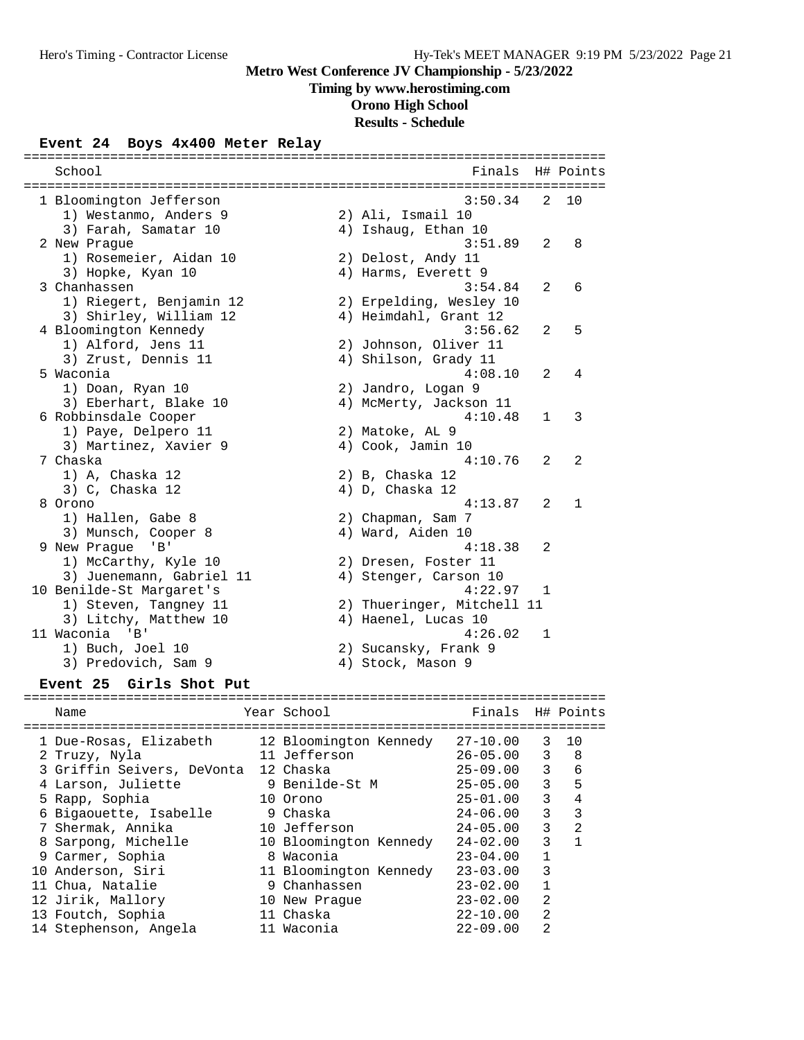### **Timing by www.herostiming.com**

**Orono High School**

# **Results - Schedule**

#### **Event 24 Boys 4x400 Meter Relay**

| School                   |                            |              | Finals H# Points |
|--------------------------|----------------------------|--------------|------------------|
|                          |                            |              |                  |
| 1 Bloomington Jefferson  | 3:50.34                    | 2            | 10               |
| 1) Westanmo, Anders 9    | 2) Ali, Ismail 10          |              |                  |
| 3) Farah, Samatar 10     | 4) Ishaug, Ethan 10        |              |                  |
| 2 New Prague             | 3:51.89                    | 2            | 8                |
| 1) Rosemeier, Aidan 10   | 2) Delost, Andy 11         |              |                  |
| 3) Hopke, Kyan 10        | 4) Harms, Everett 9        |              |                  |
| 3 Chanhassen             | 3:54.84                    | 2            | 6                |
| 1) Riegert, Benjamin 12  | 2) Erpelding, Wesley 10    |              |                  |
| 3) Shirley, William 12   | 4) Heimdahl, Grant 12      |              |                  |
| 4 Bloomington Kennedy    | 3:56.62                    | 2            | 5                |
| 1) Alford, Jens 11       | 2) Johnson, Oliver 11      |              |                  |
| 3) Zrust, Dennis 11      | 4) Shilson, Grady 11       |              |                  |
| 5 Waconia                | 4:08.10                    | 2            | 4                |
| 1) Doan, Ryan 10         | 2) Jandro, Logan 9         |              |                  |
| 3) Eberhart, Blake 10    | 4) McMerty, Jackson 11     |              |                  |
| 6 Robbinsdale Cooper     | 4:10.48                    | $\mathbf{1}$ | 3                |
| 1) Paye, Delpero 11      | 2) Matoke, AL 9            |              |                  |
| 3) Martinez, Xavier 9    | 4) Cook, Jamin 10          |              |                  |
| 7 Chaska                 | 4:10.76                    | 2            | 2                |
| 1) A, Chaska 12          | 2) B, Chaska 12            |              |                  |
| 3) C, Chaska 12          | 4) D, Chaska 12            |              |                  |
| 8 Orono                  | 4:13.87                    | 2            | $\mathbf{1}$     |
| 1) Hallen, Gabe 8        | 2) Chapman, Sam 7          |              |                  |
| 3) Munsch, Cooper 8      | 4) Ward, Aiden 10          |              |                  |
| 9 New Prague<br>'B'      | 4:18.38                    | 2            |                  |
| 1) McCarthy, Kyle 10     | 2) Dresen, Foster 11       |              |                  |
| 3) Juenemann, Gabriel 11 | 4) Stenger, Carson 10      |              |                  |
| 10 Benilde-St Margaret's | 4:22.97                    | $\mathbf{1}$ |                  |
| 1) Steven, Tangney 11    | 2) Thueringer, Mitchell 11 |              |                  |
| 3) Litchy, Matthew 10    | 4) Haenel, Lucas 10        |              |                  |
| 11 Waconia 'B'           | 4:26.02                    | 1            |                  |
| 1) Buch, Joel 10         | 2) Sucansky, Frank 9       |              |                  |
| 3) Predovich, Sam 9      | 4) Stock, Mason 9          |              |                  |

#### **Event 25 Girls Shot Put**

#### ========================================================================== Name The Year School Team Pinals H# Points ========================================================================== 1 Due-Rosas, Elizabeth 12 Bloomington Kennedy 27-10.00 3 10 2 Truzy, Nyla 11 Jefferson 26-05.00 3 8 3 Griffin Seivers, DeVonta 12 Chaska 25-09.00 3 6 4 Larson, Juliette 9 Benilde-St M 25-05.00 3 5 5 Rapp, Sophia 10 Orono 25-01.00 3 4 6 Bigaouette, Isabelle 9 Chaska 24-06.00 3 3 7 Shermak, Annika 10 Jefferson 24-05.00 3 2 8 Sarpong, Michelle 10 Bloomington Kennedy 24-02.00 3 1 9 Carmer, Sophia 8 Waconia 23-04.00 1 10 Anderson, Siri 11 Bloomington Kennedy 23-03.00 3 11 Chua, Natalie 9 Chanhassen 23-02.00 1 12 Jirik, Mallory 10 New Prague 23-02.00 2 13 Foutch, Sophia 11 Chaska 22-10.00 2 14 Stephenson, Angela 11 Waconia 22-09.00 2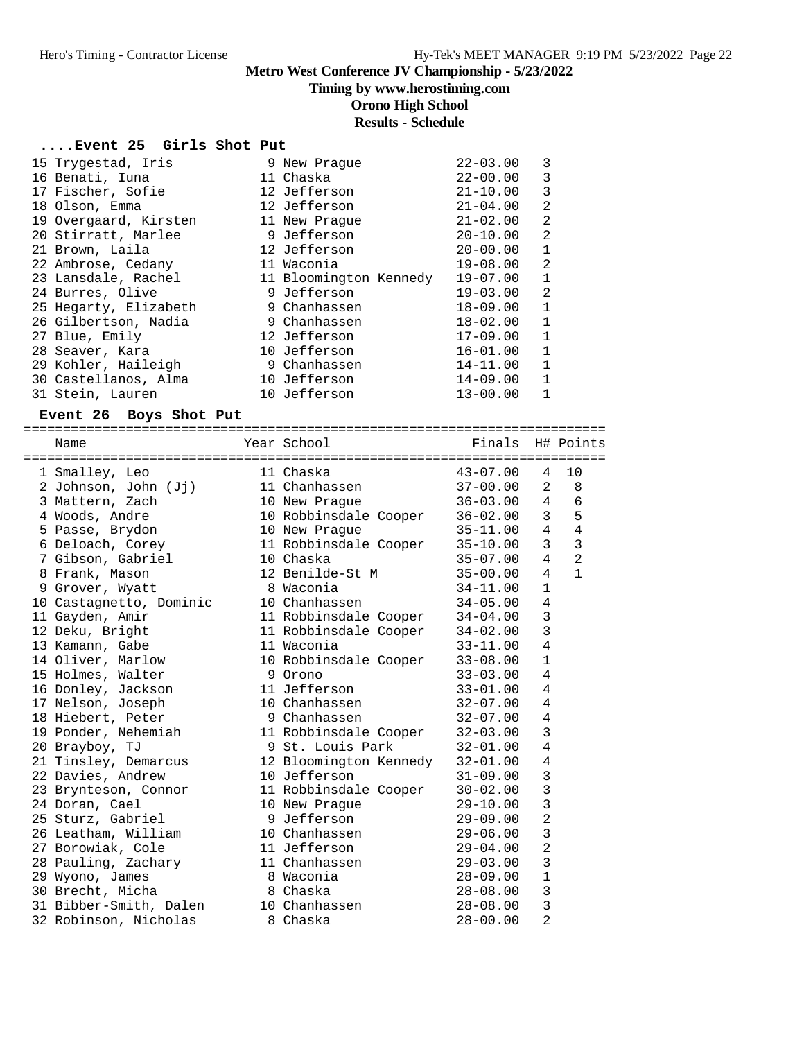# **Timing by www.herostiming.com**

**Orono High School**

### **Results - Schedule**

### **....Event 25 Girls Shot Put**

| 15 Trygestad, Iris    | 9 New Praque           | $22 - 03.00$ | 3              |
|-----------------------|------------------------|--------------|----------------|
| 16 Benati, Iuna       | 11 Chaska              | $22 - 00.00$ | 3              |
| 17 Fischer, Sofie     | 12 Jefferson           | $21 - 10.00$ | 3              |
| 18 Olson, Emma        | 12 Jefferson           | $21 - 04.00$ | $\overline{2}$ |
| 19 Overgaard, Kirsten | 11 New Praque          | $21 - 02.00$ | $\overline{2}$ |
| 20 Stirratt, Marlee   | 9 Jefferson            | $20 - 10.00$ | 2              |
| 21 Brown, Laila       | 12 Jefferson           | $20 - 00.00$ | $\mathbf{1}$   |
| 22 Ambrose, Cedany    | 11 Waconia             | $19 - 08.00$ | $\overline{2}$ |
| 23 Lansdale, Rachel   | 11 Bloomington Kennedy | $19 - 07.00$ | $\mathbf{1}$   |
| 24 Burres, Olive      | 9 Jefferson            | $19 - 03.00$ | $\overline{2}$ |
| 25 Hegarty, Elizabeth | 9 Chanhassen           | 18-09.00     | $\mathbf{1}$   |
| 26 Gilbertson, Nadia  | 9 Chanhassen           | $18 - 02.00$ | $\mathbf{1}$   |
| 27 Blue, Emily        | 12 Jefferson           | $17 - 09.00$ | $\mathbf{1}$   |
| 28 Seaver, Kara       | 10 Jefferson           | $16 - 01.00$ | $\mathbf{1}$   |
| 29 Kohler, Haileigh   | 9 Chanhassen           | 14-11.00     | $\mathbf{1}$   |
| 30 Castellanos, Alma  | 10 Jefferson           | 14-09.00     | $\mathbf{1}$   |
| 31 Stein, Lauren      | 10 Jefferson           | $13 - 00.00$ | $\mathbf{1}$   |

#### **Event 26 Boys Shot Put**

| Name                    | Year School                    | <b>Example 19</b> Finals |                | H# Points      |
|-------------------------|--------------------------------|--------------------------|----------------|----------------|
|                         |                                |                          |                |                |
| 1 Smalley, Leo          | 11 Chaska                      | $43 - 07.00$             | 4              | 10             |
| 2 Johnson, John (Jj)    | 11 Chanhassen                  | $37 - 00.00$             | $\overline{2}$ | 8              |
| 3 Mattern, Zach         | 10 New Prague                  | $36 - 03.00$             | 4              | $\epsilon$     |
| 4 Woods, Andre          | 10 Robbinsdale Cooper 36-02.00 |                          | 3              | 5              |
| 5 Passe, Brydon         | 10 New Prague                  | $35 - 11.00$             | $\overline{4}$ | $\overline{4}$ |
| 6 Deloach, Corey        | 11 Robbinsdale Cooper          | $35 - 10.00$             | 3              | $\overline{3}$ |
| 7 Gibson, Gabriel       | 10 Chaska                      | $35 - 07.00$             | $\overline{4}$ | $\overline{2}$ |
| 8 Frank, Mason          | 12 Benilde-St M                | $35 - 00.00$             | $\overline{4}$ | $\mathbf{1}$   |
| 9 Grover, Wyatt         | 8 Waconia                      | $34 - 11.00$             | $\mathbf{1}$   |                |
| 10 Castagnetto, Dominic | 10 Chanhassen                  | $34 - 05.00$             | $\overline{4}$ |                |
| 11 Gayden, Amir         | 11 Robbinsdale Cooper 34-04.00 |                          | 3              |                |
| 12 Deku, Bright         | 11 Robbinsdale Cooper          | $34 - 02.00$             | 3              |                |
| 13 Kamann, Gabe         | 11 Waconia                     | $33 - 11.00$             | $\overline{4}$ |                |
| 14 Oliver, Marlow       | 10 Robbinsdale Cooper          | $33 - 08.00$             | $\mathbf 1$    |                |
| 15 Holmes, Walter       | 9 Orono                        | $33 - 03.00$             | $\overline{4}$ |                |
| 16 Donley, Jackson      | 11 Jefferson                   | $33 - 01.00$             | $\overline{4}$ |                |
| 17 Nelson, Joseph       | 10 Chanhassen                  | $32 - 07.00$             | $\overline{4}$ |                |
| 18 Hiebert, Peter       | 9 Chanhassen                   | $32 - 07.00$             | $\overline{4}$ |                |
| 19 Ponder, Nehemiah     | 11 Robbinsdale Cooper          | $32 - 03.00$             | 3              |                |
| 20 Brayboy, TJ          | 9 St. Louis Park               | $32 - 01.00$             | 4              |                |
| 21 Tinsley, Demarcus    | 12 Bloomington Kennedy         | $32 - 01.00$             | $\overline{4}$ |                |
| 22 Davies, Andrew       | 10 Jefferson                   | $31 - 09.00$             | 3              |                |
| 23 Brynteson, Connor    | 11 Robbinsdale Cooper          | $30 - 02.00$             | 3              |                |
| 24 Doran, Cael          | 10 New Prague                  | $29 - 10.00$             | 3              |                |
| 25 Sturz, Gabriel       | 9 Jefferson                    | $29 - 09.00$             | 2              |                |
| 26 Leatham, William     | 10 Chanhassen                  | $29 - 06.00$             | 3              |                |
| 27 Borowiak, Cole       | 11 Jefferson                   | $29 - 04.00$             | $\overline{a}$ |                |
| 28 Pauling, Zachary     | 11 Chanhassen                  | $29 - 03.00$             | 3              |                |
| 29 Wyono, James         | 8 Waconia                      | $28 - 09.00$             | $\mathbf{1}$   |                |
| 30 Brecht, Micha        | 8 Chaska                       | $28 - 08.00$             | 3              |                |
| 31 Bibber-Smith, Dalen  | 10 Chanhassen                  | $28 - 08.00$             | 3              |                |
| 32 Robinson, Nicholas   | 8 Chaska                       | $28 - 00.00$             | $\overline{2}$ |                |
|                         |                                |                          |                |                |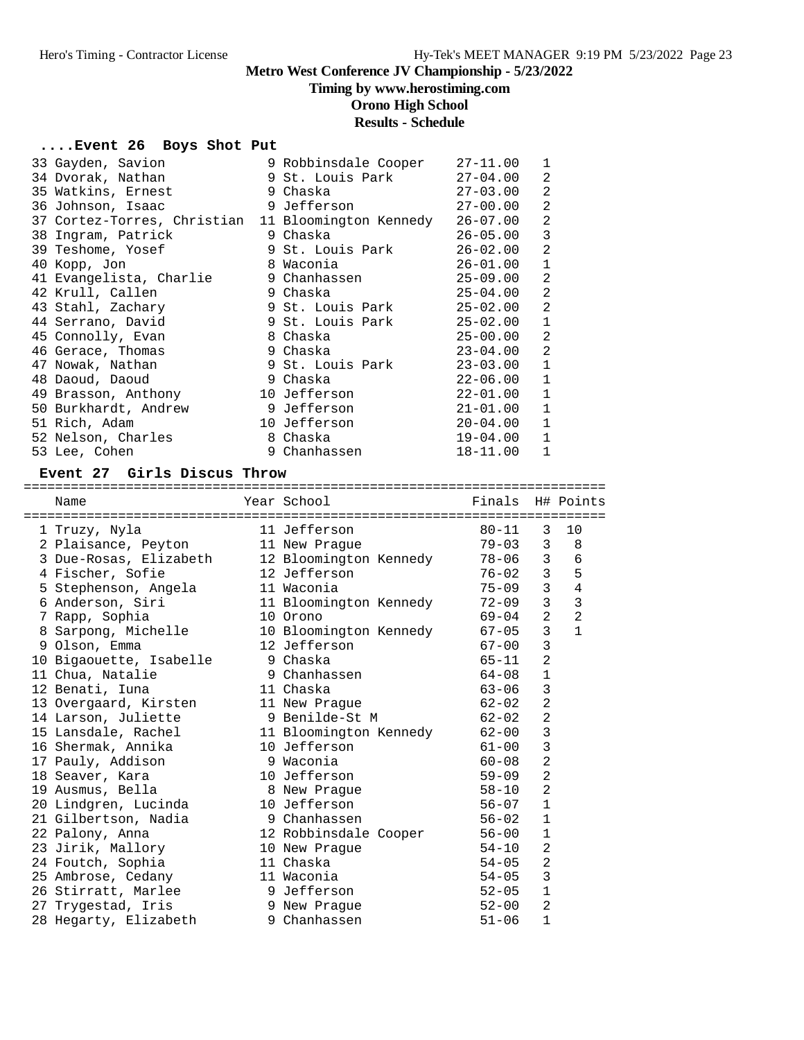# **Timing by www.herostiming.com**

**Orono High School**

# **Results - Schedule**

### **....Event 26 Boys Shot Put**

| 33 Gayden, Savion                                  | 9 Robbinsdale Cooper | $27 - 11.00$ | $\mathbf{1}$   |
|----------------------------------------------------|----------------------|--------------|----------------|
| 34 Dvorak, Nathan                                  | 9 St. Louis Park     | $27 - 04.00$ | 2              |
| 35 Watkins, Ernest                                 | 9 Chaska             | $27 - 03.00$ | $\overline{2}$ |
| 36 Johnson, Isaac                                  | 9 Jefferson          | $27 - 00.00$ | $\overline{2}$ |
| 37 Cortez-Torres, Christian 11 Bloomington Kennedy |                      | $26 - 07.00$ | $\overline{2}$ |
| 38 Ingram, Patrick                                 | 9 Chaska             | $26 - 05.00$ | 3              |
| 39 Teshome, Yosef                                  | 9 St. Louis Park     | $26 - 02.00$ | $\overline{2}$ |
| 40 Kopp, Jon                                       | 8 Waconia            | 26-01.00     | $\mathbf{1}$   |
| 41 Evangelista, Charlie                            | 9 Chanhassen         | $25 - 09.00$ | 2              |
| 42 Krull, Callen                                   | 9 Chaska             | $25 - 04.00$ | $\overline{2}$ |
| 43 Stahl, Zachary                                  | 9 St. Louis Park     | 25-02.00     | 2              |
| 44 Serrano, David                                  | 9 St. Louis Park     | 25-02.00     | $\mathbf{1}$   |
| 45 Connolly, Evan                                  | 8 Chaska             | $25 - 00.00$ | 2              |
| 46 Gerace, Thomas                                  | 9 Chaska             | $23 - 04.00$ | $\overline{2}$ |
| 47 Nowak, Nathan                                   | 9 St. Louis Park     | $23 - 03.00$ | $\mathbf{1}$   |
| 48 Daoud, Daoud                                    | 9 Chaska             | $22 - 06.00$ | $\mathbf{1}$   |
| 49 Brasson, Anthony                                | 10 Jefferson         | $22 - 01.00$ | $\mathbf{1}$   |
| 50 Burkhardt, Andrew                               | 9 Jefferson          | $21 - 01.00$ | $\mathbf{1}$   |
| 51 Rich, Adam                                      | 10 Jefferson         | $20 - 04.00$ | $\mathbf{1}$   |
| 52 Nelson, Charles                                 | 8 Chaska             | 19-04.00     | $\mathbf{1}$   |
| 53 Lee, Cohen                                      | 9 Chanhassen         | $18 - 11.00$ | $\mathbf{1}$   |

#### **Event 27 Girls Discus Throw**

==========================================================================

| Name                    | Year School            | Finals H# Points |                |                |
|-------------------------|------------------------|------------------|----------------|----------------|
| 1 Truzy, Nyla           | 11 Jefferson           | $80 - 11$        | 3              | 10             |
| 2 Plaisance, Peyton     | 11 New Praque          | $79 - 03$        | 3              | 8              |
| 3 Due-Rosas, Elizabeth  | 12 Bloomington Kennedy | 78-06            | $\mathbf{3}$   | 6              |
| 4 Fischer, Sofie        | 12 Jefferson           | $76 - 02$        | 3 <sup>7</sup> | 5              |
| 5 Stephenson, Angela    | 11 Waconia             | $75 - 09$        | $\overline{3}$ | $\overline{4}$ |
| 6 Anderson, Siri        | 11 Bloomington Kennedy | $72 - 09$        | $\overline{3}$ | $\mathbf{3}$   |
| 7 Rapp, Sophia          | 10 Orono               | 69-04            | $\overline{2}$ | $\overline{2}$ |
| 8 Sarpong, Michelle     | 10 Bloomington Kennedy | $67 - 05$        | $\mathsf{3}$   | $\mathbf{1}$   |
| 9 Olson, Emma           | 12 Jefferson           | $67 - 00$        | 3              |                |
| 10 Bigaouette, Isabelle | 9 Chaska               | 65-11            | $\overline{2}$ |                |
| 11 Chua, Natalie        | 9 Chanhassen           | $64 - 08$        | $\mathbf{1}$   |                |
| 12 Benati, Iuna         | 11 Chaska              | 63-06            | 3              |                |
| 13 Overgaard, Kirsten   | 11 New Praque          | 62-02            | $\overline{2}$ |                |
| 14 Larson, Juliette     | 9 Benilde-St M         | $62 - 02$        | $\overline{2}$ |                |
| 15 Lansdale, Rachel     | 11 Bloomington Kennedy | 62-00            | 3              |                |
| 16 Shermak, Annika      | 10 Jefferson           | 61-00            | $\mathbf{3}$   |                |
| 17 Pauly, Addison       | 9 Waconia              | $60 - 08$        | $\overline{2}$ |                |
| 18 Seaver, Kara         | 10 Jefferson           | $59 - 09$        | $\overline{2}$ |                |
| 19 Ausmus, Bella        | 8 New Praque           | 58-10            | $\overline{2}$ |                |
| 20 Lindgren, Lucinda    | 10 Jefferson           | 56-07            | $\mathbf{1}$   |                |
| 21 Gilbertson, Nadia    | 9 Chanhassen           | 56-02            | $\mathbf{1}$   |                |
| 22 Palony, Anna         | 12 Robbinsdale Cooper  | $56 - 00$        | $\mathbf 1$    |                |
| 23 Jirik, Mallory       | 10 New Praque          | 54-10            | $\overline{2}$ |                |
| 24 Foutch, Sophia       | 11 Chaska              | $54 - 05$        | $\overline{2}$ |                |
| 25 Ambrose, Cedany      | 11 Waconia             | 54-05            | 3              |                |
| 26 Stirratt, Marlee     | 9 Jefferson            | $52 - 05$        | $\mathbf 1$    |                |
| 27 Trygestad, Iris      | 9 New Prague           | $52 - 00$        | 2              |                |
| 28 Hegarty, Elizabeth   | 9 Chanhassen           | $51 - 06$        | $\mathbf{1}$   |                |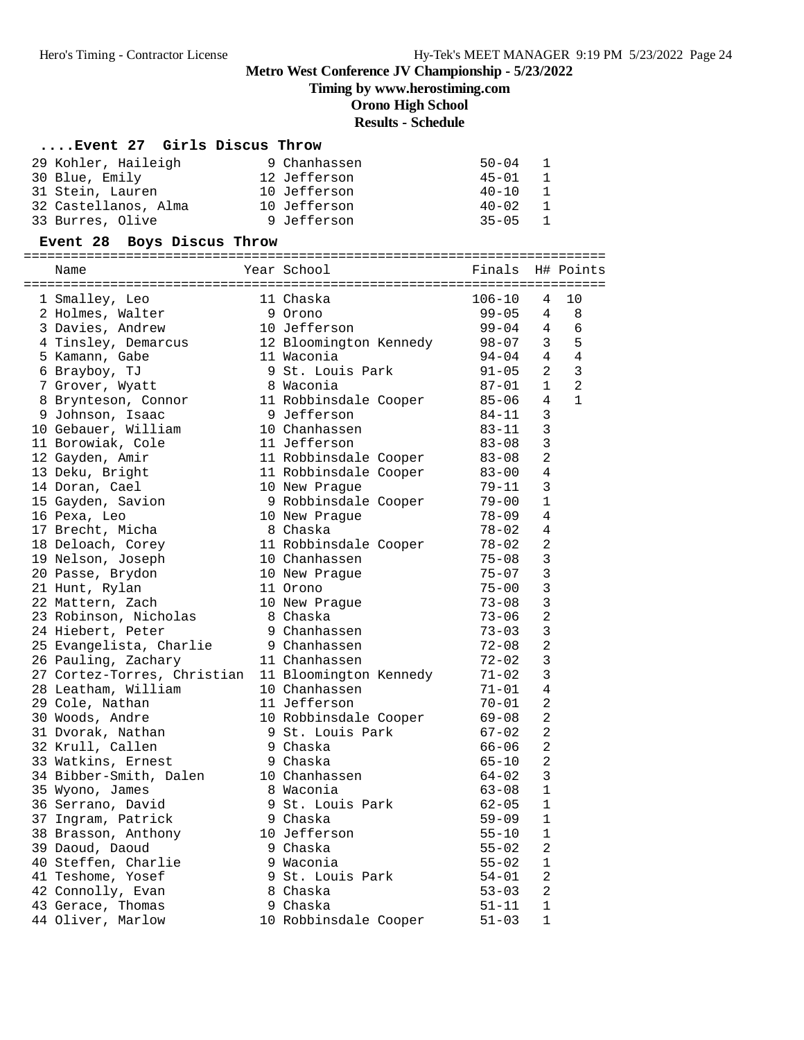**Timing by www.herostiming.com**

#### **Orono High School**

### **Results - Schedule**

| Event 27 Girls Discus Throw |              |                             |
|-----------------------------|--------------|-----------------------------|
| 29 Kohler, Haileigh         | 9 Chanhassen | $50 - 04$<br>$\overline{1}$ |
| 30 Blue, Emily              | 12 Jefferson | $45 - 01$<br>$\overline{1}$ |
| 31 Stein, Lauren            | 10 Jefferson | $40 - 10$<br>1              |
| 32 Castellanos, Alma        | 10 Jefferson | $40 - 02$<br>1              |
| 33 Burres, Olive            | 9 Jefferson  | $35 - 05$<br>$\overline{1}$ |

**Event 28 Boys Discus Throw** ========================================================================== Name Year School Finals H# Points ========================================================================== 1 Smalley, Leo 11 Chaska 106-10 4 10 2 Holmes, Walter 9 Orono 99-05 4 8 3 Davies, Andrew 10 Jefferson 99-04 4 6 4 Tinsley, Demarcus 12 Bloomington Kennedy 98-07 3 5 5 Kamann, Gabe 11 Waconia 94-04 4 4 6 Brayboy, TJ 9 St. Louis Park 91-05 2 3 7 Grover, Wyatt 8 Waconia 87-01 1 2 8 Brynteson, Connor 11 Robbinsdale Cooper 85-06 4 1 9 Johnson, Isaac 9 Jefferson 84-11 3 10 Gebauer, William 10 Chanhassen 83-11 3 11 Borowiak, Cole 11 Jefferson 83-08 3 12 Gayden, Amir 11 Robbinsdale Cooper 83-08 2 13 Deku, Bright 11 Robbinsdale Cooper 83-00 4 14 Doran, Cael 10 New Prague 79-11 3 15 Gayden, Savion 9 Robbinsdale Cooper 79-00 1 16 Pexa, Leo 10 New Prague 78-09 4 17 Brecht, Micha 8 Chaska 78-02 4 18 Deloach, Corey 11 Robbinsdale Cooper 78-02 2 19 Nelson, Joseph 10 Chanhassen 75-08 3 20 Passe, Brydon 10 New Prague 75-07 3 21 Hunt, Rylan 11 Orono 75-00 3 22 Mattern, Zach 10 New Prague 73-08 3 23 Robinson, Nicholas 8 Chaska 73-06 2 24 Hiebert, Peter 9 Chanhassen 73-03 3 25 Evangelista, Charlie 9 Chanhassen 72-08 2 26 Pauling, Zachary 11 Chanhassen 72-02 3 27 Cortez-Torres, Christian 11 Bloomington Kennedy 71-02 3 28 Leatham, William 10 Chanhassen 71-01 4 29 Cole, Nathan 11 Jefferson 70-01 2 30 Woods, Andre 10 Robbinsdale Cooper 69-08 2 31 Dvorak, Nathan 9 St. Louis Park 67-02 2 32 Krull, Callen 9 Chaska 66-06 2 33 Watkins, Ernest 9 Chaska 65-10 2 34 Bibber-Smith, Dalen 10 Chanhassen 64-02 3 35 Wyono, James 8 Waconia 63-08 1 36 Serrano, David 9 St. Louis Park 62-05 1 37 Ingram, Patrick 9 Chaska 59-09 1 38 Brasson, Anthony 10 Jefferson 55-10 1 39 Daoud, Daoud 9 Chaska 55-02 2 40 Steffen, Charlie 9 Waconia 55-02 1 41 Teshome, Yosef 9 St. Louis Park 54-01 2 42 Connolly, Evan 8 Chaska 53-03 2 43 Gerace, Thomas 9 Chaska 51-11 1 44 Oliver, Marlow 10 Robbinsdale Cooper 51-03 1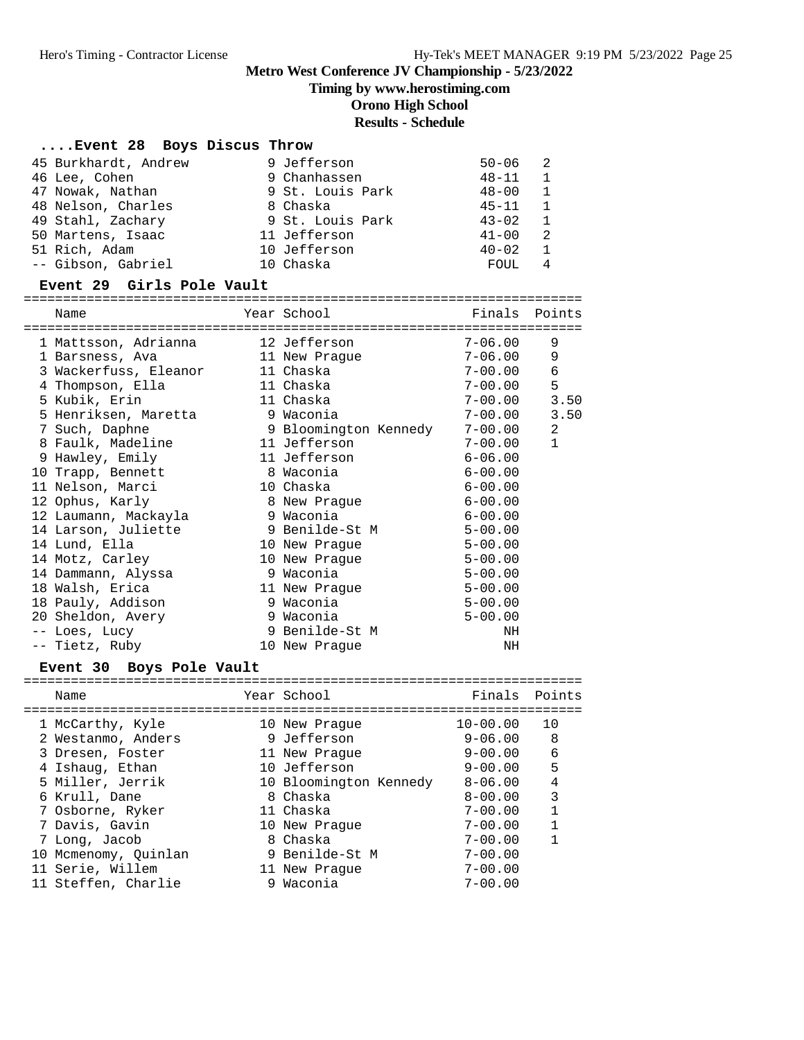**Timing by www.herostiming.com**

**Orono High School**

### **Results - Schedule**

#### **....Event 28 Boys Discus Throw**

| 45 Burkhardt, Andrew | 9 Jefferson      | $50 - 06$ | $\overline{2}$ |
|----------------------|------------------|-----------|----------------|
| 46 Lee, Cohen        | 9 Chanhassen     | $48 - 11$ | $\mathbf{1}$   |
| 47 Nowak, Nathan     | 9 St. Louis Park | $48 - 00$ | 1              |
| 48 Nelson, Charles   | 8 Chaska         | $45 - 11$ | $\overline{1}$ |
| 49 Stahl, Zachary    | 9 St. Louis Park | $43 - 02$ | 1              |
| 50 Martens, Isaac    | 11 Jefferson     | $41 - 00$ | -2             |
| 51 Rich, Adam        | 10 Jefferson     | $40 - 02$ | $\overline{1}$ |
| -- Gibson, Gabriel   | 10 Chaska        | FOUL      |                |

**Event 29 Girls Pole Vault** ======================================================================= Name Year School Finals Points ======================================================================= 1 Mattsson, Adrianna 12 Jefferson 7-06.00 9 1 Barsness, Ava 11 New Prague 7-06.00 9 3 Wackerfuss, Eleanor 11 Chaska 7-00.00 6 4 Thompson, Ella 11 Chaska 7-00.00 5 5 Kubik, Erin 11 Chaska 7-00.00 3.50 5 Henriksen, Maretta 9 Waconia 7-00.00 3.50 7 Such, Daphne 9 Bloomington Kennedy 7-00.00 2 8 Faulk, Madeline 11 Jefferson 7-00.00 1 9 Hawley, Emily 11 Jefferson 6-06.00 10 Trapp, Bennett 8 Waconia 6-00.00 11 Nelson, Marci 10 Chaska 6-00.00 12 Ophus, Karly 8 New Prague 6-00.00 12 Laumann, Mackayla 9 Waconia 6-00.00 14 Larson, Juliette 9 Benilde-St M 5-00.00 14 Lund, Ella 10 New Prague 5-00.00 14 Motz, Carley 10 New Prague 5-00.00 14 Dammann, Alyssa 9 Waconia 5-00.00 18 Walsh, Erica 11 New Prague 5-00.00 18 Pauly, Addison 9 Waconia 5-00.00 20 Sheldon, Avery 9 Waconia 5-00.00 -- Loes, Lucy 9 Benilde-St M NH -- Tietz, Ruby 10 New Prague NH **Event 30 Boys Pole Vault** =======================================================================

|  | Name                 | Year School            | Finals Points |    |
|--|----------------------|------------------------|---------------|----|
|  |                      |                        |               |    |
|  | 1 McCarthy, Kyle     | 10 New Praque          | $10 - 00.00$  | 10 |
|  | 2 Westanmo, Anders   | 9 Jefferson            | $9 - 06.00$   | 8  |
|  | 3 Dresen, Foster     | 11 New Praque          | $9 - 00.00$   | 6  |
|  | 4 Ishauq, Ethan      | 10 Jefferson           | $9 - 00.00$   | 5  |
|  | 5 Miller, Jerrik     | 10 Bloomington Kennedy | $8 - 06.00$   | 4  |
|  | 6 Krull, Dane        | 8 Chaska               | $8 - 00.00$   | 3  |
|  | 7 Osborne, Ryker     | 11 Chaska              | $7 - 00.00$   | 1  |
|  | 7 Davis, Gavin       | 10 New Praque          | $7 - 00.00$   |    |
|  | 7 Long, Jacob        | 8 Chaska               | $7 - 00.00$   |    |
|  | 10 Mcmenomy, Ouinlan | 9 Benilde-St M         | $7 - 00.00$   |    |
|  | 11 Serie, Willem     | 11 New Praque          | $7 - 00.00$   |    |
|  | 11 Steffen, Charlie  | 9 Waconia              | $7 - 00.00$   |    |
|  |                      |                        |               |    |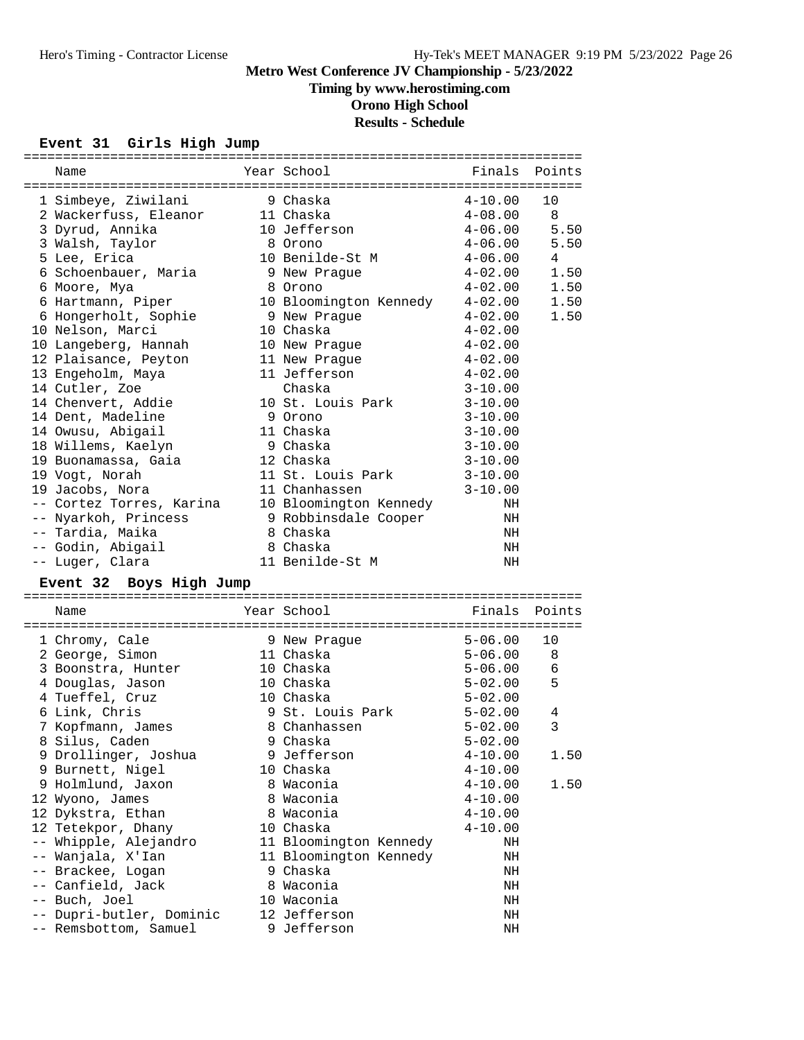# **Timing by www.herostiming.com**

**Orono High School**

# **Results - Schedule**

# **Event 31 Girls High Jump**

| Name                                              | Year School                 | Finals      | Points |
|---------------------------------------------------|-----------------------------|-------------|--------|
|                                                   |                             |             |        |
| 1 Simbeye, Ziwilani                               | 9 Chaska                    | $4 - 10.00$ | 10     |
| 2 Wackerfuss, Eleanor                             | 11 Chaska                   | $4 - 08.00$ | 8      |
| 3 Dyrud, Annika                                   | 10 Jefferson                | $4 - 06.00$ | 5.50   |
| 3 Walsh, Taylor                                   | 8 Orono                     | $4 - 06.00$ | 5.50   |
| 5 Lee, Erica                                      | 10 Benilde-St M             | $4 - 06.00$ | 4      |
| 6 Schoenbauer, Maria                              | 9 New Praque                | $4 - 02.00$ | 1.50   |
| 6 Moore, Mya                                      | 8 Orono                     | $4 - 02.00$ | 1.50   |
| 6 Hartmann, Piper                                 | 10 Bloomington Kennedy      | $4 - 02.00$ | 1.50   |
| 6 Hongerholt, Sophie                              | 9 New Prague                | $4 - 02.00$ | 1.50   |
| 10 Nelson, Marci                                  | 10 Chaska                   | $4 - 02.00$ |        |
| 10 Langeberg, Hannah                              | 10 New Prague               | $4 - 02.00$ |        |
| 12 Plaisance, Peyton                              | 11 New Praque               | $4 - 02.00$ |        |
| 13 Engeholm, Maya                                 | 11 Jefferson                | $4 - 02.00$ |        |
| 14 Cutler, Zoe                                    | Chaska                      | $3 - 10.00$ |        |
| 14 Chenvert, Addie                                | 10 St. Louis Park           | $3 - 10.00$ |        |
| 14 Dent, Madeline                                 | 9 Orono                     | $3 - 10.00$ |        |
| 14 Owusu, Abigail                                 | 11 Chaska                   | $3 - 10.00$ |        |
| 18 Willems, Kaelyn                                | 9 Chaska                    | $3 - 10.00$ |        |
| 19 Buonamassa, Gaia                               | 12 Chaska                   | $3 - 10.00$ |        |
| 19 Vogt, Norah                                    | 11 St. Louis Park           | $3 - 10.00$ |        |
| 19 Jacobs, Nora                                   | 11 Chanhassen               | $3 - 10.00$ |        |
| -- Cortez Torres, Karina                          | 10 Bloomington Kennedy      | NH          |        |
| -- Nyarkoh, Princess                              | 9 Robbinsdale Cooper        | NH          |        |
| -- Tardia, Maika                                  | 8 Chaska                    | ΝH          |        |
| -- Godin, Abigail                                 | 8 Chaska                    | ΝH          |        |
| -- Luger, Clara                                   | 11 Benilde-St M             | ΝH          |        |
|                                                   |                             |             |        |
| Event 32 Boys High Jump                           |                             |             |        |
| Name                                              | Year School                 | Finals      | Points |
|                                                   |                             |             |        |
| 1 Chromy, Cale                                    | 9 New Prague                | $5 - 06.00$ | 10     |
| 2 George, Simon                                   | 11 Chaska                   | $5 - 06.00$ | 8      |
| 3 Boonstra, Hunter                                | 10 Chaska                   | $5 - 06.00$ | 6      |
| 4 Douglas, Jason                                  | 10 Chaska                   | $5 - 02.00$ | 5      |
| 4 Tueffel, Cruz                                   | 10 Chaska                   | 5-02.00     |        |
| 6 Link, Chris                                     | 9 St. Louis Park            | 5-02.00     | 4      |
| 7 Kopfmann, James                                 | 8 Chanhassen                | $5 - 02.00$ | 3      |
| 8 Silus, Caden                                    | 9 Chaska                    | $5 - 02.00$ |        |
| 9 Drollinger, Joshua                              | 9 Jefferson                 | $4 - 10.00$ | 1.50   |
| 9 Burnett, Nigel                                  | 10 Chaska                   | $4 - 10.00$ |        |
| 9 Holmlund, Jaxon                                 | 8 Waconia                   | $4 - 10.00$ | 1.50   |
| 12 Wyono, James                                   | 8 Waconia                   | $4 - 10.00$ |        |
| 12 Dykstra, Ethan                                 | 8 Waconia                   | $4 - 10.00$ |        |
| 12 Tetekpor, Dhany                                | 10 Chaska                   | $4 - 10.00$ |        |
| -- Whipple, Alejandro                             | 11 Bloomington Kennedy      | ΝH          |        |
| -- Wanjala, X'Ian                                 | 11 Bloomington Kennedy      | ΝH          |        |
| -- Brackee, Logan                                 | 9 Chaska                    | NH          |        |
| -- Canfield, Jack                                 | 8 Waconia                   | NH          |        |
| -- Buch, Joel                                     | 10 Waconia                  | NH          |        |
|                                                   |                             |             |        |
|                                                   |                             |             |        |
| -- Dupri-butler, Dominic<br>-- Remsbottom, Samuel | 12 Jefferson<br>9 Jefferson | NH<br>NH    |        |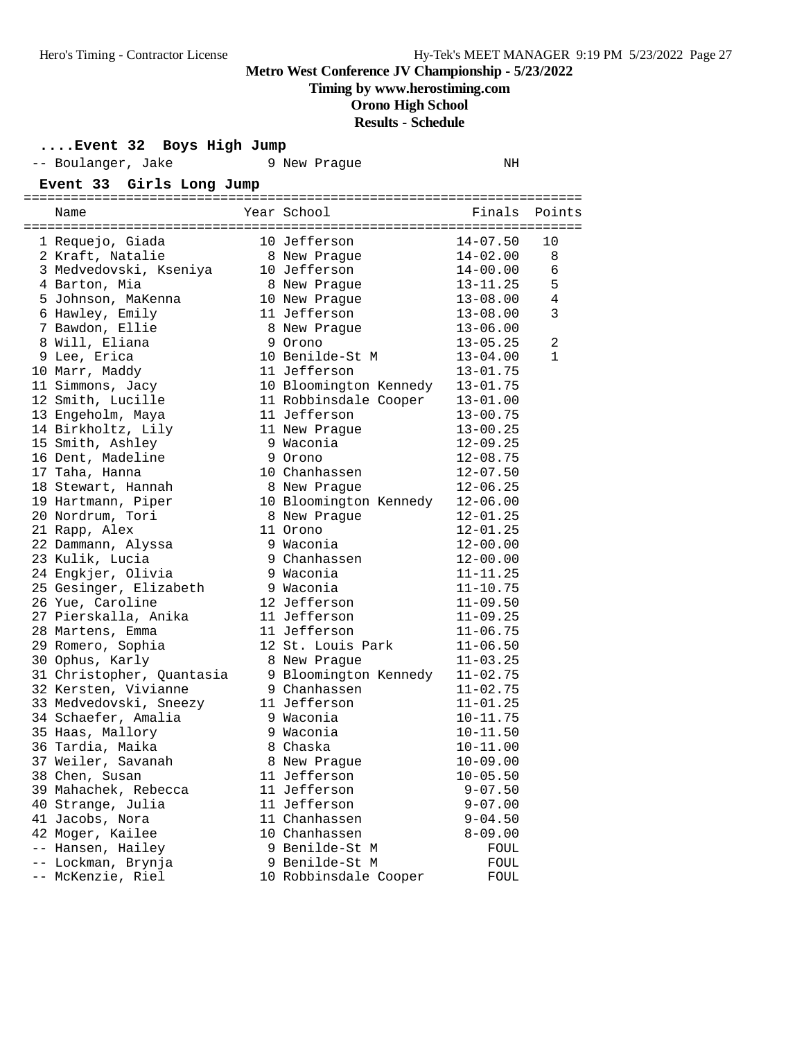**Timing by www.herostiming.com**

# **Orono High School**

**Results - Schedule**

|  | Event 32 Boys High Jump |  |  |  |  |
|--|-------------------------|--|--|--|--|
|--|-------------------------|--|--|--|--|

| -- Boulanger, Jake        | 9 New Prague           | NH           |                |
|---------------------------|------------------------|--------------|----------------|
| Event 33 Girls Long Jump  |                        |              |                |
|                           |                        |              |                |
| Name                      | Year School            |              | Finals Points  |
| 1 Requejo, Giada          | 10 Jefferson           | $14 - 07.50$ | 10             |
| 2 Kraft, Natalie          | 8 New Praque           | $14 - 02.00$ | 8              |
| 3 Medvedovski, Kseniya    | 10 Jefferson           | 14-00.00     | 6              |
| 4 Barton, Mia             | 8 New Prague           | $13 - 11.25$ | 5              |
| 5 Johnson, MaKenna        | 10 New Prague          | $13 - 08.00$ | $\overline{4}$ |
| 6 Hawley, Emily           | 11 Jefferson           | $13 - 08.00$ | 3              |
| 7 Bawdon, Ellie           | 8 New Praque           | $13 - 06.00$ |                |
| 8 Will, Eliana            | 9 Orono                | $13 - 05.25$ | $\overline{2}$ |
| 9 Lee, Erica              | 10 Benilde-St M        | $13 - 04.00$ | $\mathbf{1}$   |
| 10 Marr, Maddy            | 11 Jefferson           | $13 - 01.75$ |                |
| 11 Simmons, Jacy          | 10 Bloomington Kennedy | $13 - 01.75$ |                |
| 12 Smith, Lucille         | 11 Robbinsdale Cooper  | $13 - 01.00$ |                |
| 13 Engeholm, Maya         | 11 Jefferson           | 13-00.75     |                |
| 14 Birkholtz, Lily        | 11 New Praque          | 13-00.25     |                |
| 15 Smith, Ashley          | 9 Waconia              | $12 - 09.25$ |                |
| 16 Dent, Madeline         | 9 Orono                | $12 - 08.75$ |                |
| 17 Taha, Hanna            | 10 Chanhassen          | $12 - 07.50$ |                |
| 18 Stewart, Hannah        | 8 New Praque           | $12 - 06.25$ |                |
| 19 Hartmann, Piper        | 10 Bloomington Kennedy | $12 - 06.00$ |                |
| 20 Nordrum, Tori          | 8 New Prague           | $12 - 01.25$ |                |
| 21 Rapp, Alex             | 11 Orono               | $12 - 01.25$ |                |
| 22 Dammann, Alyssa        | 9 Waconia              | $12 - 00.00$ |                |
| 23 Kulik, Lucia           | 9 Chanhassen           | $12 - 00.00$ |                |
| 24 Engkjer, Olivia        | 9 Waconia              | $11 - 11.25$ |                |
| 25 Gesinger, Elizabeth    | 9 Waconia              | $11 - 10.75$ |                |
| 26 Yue, Caroline          | 12 Jefferson           | $11 - 09.50$ |                |
| 27 Pierskalla, Anika      | 11 Jefferson           | $11 - 09.25$ |                |
| 28 Martens, Emma          | 11 Jefferson           | $11 - 06.75$ |                |
| 29 Romero, Sophia         | 12 St. Louis Park      | $11 - 06.50$ |                |
| 30 Ophus, Karly           | 8 New Prague           | $11 - 03.25$ |                |
| 31 Christopher, Quantasia | 9 Bloomington Kennedy  | $11 - 02.75$ |                |
| 32 Kersten, Vivianne      | 9 Chanhassen           | $11 - 02.75$ |                |
| 33 Medvedovski, Sneezy    | 11 Jefferson           | $11 - 01.25$ |                |
| 34 Schaefer, Amalia       | 9 Waconia              | $10 - 11.75$ |                |
| 35 Haas, Mallory          | 9 Waconia              | 10-11.50     |                |
| 36 Tardia, Maika          | 8 Chaska               | $10 - 11.00$ |                |
| 37 Weiler, Savanah        | 8 New Prague           | $10 - 09.00$ |                |
| 38 Chen, Susan            | 11 Jefferson           | $10 - 05.50$ |                |
| 39 Mahachek, Rebecca      | 11 Jefferson           | $9 - 07.50$  |                |
| 40 Strange, Julia         | 11 Jefferson           | $9 - 07.00$  |                |
| 41 Jacobs, Nora           | 11 Chanhassen          | $9 - 04.50$  |                |
| 42 Moger, Kailee          | 10 Chanhassen          | $8 - 09.00$  |                |
| -- Hansen, Hailey         | 9 Benilde-St M         | FOUL         |                |
| -- Lockman, Brynja        | 9 Benilde-St M         | FOUL         |                |
| -- McKenzie, Riel         | 10 Robbinsdale Cooper  | FOUL         |                |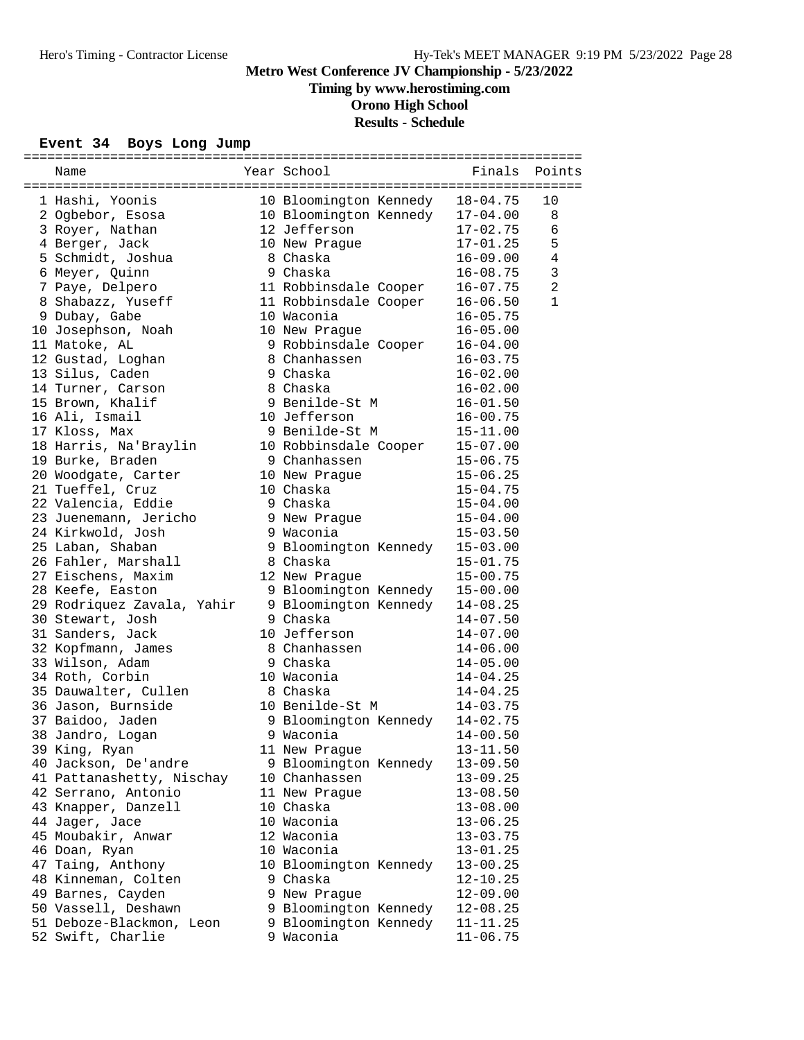**Timing by www.herostiming.com**

**Orono High School**

# **Results - Schedule**

### **Event 34 Boys Long Jump**

| Name                       | Year School                       |              | Finals Points  |
|----------------------------|-----------------------------------|--------------|----------------|
|                            |                                   |              |                |
| 1 Hashi, Yoonis            | 10 Bloomington Kennedy            | $18 - 04.75$ | 10             |
| 2 Ogbebor, Esosa           | 10 Bloomington Kennedy            | 17-04.00     | 8              |
| 3 Royer, Nathan            | 12 Jefferson                      | $17 - 02.75$ | 6              |
| 4 Berger, Jack             | 10 New Prague                     | $17 - 01.25$ | 5              |
| 5 Schmidt, Joshua          | 8 Chaska                          | $16 - 09.00$ | 4              |
| 6 Meyer, Quinn             | 9 Chaska                          | 16-08.75     | $\mathfrak{Z}$ |
| 7 Paye, Delpero            | 11 Robbinsdale Cooper             | $16 - 07.75$ | $\overline{a}$ |
| 8 Shabazz, Yuseff          | 11 Robbinsdale Cooper             | $16 - 06.50$ | $\mathbf{1}$   |
| 9 Dubay, Gabe              | 10 Waconia                        | $16 - 05.75$ |                |
| 10 Josephson, Noah         | 10 New Prague                     | $16 - 05.00$ |                |
| 11 Matoke, AL              | 9 Robbinsdale Cooper              | $16 - 04.00$ |                |
| 12 Gustad, Loghan          | 8 Chanhassen                      | $16 - 03.75$ |                |
| 13 Silus, Caden            | 9 Chaska                          | $16 - 02.00$ |                |
| 14 Turner, Carson          | 8 Chaska                          | $16 - 02.00$ |                |
| 15 Brown, Khalif           | 9 Benilde-St M                    | $16 - 01.50$ |                |
| 16 Ali, Ismail             | 10 Jefferson                      | $16 - 00.75$ |                |
| 17 Kloss, Max              | 9 Benilde-St M                    | $15 - 11.00$ |                |
| 18 Harris, Na'Braylin      | 10 Robbinsdale Cooper             | $15 - 07.00$ |                |
| 19 Burke, Braden           | 9 Chanhassen                      | $15 - 06.75$ |                |
| 20 Woodgate, Carter        | 10 New Prague                     | $15 - 06.25$ |                |
| 21 Tueffel, Cruz           | 10 Chaska                         | $15 - 04.75$ |                |
| 22 Valencia, Eddie         | 9 Chaska                          | $15 - 04.00$ |                |
| 23 Juenemann, Jericho      | 9 New Prague                      | $15 - 04.00$ |                |
| 24 Kirkwold, Josh          | 9 Waconia                         | $15 - 03.50$ |                |
| 25 Laban, Shaban           |                                   | $15 - 03.00$ |                |
|                            | 9 Bloomington Kennedy<br>8 Chaska |              |                |
| 26 Fahler, Marshall        |                                   | $15 - 01.75$ |                |
| 27 Eischens, Maxim         | 12 New Prague                     | $15 - 00.75$ |                |
| 28 Keefe, Easton           | 9 Bloomington Kennedy             | $15 - 00.00$ |                |
| 29 Rodriquez Zavala, Yahir | 9 Bloomington Kennedy             | $14 - 08.25$ |                |
| 30 Stewart, Josh           | 9 Chaska                          | 14-07.50     |                |
| 31 Sanders, Jack           | 10 Jefferson                      | $14 - 07.00$ |                |
| 32 Kopfmann, James         | 8 Chanhassen                      | $14 - 06.00$ |                |
| 33 Wilson, Adam            | 9 Chaska                          | $14 - 05.00$ |                |
| 34 Roth, Corbin            | 10 Waconia                        | $14 - 04.25$ |                |
| 35 Dauwalter, Cullen       | 8 Chaska                          | $14 - 04.25$ |                |
| 36 Jason, Burnside         | 10 Benilde-St M                   | $14 - 03.75$ |                |
| 37 Baidoo, Jaden           | 9 Bloomington Kennedy             | $14 - 02.75$ |                |
| 38 Jandro, Logan           | 9 Waconia                         | 14-00.50     |                |
| 39 King, Ryan              | 11 New Prague                     | $13 - 11.50$ |                |
| 40 Jackson, De'andre       | 9 Bloomington Kennedy             | $13 - 09.50$ |                |
| 41 Pattanashetty, Nischay  | 10 Chanhassen                     | $13 - 09.25$ |                |
| 42 Serrano, Antonio        | 11 New Prague                     | $13 - 08.50$ |                |
| 43 Knapper, Danzell        | 10 Chaska                         | $13 - 08.00$ |                |
| 44 Jager, Jace             | 10 Waconia                        | $13 - 06.25$ |                |
| 45 Moubakir, Anwar         | 12 Waconia                        | $13 - 03.75$ |                |
| 46 Doan, Ryan              | 10 Waconia                        | $13 - 01.25$ |                |
| 47 Taing, Anthony          | 10 Bloomington Kennedy            | $13 - 00.25$ |                |
| 48 Kinneman, Colten        | 9 Chaska                          | $12 - 10.25$ |                |
| 49 Barnes, Cayden          | 9 New Praque                      | $12 - 09.00$ |                |
| 50 Vassell, Deshawn        | 9 Bloomington Kennedy             | $12 - 08.25$ |                |
| 51 Deboze-Blackmon, Leon   | 9 Bloomington Kennedy             | $11 - 11.25$ |                |
| 52 Swift, Charlie          | 9 Waconia                         | $11 - 06.75$ |                |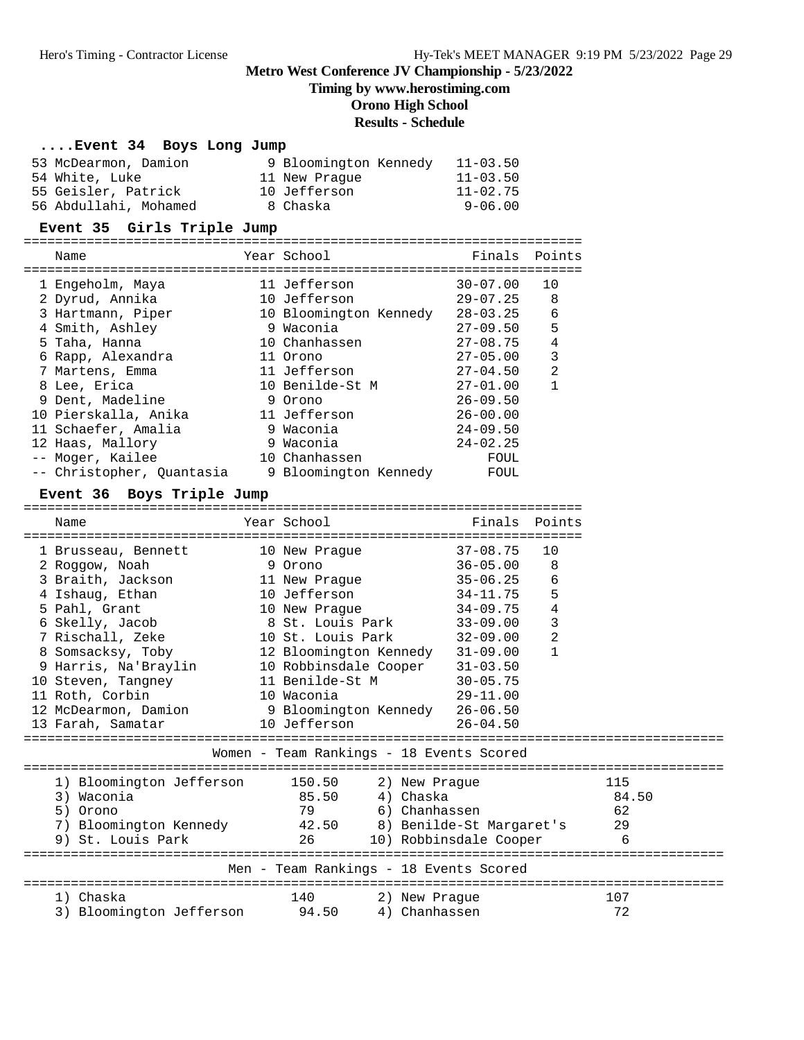**Timing by www.herostiming.com**

**Orono High School**

# **Results - Schedule**

### **....Event 34 Boys Long Jump**

| 53 McDearmon, Damion  | 9 Bloomington Kennedy | $11 - 03.50$ |
|-----------------------|-----------------------|--------------|
| 54 White, Luke        | 11 New Praque         | $11 - 03.50$ |
| 55 Geisler, Patrick   | 10 Jefferson          | $11 - 02.75$ |
| 56 Abdullahi, Mohamed | 8 Chaska              | $9 - 06.00$  |

### **Event 35 Girls Triple Jump**

| Name                      |   | Year School            | Finals       | Points |
|---------------------------|---|------------------------|--------------|--------|
|                           |   |                        | $30 - 07.00$ | 10     |
| 1 Engeholm, Maya          |   | 11 Jefferson           |              |        |
| 2 Dyrud, Annika           |   | 10 Jefferson           | $29 - 07.25$ | 8      |
| 3 Hartmann, Piper         |   | 10 Bloomington Kennedy | $28 - 03.25$ | 6      |
| 4 Smith, Ashley           |   | 9 Waconia              | $27 - 09.50$ | 5      |
| 5 Taha, Hanna             |   | 10 Chanhassen          | $27 - 08.75$ | 4      |
| 6 Rapp, Alexandra         |   | 11 Orono               | $27 - 05.00$ | 3      |
| 7 Martens, Emma           |   | 11 Jefferson           | $27 - 04.50$ | 2      |
| 8 Lee, Erica              |   | 10 Benilde-St M        | $27 - 01.00$ | 1      |
| 9 Dent, Madeline          |   | 9 Orono                | $26 - 09.50$ |        |
| 10 Pierskalla, Anika      |   | 11 Jefferson           | $26 - 00.00$ |        |
| 11 Schaefer, Amalia       |   | 9 Waconia              | $24 - 09.50$ |        |
| 12 Haas, Mallory          | 9 | Waconia                | $24 - 02.25$ |        |
| -- Moger, Kailee          |   | 10 Chanhassen          | FOUL         |        |
| -- Christopher, Ouantasia |   | 9 Bloomington Kennedy  | FOUL         |        |

#### Event 36 Boys Triple Jump

| Name                                                                                                                                                                                                                                                               |  | Year School                                                                                     |  |                                             | Finals Points                                                                            |                                                                          |                    |
|--------------------------------------------------------------------------------------------------------------------------------------------------------------------------------------------------------------------------------------------------------------------|--|-------------------------------------------------------------------------------------------------|--|---------------------------------------------|------------------------------------------------------------------------------------------|--------------------------------------------------------------------------|--------------------|
| 1 Brusseau, Bennett<br>2 Roggow, Noah<br>3 Braith, Jackson<br>4 Ishaug, Ethan<br>5 Pahl, Grant<br>6 Skelly, Jacob 8 St. Louis Park<br>7 Rischall, Zeke<br>8 Somsacksy, Toby 12 Bloomington Kennedy 31-09.00<br>9 Harris, Na'Braylin 10 Robbinsdale Cooper 31-03.50 |  | 10 New Praque<br>9 Orono<br>11 New Prague<br>10 Jefferson<br>10 New Prague<br>10 St. Louis Park |  |                                             | $37 - 08.75$<br>$36 - 05.00$<br>35-06.25<br>34-11.75<br>34-09.75<br>33-09.00<br>32-09.00 | 10<br>8<br>$\epsilon$<br>5<br>$\bf 4$<br>3<br>$\sqrt{2}$<br>$\mathbf{1}$ |                    |
| 10 Steven, Tangney 11 Benilde-St M 30-05.75<br>11 Roth, Corbin<br>12 McDearmon, Damion 9 Bloomington Kennedy 26-06.50<br>13 Farah, Samatar                                                                                                                         |  | 10 Waconia                                                                                      |  |                                             | 29-11.00                                                                                 |                                                                          |                    |
| Women - Team Rankings - 18 Events Scored                                                                                                                                                                                                                           |  |                                                                                                 |  |                                             |                                                                                          |                                                                          |                    |
| 1) Bloomington Jefferson 150.50<br>3) Waconia<br>85.50<br>5) Orono<br>7) Bloomington Kennedy (42.50 8) Benilde-St Margaret's 29<br>9) St. Louis Park                                                                                                               |  | 79<br>26                                                                                        |  | 2) New Praque<br>4) Chaska<br>6) Chanhassen | 10) Robbinsdale Cooper                                                                   |                                                                          | 115<br>84.50<br>62 |
|                                                                                                                                                                                                                                                                    |  | Men - Team Rankings - 18 Events Scored                                                          |  |                                             |                                                                                          |                                                                          |                    |
| 1) Chaska<br>3) Bloomington Jefferson 94.50                                                                                                                                                                                                                        |  | 140                                                                                             |  | 2) New Prague<br>4) Chanhassen              |                                                                                          |                                                                          | 107<br>72          |